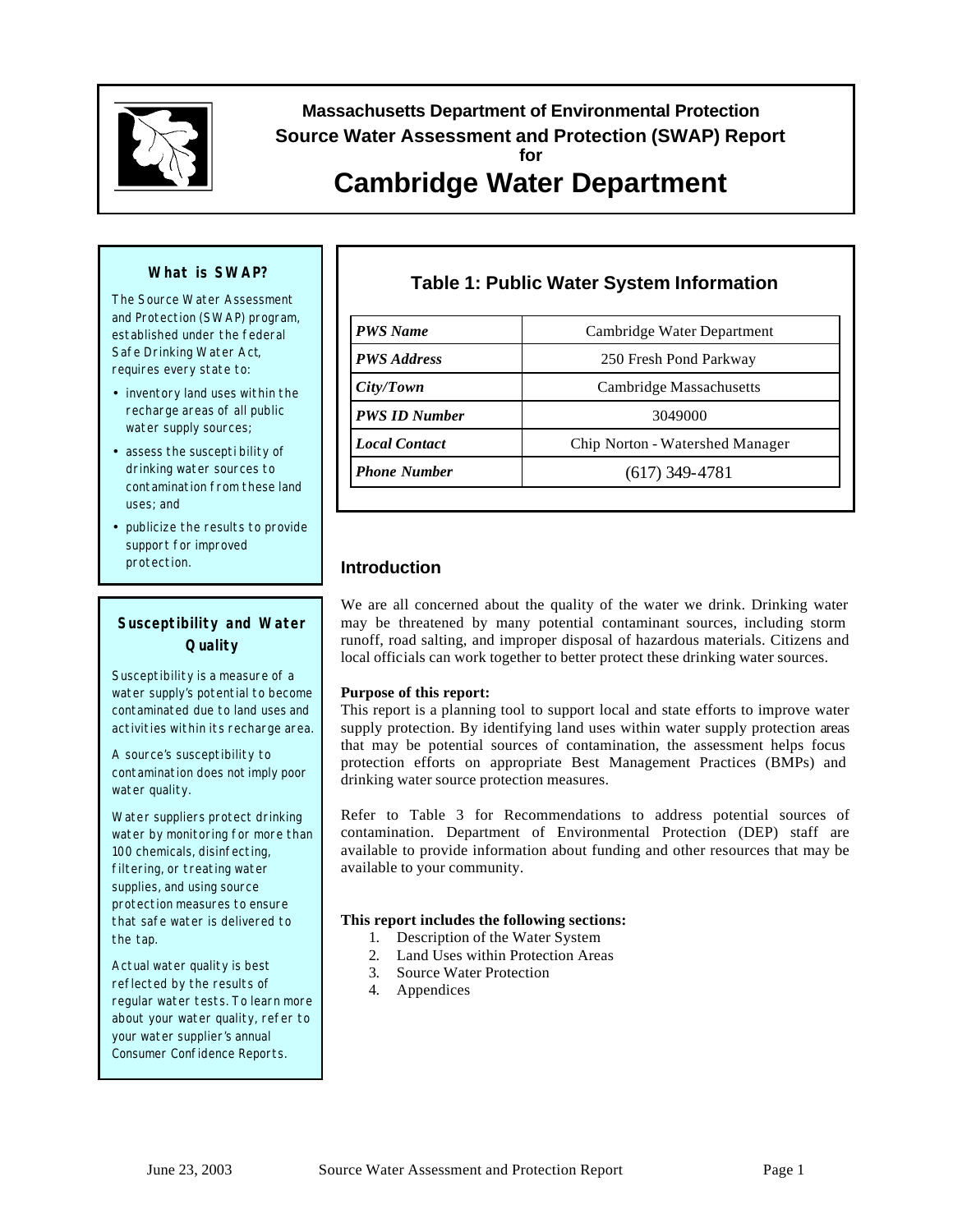

# **Massachusetts Department of Environmental Protection Source Water Assessment and Protection (SWAP) Report for**

# **Cambridge Water Department**

### **What is SWAP?**

The Source Water Assessment and Protection (SWAP) program, established under the federal Safe Drinking Water Act, requires every state to:

- inventory land uses within the recharge areas of all public water supply sources;
- assess the suscepti bility of drinking water sources to contamination from these land uses; and
- publicize the results to provide support for improved protection.

### **Susceptibility and Water Quality**

Susceptibility is a measure of a water supply's potential to become contaminated due to land uses and activities within its recharge area.

A source's susceptibility to contamination does *not* imply poor water quality.

Water suppliers protect drinking water by monitoring for more than 100 chemicals, disinfecting, filtering, or treating water supplies, and using source protection measures to ensure that safe water is delivered to the tap.

Actual water quality is best reflected by the results of regular water tests. To learn more about your water quality, refer to your water supplier's annual Consumer Confidence Reports.

## **Table 1: Public Water System Information**

| <b>PWS</b> Name      | Cambridge Water Department      |  |  |  |  |
|----------------------|---------------------------------|--|--|--|--|
| <b>PWS</b> Address   | 250 Fresh Pond Parkway          |  |  |  |  |
| City/ Town           | <b>Cambridge Massachusetts</b>  |  |  |  |  |
| <b>PWS ID Number</b> | 3049000                         |  |  |  |  |
| <b>Local Contact</b> | Chip Norton - Watershed Manager |  |  |  |  |
| <b>Phone Number</b>  | $(617)$ 349-4781                |  |  |  |  |

### **Introduction**

We are all concerned about the quality of the water we drink. Drinking water may be threatened by many potential contaminant sources, including storm runoff, road salting, and improper disposal of hazardous materials. Citizens and local officials can work together to better protect these drinking water sources.

#### **Purpose of this report:**

This report is a planning tool to support local and state efforts to improve water supply protection. By identifying land uses within water supply protection areas that may be potential sources of contamination, the assessment helps focus protection efforts on appropriate Best Management Practices (BMPs) and drinking water source protection measures.

Refer to Table 3 for Recommendations to address potential sources of contamination. Department of Environmental Protection (DEP) staff are available to provide information about funding and other resources that may be available to your community.

#### **This report includes the following sections:**

- 1. Description of the Water System
- 2. Land Uses within Protection Areas
- 3. Source Water Protection
- 4. Appendices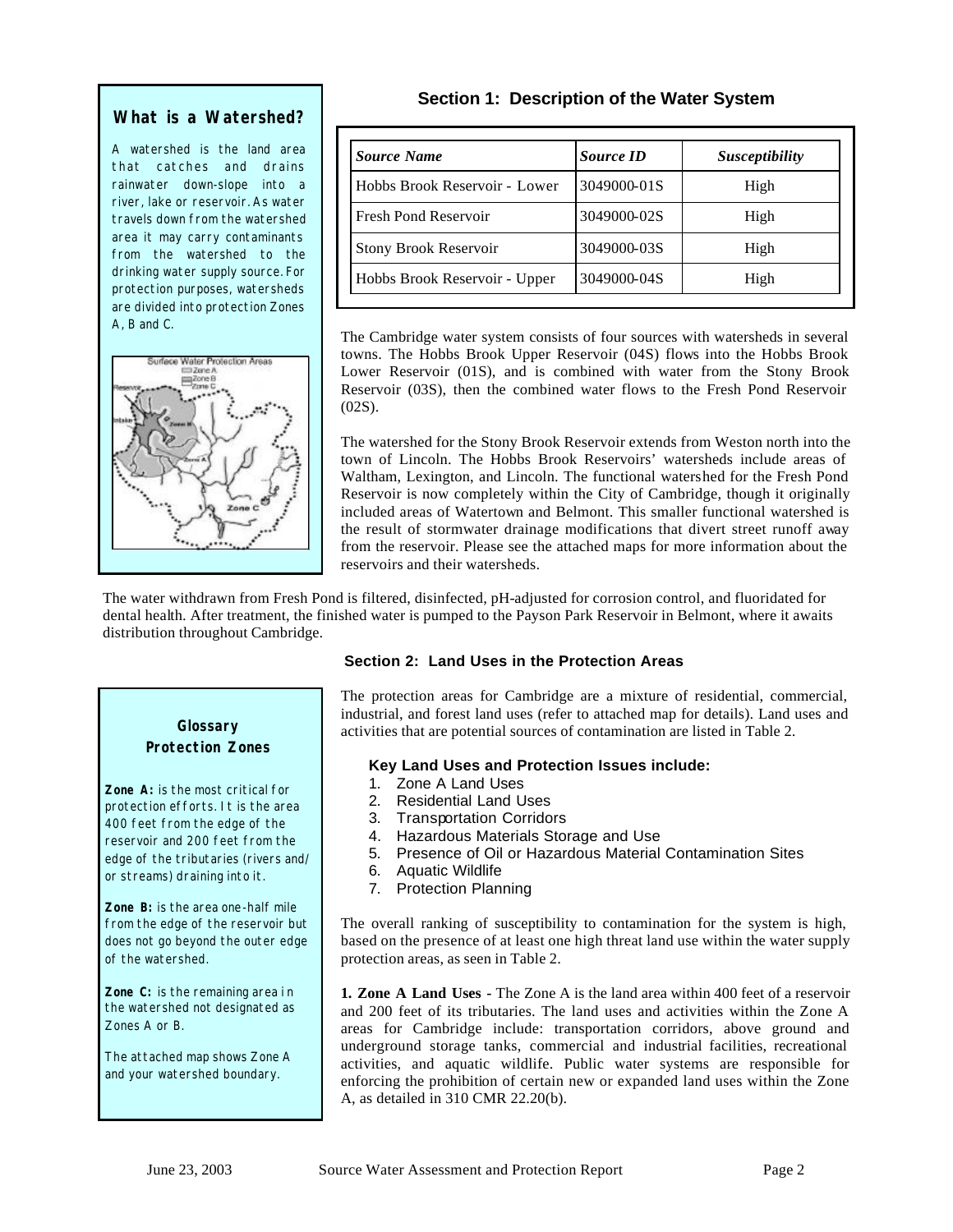### **What is a Watershed?**

A watershed is the land area that catches and drains rainwater down-slope into a river, lake or reservoir. As water travels down from the watershed area it may carry contaminants from the watershed to the drinking water supply source. For protection purposes, watersheds are divided into protection Zones A, B and C.



### **Section 1: Description of the Water System**

| Source Name                   | <b>Source ID</b> | Susceptibility |
|-------------------------------|------------------|----------------|
| Hobbs Brook Reservoir - Lower | 3049000-01S      | High           |
| <b>Fresh Pond Reservoir</b>   | 3049000-02S      | High           |
| <b>Stony Brook Reservoir</b>  | 3049000-03S      | High           |
| Hobbs Brook Reservoir - Upper | 3049000-04S      | High           |

The Cambridge water system consists of four sources with watersheds in several towns. The Hobbs Brook Upper Reservoir (04S) flows into the Hobbs Brook Lower Reservoir (01S), and is combined with water from the Stony Brook Reservoir (03S), then the combined water flows to the Fresh Pond Reservoir  $(02S)$ .

The watershed for the Stony Brook Reservoir extends from Weston north into the town of Lincoln. The Hobbs Brook Reservoirs' watersheds include areas of Waltham, Lexington, and Lincoln. The functional watershed for the Fresh Pond Reservoir is now completely within the City of Cambridge, though it originally included areas of Watertown and Belmont. This smaller functional watershed is the result of stormwater drainage modifications that divert street runoff away from the reservoir. Please see the attached maps for more information about the reservoirs and their watersheds.

The water withdrawn from Fresh Pond is filtered, disinfected, pH-adjusted for corrosion control, and fluoridated for dental health. After treatment, the finished water is pumped to the Payson Park Reservoir in Belmont, where it awaits distribution throughout Cambridge.

### **Section 2: Land Uses in the Protection Areas**

The protection areas for Cambridge are a mixture of residential, commercial, industrial, and forest land uses (refer to attached map for details). Land uses and activities that are potential sources of contamination are listed in Table 2.

### **Key Land Uses and Protection Issues include:**

- 1. Zone A Land Uses
- 2. Residential Land Uses
- 3. Transportation Corridors
- 4. Hazardous Materials Storage and Use
- 5. Presence of Oil or Hazardous Material Contamination Sites
- 6. Aquatic Wildlife
- 7. Protection Planning

The overall ranking of susceptibility to contamination for the system is high, based on the presence of at least one high threat land use within the water supply protection areas, as seen in Table 2.

**1. Zone A Land Uses -** The Zone A is the land area within 400 feet of a reservoir and 200 feet of its tributaries. The land uses and activities within the Zone A areas for Cambridge include: transportation corridors, above ground and underground storage tanks, commercial and industrial facilities, recreational activities, and aquatic wildlife. Public water systems are responsible for enforcing the prohibition of certain new or expanded land uses within the Zone A, as detailed in 310 CMR 22.20(b).

### **Glossary Protection Zones**

**Zone A:** is the most critical for protection efforts. It is the area 400 feet from the edge of the reservoir and 200 feet from the edge of the tributaries (rivers and/ or streams) draining into it.

**Zone B:** is the area one-half mile from the edge of the reservoir but does not go beyond the outer edge of the watershed.

**Zone C:** is the remaining area in the watershed not designated as Zones A or B.

The attached map shows Zone A and your watershed boundary.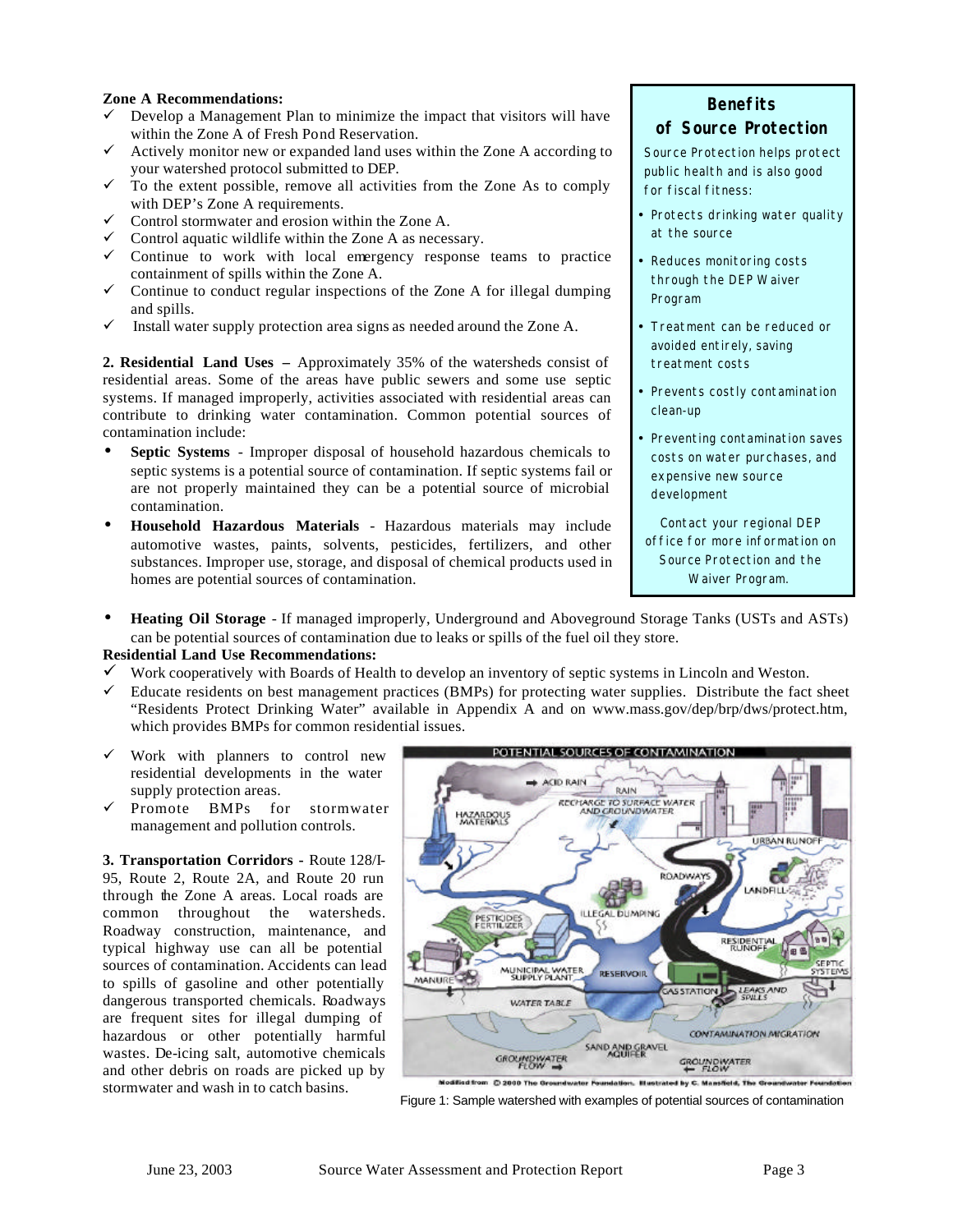#### **Zone A Recommendations:**

- $\checkmark$  Develop a Management Plan to minimize the impact that visitors will have within the Zone A of Fresh Pond Reservation.
- $\checkmark$  Actively monitor new or expanded land uses within the Zone A according to your watershed protocol submitted to DEP.
- $\checkmark$  To the extent possible, remove all activities from the Zone As to comply with DEP's Zone A requirements.
- $\checkmark$  Control stormwater and erosion within the Zone A.
- $\checkmark$  Control aquatic wildlife within the Zone A as necessary.
- $\checkmark$  Continue to work with local emergency response teams to practice containment of spills within the Zone A.
- $\checkmark$  Continue to conduct regular inspections of the Zone A for illegal dumping and spills.
- $\checkmark$  Install water supply protection area signs as needed around the Zone A.

**2. Residential Land Uses –** Approximately 35% of the watersheds consist of residential areas. Some of the areas have public sewers and some use septic systems. If managed improperly, activities associated with residential areas can contribute to drinking water contamination. Common potential sources of contamination include:

- **Septic Systems** Improper disposal of household hazardous chemicals to septic systems is a potential source of contamination. If septic systems fail or are not properly maintained they can be a potential source of microbial contamination.
- **Household Hazardous Materials** Hazardous materials may include automotive wastes, paints, solvents, pesticides, fertilizers, and other substances. Improper use, storage, and disposal of chemical products used in homes are potential sources of contamination.

### **Benefits of Source Protection**

Source Protection helps protect public health and is also good for fiscal fitness:

- Protects drinking water quality at the source
- Reduces monitoring costs through the DEP Waiver Program
- Treatment can be reduced or avoided entirely, saving treatment costs
- Prevents costly contamination clean-up
- Preventing contamination saves costs on water purchases, and expensive new source development

Contact your regional DEP office for more information on Source Protection and the Waiver Program.

• **Heating Oil Storage** - If managed improperly, Underground and Aboveground Storage Tanks (USTs and ASTs) can be potential sources of contamination due to leaks or spills of the fuel oil they store.

#### **Residential Land Use Recommendations:**

- $\checkmark$  Work cooperatively with Boards of Health to develop an inventory of septic systems in Lincoln and Weston.
- $\checkmark$  Educate residents on best management practices (BMPs) for protecting water supplies. Distribute the fact sheet "Residents Protect Drinking Water" available in Appendix A and on www.mass.gov/dep/brp/dws/protect.htm, which provides BMPs for common residential issues.
- $\checkmark$  Work with planners to control new residential developments in the water supply protection areas.
- ¸ Promote BMPs for stormwater management and pollution controls.

**3. Transportation Corridors -** Route 128/I-95, Route 2, Route 2A, and Route 20 run through the Zone A areas. Local roads are common throughout the watersheds. Roadway construction, maintenance, and typical highway use can all be potential sources of contamination. Accidents can lead to spills of gasoline and other potentially dangerous transported chemicals. Roadways are frequent sites for illegal dumping of hazardous or other potentially harmful wastes. De-icing salt, automotive chemicals and other debris on roads are picked up by stormwater and wash in to catch basins.



Figure 1: Sample watershed with examples of potential sources of contamination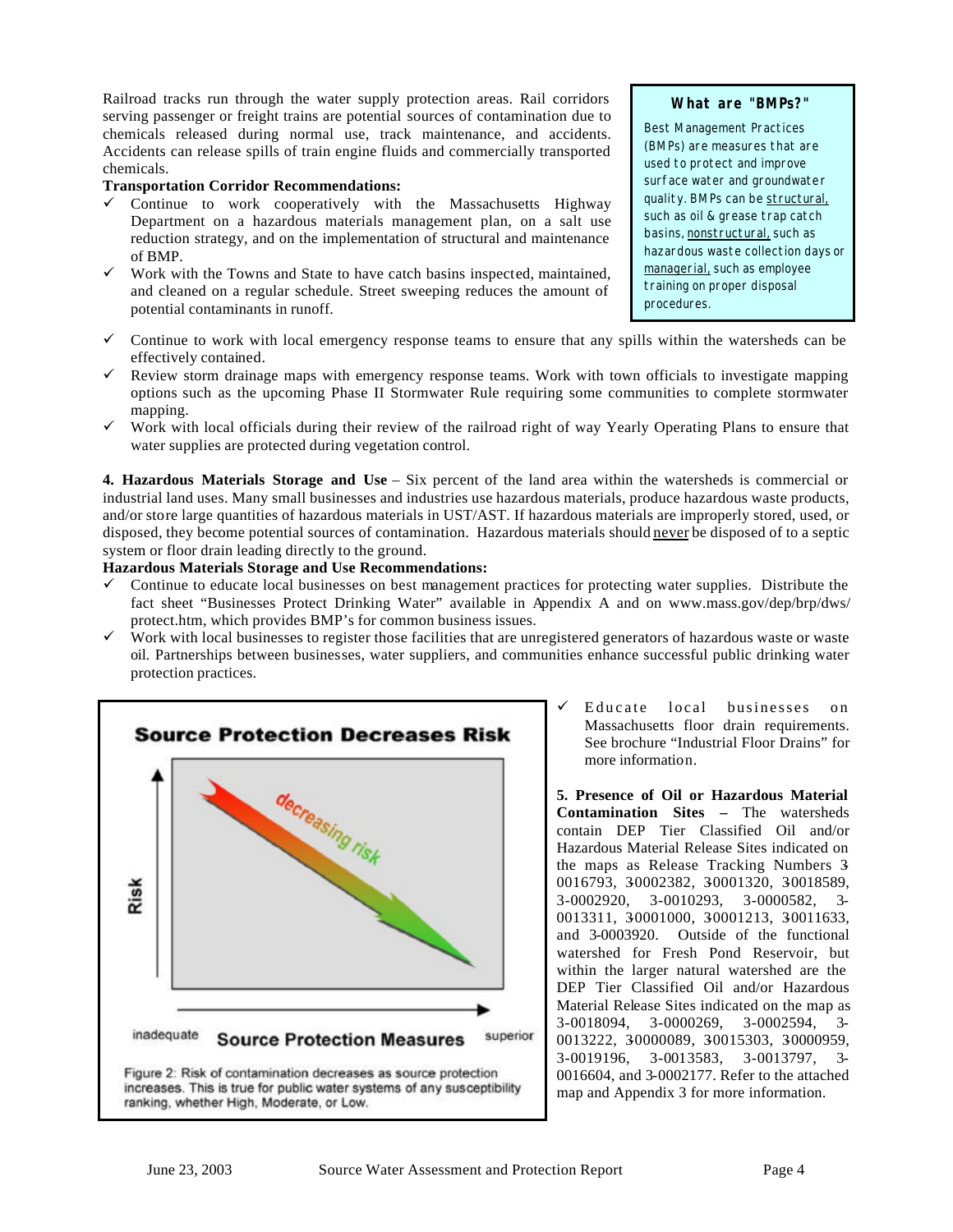Railroad tracks run through the water supply protection areas. Rail corridors serving passenger or freight trains are potential sources of contamination due to chemicals released during normal use, track maintenance, and accidents. Accidents can release spills of train engine fluids and commercially transported chemicals.

#### **Transportation Corridor Recommendations:**

- $\checkmark$  Continue to work cooperatively with the Massachusetts Highway Department on a hazardous materials management plan, on a salt use reduction strategy, and on the implementation of structural and maintenance of BMP.
- $\checkmark$  Work with the Towns and State to have catch basins inspected, maintained, and cleaned on a regular schedule. Street sweeping reduces the amount of potential contaminants in runoff.

#### **What are "BMPs?"**

Best Management Practices (BMPs) are measures that are used to protect and improve surface water and groundwater quality. BMPs can be structural, such as oil & grease trap catch basins, nonstructural, such as hazardous waste collection days or managerial, such as employee training on proper disposal procedures.

- $\checkmark$  Continue to work with local emergency response teams to ensure that any spills within the watersheds can be effectively contained.
- $\checkmark$  Review storm drainage maps with emergency response teams. Work with town officials to investigate mapping options such as the upcoming Phase II Stormwater Rule requiring some communities to complete stormwater mapping.
- $\checkmark$  Work with local officials during their review of the railroad right of way Yearly Operating Plans to ensure that water supplies are protected during vegetation control.

**4. Hazardous Materials Storage and Use** – Six percent of the land area within the watersheds is commercial or industrial land uses. Many small businesses and industries use hazardous materials, produce hazardous waste products, and/or store large quantities of hazardous materials in UST/AST. If hazardous materials are improperly stored, used, or disposed, they become potential sources of contamination. Hazardous materials should never be disposed of to a septic system or floor drain leading directly to the ground.

#### **Hazardous Materials Storage and Use Recommendations:**

- $\checkmark$  Continue to educate local businesses on best management practices for protecting water supplies. Distribute the fact sheet "Businesses Protect Drinking Water" available in Appendix A and on www.mass.gov/dep/brp/dws/ protect.htm, which provides BMP's for common business issues.
- Work with local businesses to register those facilities that are unregistered generators of hazardous waste or waste oil. Partnerships between businesses, water suppliers, and communities enhance successful public drinking water protection practices.



Educate local businesses on Massachusetts floor drain requirements. See brochure "Industrial Floor Drains" for more information.

**5. Presence of Oil or Hazardous Material Contamination Sites –** The watersheds contain DEP Tier Classified Oil and/or Hazardous Material Release Sites indicated on the maps as Release Tracking Numbers 3- 0016793, 30002382, 30001320, 30018589, 3-0002920, 3-0010293, 3-0000582, 3- 0013311, 30001000, 30001213, 30011633, and 3-0003920. Outside of the functional watershed for Fresh Pond Reservoir, but within the larger natural watershed are the DEP Tier Classified Oil and/or Hazardous Material Release Sites indicated on the map as 3-0018094, 3-0000269, 3-0002594, 3- 0013222, 3-0000089, 3-0015303, 3-0000959, 3-0019196, 3-0013583, 3-0013797, 3- 0016604, and 3-0002177. Refer to the attached map and Appendix 3 for more information.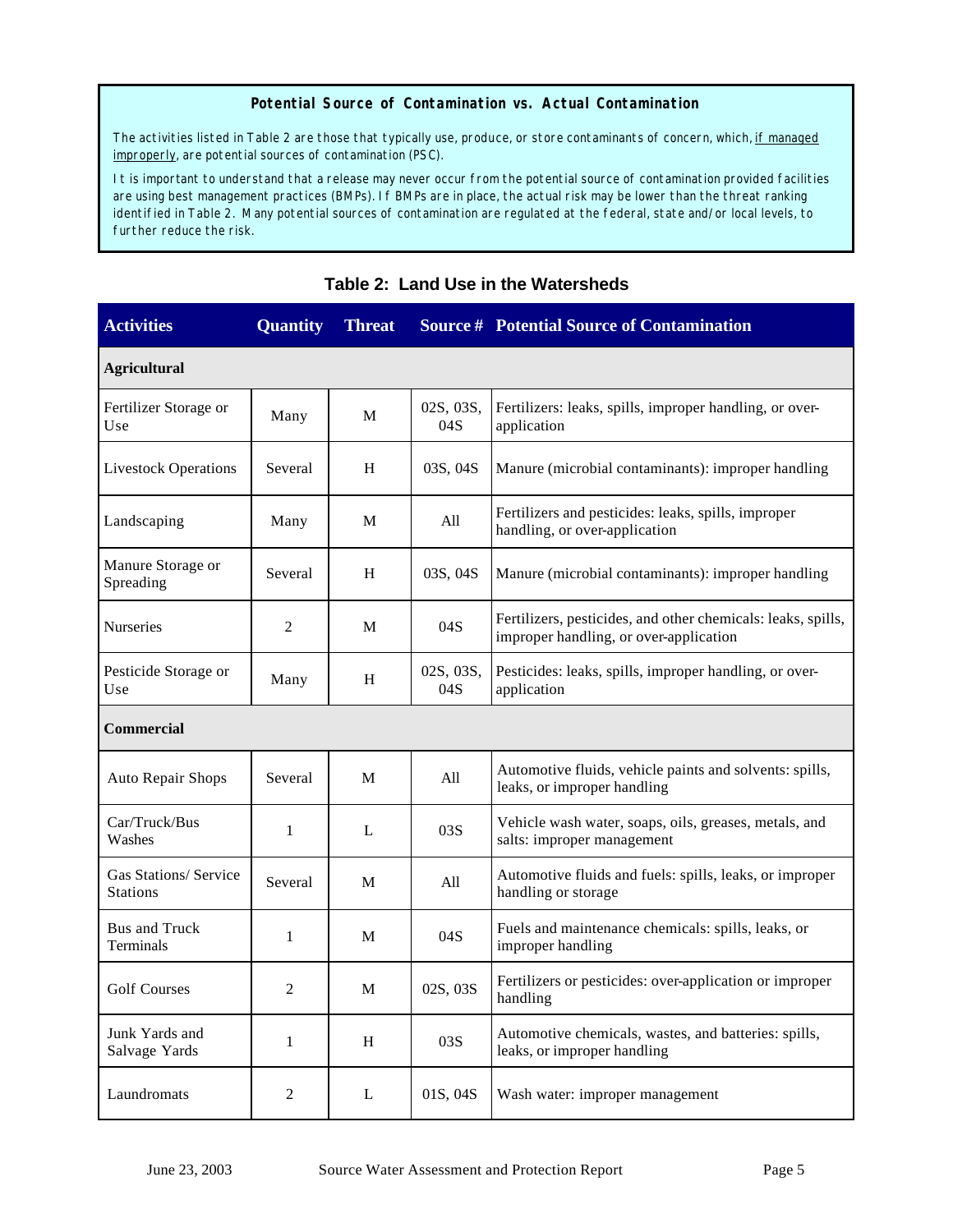#### **Potential Source of Contamination vs. Actual Contamination**

The activities listed in Table 2 are those that typically use, produce, or store contaminants of concern, which, if managed improperly, are potential sources of contamination (PSC).

It is important to understand that a release may never occur from the potential source of contamination provided facilities are using best management practices (BMPs). If BMPs are in place, the actual risk may be lower than the threat ranking identified in Table 2. Many potential sources of contamination are regulated at the federal, state and/or local levels, to further reduce the risk.

| <b>Activities</b>                        | <b>Quantity</b> | <b>Threat</b> |                  | <b>Source # Potential Source of Contamination</b>                                                      |
|------------------------------------------|-----------------|---------------|------------------|--------------------------------------------------------------------------------------------------------|
| <b>Agricultural</b>                      |                 |               |                  |                                                                                                        |
| Fertilizer Storage or<br>Use             | Many            | M             | 02S, 03S,<br>04S | Fertilizers: leaks, spills, improper handling, or over-<br>application                                 |
| <b>Livestock Operations</b>              | Several         | H             | 03S, 04S         | Manure (microbial contaminants): improper handling                                                     |
| Landscaping                              | Many            | M             | All              | Fertilizers and pesticides: leaks, spills, improper<br>handling, or over-application                   |
| Manure Storage or<br>Spreading           | Several         | H             | 03S, 04S         | Manure (microbial contaminants): improper handling                                                     |
| Nurseries                                | 2               | M             | 04S              | Fertilizers, pesticides, and other chemicals: leaks, spills,<br>improper handling, or over-application |
| Pesticide Storage or<br>Use              | Many            | H             | 02S, 03S,<br>04S | Pesticides: leaks, spills, improper handling, or over-<br>application                                  |
| Commercial                               |                 |               |                  |                                                                                                        |
| Auto Repair Shops                        | Several         | M             | All              | Automotive fluids, vehicle paints and solvents: spills,<br>leaks, or improper handling                 |
| Car/Truck/Bus<br>Washes                  | 1               | L             | 03S              | Vehicle wash water, soaps, oils, greases, metals, and<br>salts: improper management                    |
| Gas Stations/ Service<br><b>Stations</b> | Several         | M             | All              | Automotive fluids and fuels: spills, leaks, or improper<br>handling or storage                         |
| Bus and Truck<br>Terminals               | 1               | М             | 04S              | Fuels and maintenance chemicals: spills, leaks, or<br>improper handling                                |
| <b>Golf Courses</b>                      | 2               | M             | 02S, 03S         | Fertilizers or pesticides: over-application or improper<br>handling                                    |
| Junk Yards and<br>Salvage Yards          | 1               | H             | 03S              | Automotive chemicals, wastes, and batteries: spills,<br>leaks, or improper handling                    |
| Laundromats                              | 2               | L             | 01S, 04S         | Wash water: improper management                                                                        |

### **Table 2: Land Use in the Watersheds**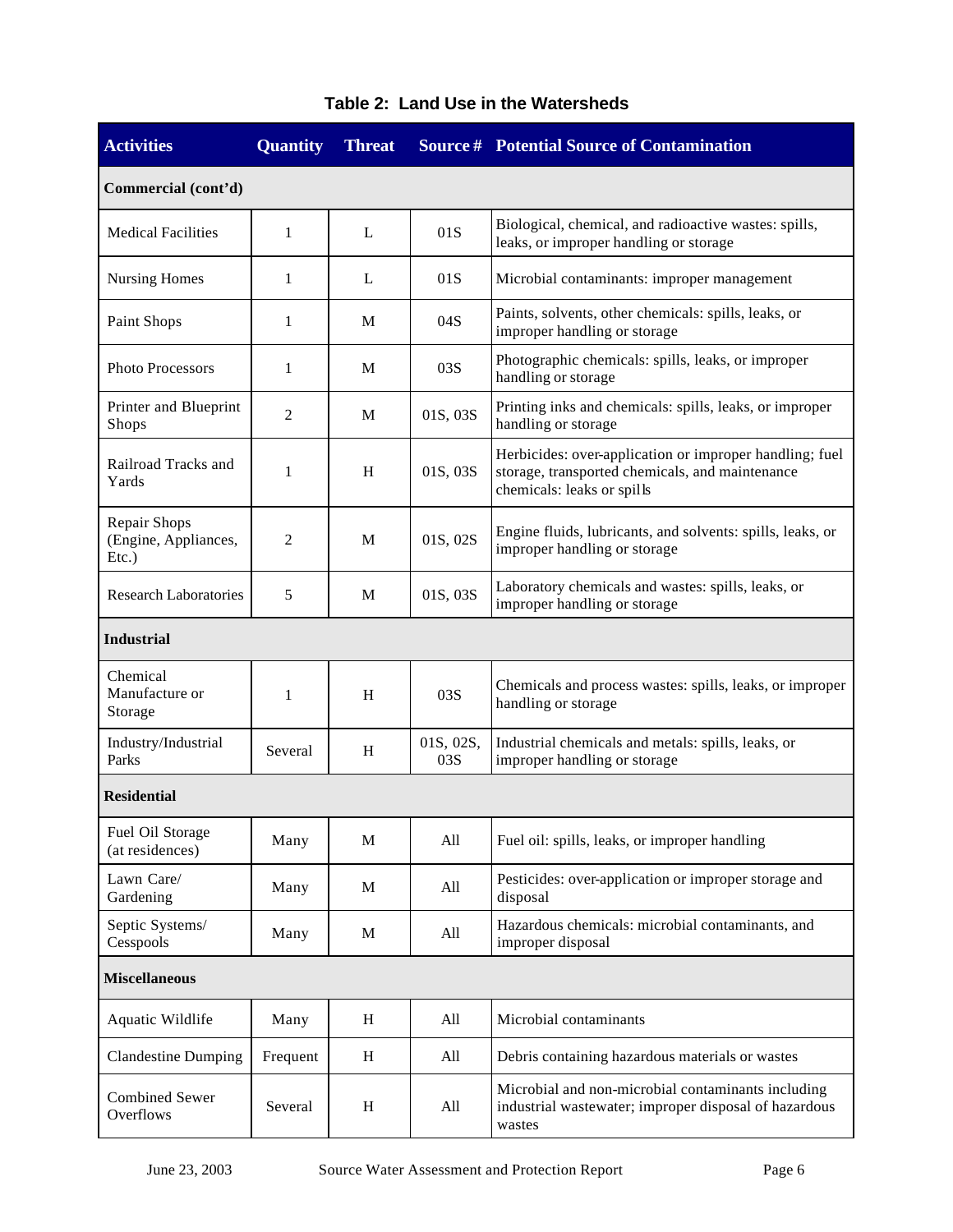| <b>Activities</b>                             | <b>Quantity</b> | <b>Threat</b> |                  | <b>Source # Potential Source of Contamination</b>                                                                                        |
|-----------------------------------------------|-----------------|---------------|------------------|------------------------------------------------------------------------------------------------------------------------------------------|
| Commercial (cont'd)                           |                 |               |                  |                                                                                                                                          |
| <b>Medical Facilities</b>                     | $\mathbf{1}$    | $\mathbf{L}$  | 01S              | Biological, chemical, and radioactive wastes: spills,<br>leaks, or improper handling or storage                                          |
| <b>Nursing Homes</b>                          | 1               | L             | 01S              | Microbial contaminants: improper management                                                                                              |
| Paint Shops                                   | 1               | М             | 04S              | Paints, solvents, other chemicals: spills, leaks, or<br>improper handling or storage                                                     |
| Photo Processors                              | 1               | М             | 03S              | Photographic chemicals: spills, leaks, or improper<br>handling or storage                                                                |
| Printer and Blueprint<br>Shops                | 2               | M             | 01S, 03S         | Printing inks and chemicals: spills, leaks, or improper<br>handling or storage                                                           |
| Railroad Tracks and<br>Yards                  | 1               | H             | 01S, 03S         | Herbicides: over-application or improper handling; fuel<br>storage, transported chemicals, and maintenance<br>chemicals: leaks or spills |
| Repair Shops<br>(Engine, Appliances,<br>Etc.) | 2               | M             | 01S, 02S         | Engine fluids, lubricants, and solvents: spills, leaks, or<br>improper handling or storage                                               |
| <b>Research Laboratories</b>                  | 5               | M             | 01S, 03S         | Laboratory chemicals and wastes: spills, leaks, or<br>improper handling or storage                                                       |
| <b>Industrial</b>                             |                 |               |                  |                                                                                                                                          |
| Chemical<br>Manufacture or<br>Storage         | 1               | H             | 03S              | Chemicals and process wastes: spills, leaks, or improper<br>handling or storage                                                          |
| Industry/Industrial<br>Parks                  | Several         | H             | 01S, 02S,<br>03S | Industrial chemicals and metals: spills, leaks, or<br>improper handling or storage                                                       |
| <b>Residential</b>                            |                 |               |                  |                                                                                                                                          |
| Fuel Oil Storage<br>(at residences)           | Many            | M             | All              | Fuel oil: spills, leaks, or improper handling                                                                                            |
| Lawn Care/<br>Gardening                       | Many            | M             | All              | Pesticides: over-application or improper storage and<br>disposal                                                                         |
| Septic Systems/<br>Cesspools                  | Many            | M             | All              | Hazardous chemicals: microbial contaminants, and<br>improper disposal                                                                    |
| <b>Miscellaneous</b>                          |                 |               |                  |                                                                                                                                          |
| Aquatic Wildlife                              | Many            | H             | All              | Microbial contaminants                                                                                                                   |
| <b>Clandestine Dumping</b>                    | Frequent        | H             | All              | Debris containing hazardous materials or wastes                                                                                          |
| <b>Combined Sewer</b><br>Overflows            | Several         | H             | All              | Microbial and non-microbial contaminants including<br>industrial wastewater; improper disposal of hazardous<br>wastes                    |

# **Table 2: Land Use in the Watersheds**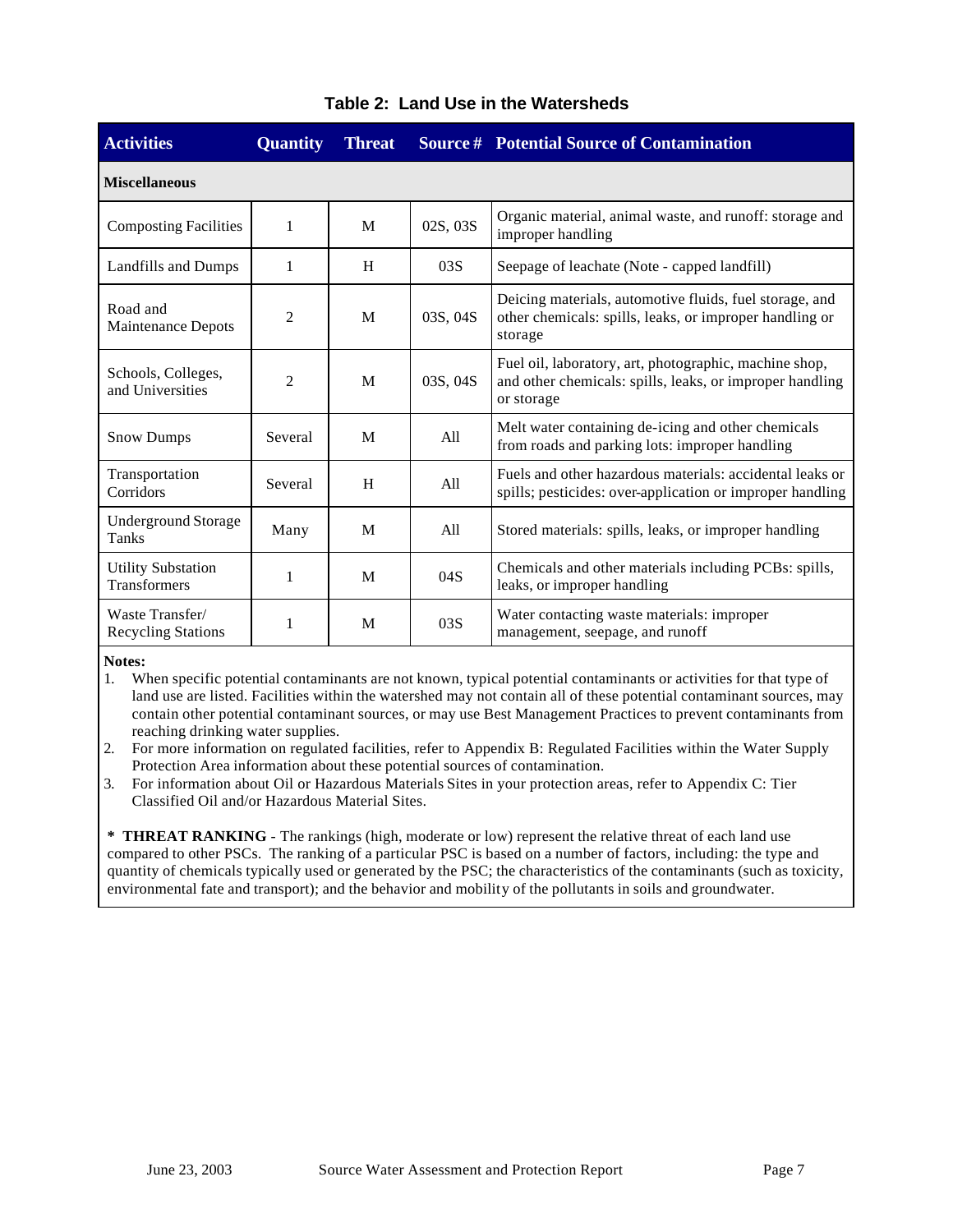| <b>Activities</b>                                | Quantity       | <b>Threat</b> |          | <b>Source # Potential Source of Contamination</b>                                                                                |  |  |  |  |  |
|--------------------------------------------------|----------------|---------------|----------|----------------------------------------------------------------------------------------------------------------------------------|--|--|--|--|--|
| <b>Miscellaneous</b>                             |                |               |          |                                                                                                                                  |  |  |  |  |  |
| <b>Composting Facilities</b>                     | $\mathbf{1}$   | M             | 02S, 03S | Organic material, animal waste, and runoff: storage and<br>improper handling                                                     |  |  |  |  |  |
| Landfills and Dumps                              | 1              | H             | 03S      | Seepage of leachate (Note - capped landfill)                                                                                     |  |  |  |  |  |
| Road and<br><b>Maintenance Depots</b>            | $\overline{c}$ | M             | 03S, 04S | Deicing materials, automotive fluids, fuel storage, and<br>other chemicals: spills, leaks, or improper handling or<br>storage    |  |  |  |  |  |
| Schools, Colleges,<br>and Universities           | $\overline{c}$ | M             | 03S, 04S | Fuel oil, laboratory, art, photographic, machine shop,<br>and other chemicals: spills, leaks, or improper handling<br>or storage |  |  |  |  |  |
| <b>Snow Dumps</b>                                | Several        | M             | A11      | Melt water containing de-icing and other chemicals<br>from roads and parking lots: improper handling                             |  |  |  |  |  |
| Transportation<br>Corridors                      | Several        | H             | A11      | Fuels and other hazardous materials: accidental leaks or<br>spills; pesticides: over-application or improper handling            |  |  |  |  |  |
| <b>Underground Storage</b><br>Tanks              | Many           | M             | All      | Stored materials: spills, leaks, or improper handling                                                                            |  |  |  |  |  |
| <b>Utility Substation</b><br><b>Transformers</b> | 1              | M             | 04S      | Chemicals and other materials including PCBs: spills,<br>leaks, or improper handling                                             |  |  |  |  |  |
| Waste Transfer/<br><b>Recycling Stations</b>     | 1              | M             | 03S      | Water contacting waste materials: improper<br>management, seepage, and runoff                                                    |  |  |  |  |  |

### **Table 2: Land Use in the Watersheds**

#### **Notes:**

1. When specific potential contaminants are not known, typical potential contaminants or activities for that type of land use are listed. Facilities within the watershed may not contain all of these potential contaminant sources, may contain other potential contaminant sources, or may use Best Management Practices to prevent contaminants from reaching drinking water supplies.

2. For more information on regulated facilities, refer to Appendix B: Regulated Facilities within the Water Supply Protection Area information about these potential sources of contamination.

3. For information about Oil or Hazardous Materials Sites in your protection areas, refer to Appendix C: Tier Classified Oil and/or Hazardous Material Sites.

**\* THREAT RANKING** - The rankings (high, moderate or low) represent the relative threat of each land use compared to other PSCs. The ranking of a particular PSC is based on a number of factors, including: the type and quantity of chemicals typically used or generated by the PSC; the characteristics of the contaminants (such as toxicity, environmental fate and transport); and the behavior and mobility of the pollutants in soils and groundwater.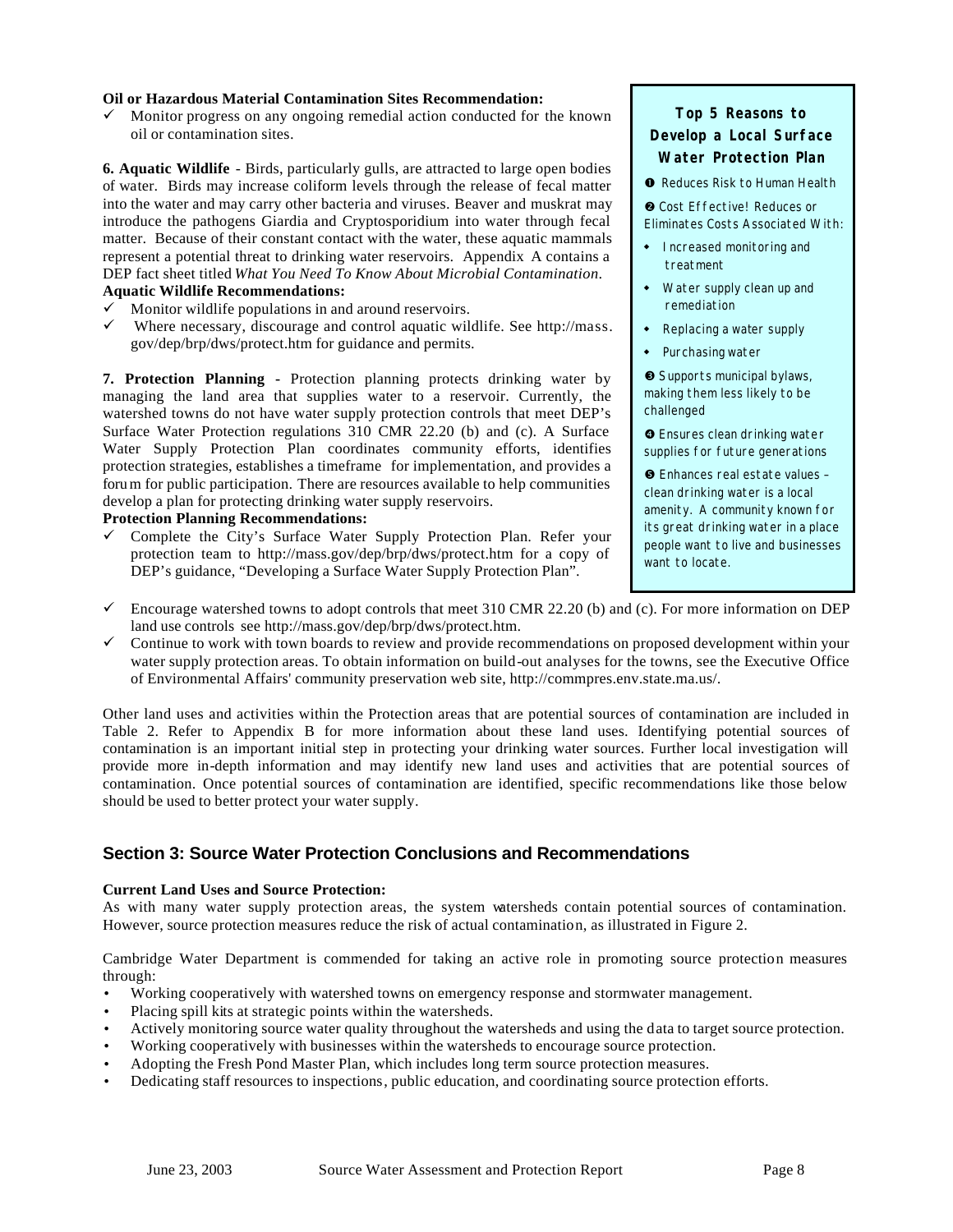#### **Oil or Hazardous Material Contamination Sites Recommendation:**

 $\checkmark$  Monitor progress on any ongoing remedial action conducted for the known oil or contamination sites.

**6. Aquatic Wildlife** - Birds, particularly gulls, are attracted to large open bodies of water. Birds may increase coliform levels through the release of fecal matter into the water and may carry other bacteria and viruses. Beaver and muskrat may introduce the pathogens Giardia and Cryptosporidium into water through fecal matter. Because of their constant contact with the water, these aquatic mammals represent a potential threat to drinking water reservoirs. Appendix A contains a DEP fact sheet titled *What You Need To Know About Microbial Contamination*. **Aquatic Wildlife Recommendations:**

- $\checkmark$  Monitor wildlife populations in and around reservoirs.
- Where necessary, discourage and control aquatic wildlife. See http://mass. gov/dep/brp/dws/protect.htm for guidance and permits.

**7. Protection Planning -** Protection planning protects drinking water by managing the land area that supplies water to a reservoir. Currently, the watershed towns do not have water supply protection controls that meet DEP's Surface Water Protection regulations 310 CMR 22.20 (b) and (c). A Surface Water Supply Protection Plan coordinates community efforts, identifies protection strategies, establishes a timeframe for implementation, and provides a forum for public participation. There are resources available to help communities develop a plan for protecting drinking water supply reservoirs.

#### **Protection Planning Recommendations:**

 $\checkmark$  Complete the City's Surface Water Supply Protection Plan. Refer your protection team to http://mass.gov/dep/brp/dws/protect.htm for a copy of DEP's guidance, "Developing a Surface Water Supply Protection Plan".

### **Top 5 Reasons to Develop a Local Surface Water Protection Plan**

**O** Reduces Risk to Human Health

 $\odot$  Cost Effective! Reduces or Eliminates Costs Associated With:

- Increased monitoring and treatment
- $\bullet$  Water supply clean up and remediation
- Replacing a water supply
- $\bullet$  Purchasing water

é Supports municipal bylaws, making them less likely to be challenged

 $\bullet$  Ensures clean drinking water supplies for future generations

ê Enhances real estate values – clean drinking water is a local amenity. A community known for its great drinking water in a place people want to live and businesses want to locate.

- $\checkmark$  Encourage watershed towns to adopt controls that meet 310 CMR 22.20 (b) and (c). For more information on DEP land use controls see http://mass.gov/dep/brp/dws/protect.htm.
- $\checkmark$  Continue to work with town boards to review and provide recommendations on proposed development within your water supply protection areas. To obtain information on build-out analyses for the towns, see the Executive Office of Environmental Affairs' community preservation web site, http://commpres.env.state.ma.us/.

Other land uses and activities within the Protection areas that are potential sources of contamination are included in Table 2. Refer to Appendix B for more information about these land uses. Identifying potential sources of contamination is an important initial step in protecting your drinking water sources. Further local investigation will provide more in-depth information and may identify new land uses and activities that are potential sources of contamination. Once potential sources of contamination are identified, specific recommendations like those below should be used to better protect your water supply.

### **Section 3: Source Water Protection Conclusions and Recommendations**

#### **Current Land Uses and Source Protection:**

As with many water supply protection areas, the system watersheds contain potential sources of contamination. However, source protection measures reduce the risk of actual contamination, as illustrated in Figure 2.

Cambridge Water Department is commended for taking an active role in promoting source protection measures through:

- Working cooperatively with watershed towns on emergency response and stormwater management.
- Placing spill kits at strategic points within the watersheds.
- Actively monitoring source water quality throughout the watersheds and using the data to target source protection.
- Working cooperatively with businesses within the watersheds to encourage source protection.
- Adopting the Fresh Pond Master Plan, which includes long term source protection measures.
- Dedicating staff resources to inspections, public education, and coordinating source protection efforts.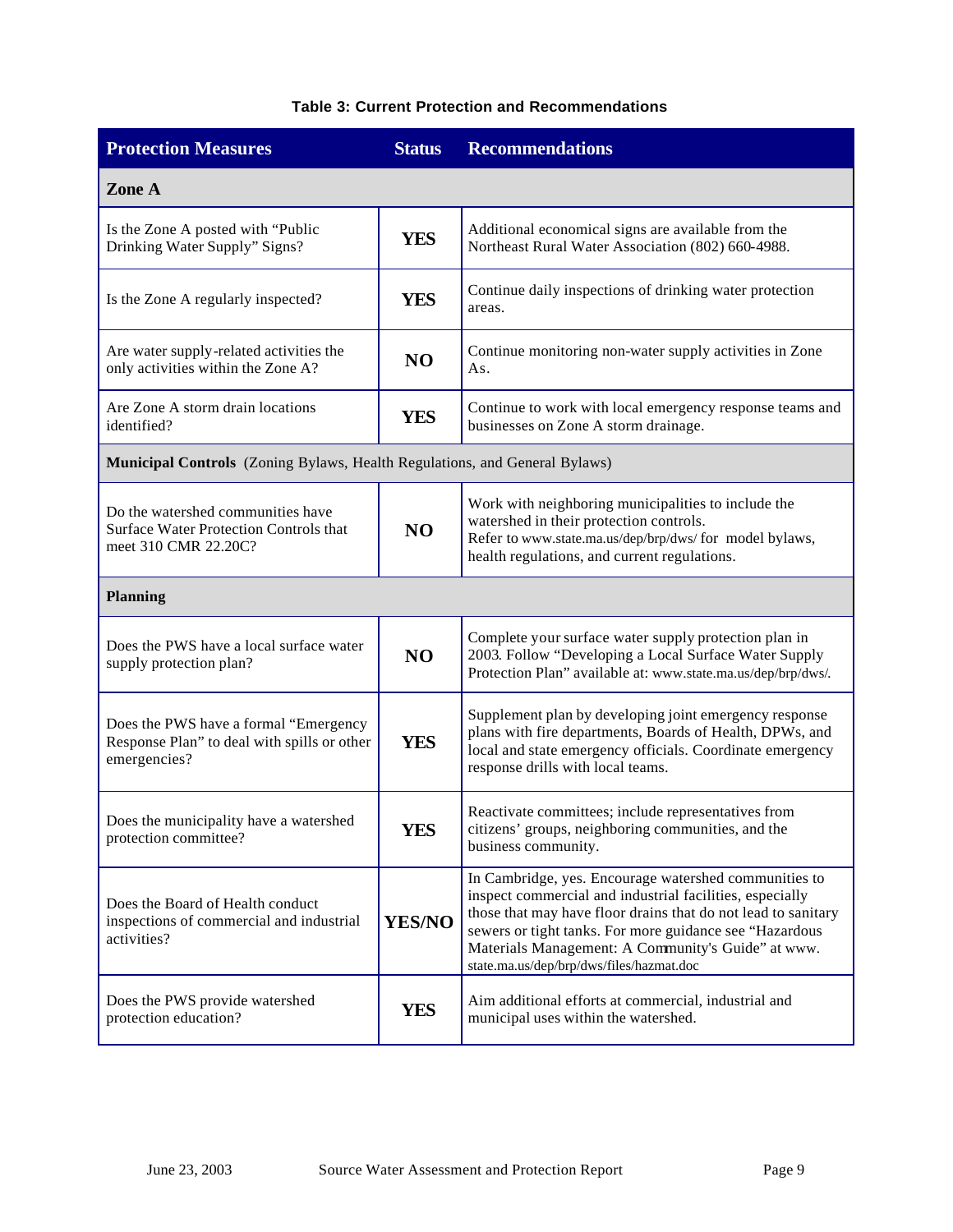### **Table 3: Current Protection and Recommendations**

| <b>Protection Measures</b>                                                                           | <b>Status</b>  | <b>Recommendations</b>                                                                                                                                                                                                                                                                                                                          |  |  |  |
|------------------------------------------------------------------------------------------------------|----------------|-------------------------------------------------------------------------------------------------------------------------------------------------------------------------------------------------------------------------------------------------------------------------------------------------------------------------------------------------|--|--|--|
| Zone A                                                                                               |                |                                                                                                                                                                                                                                                                                                                                                 |  |  |  |
| Is the Zone A posted with "Public<br>Drinking Water Supply" Signs?                                   | <b>YES</b>     | Additional economical signs are available from the<br>Northeast Rural Water Association (802) 660-4988.                                                                                                                                                                                                                                         |  |  |  |
| Is the Zone A regularly inspected?                                                                   | <b>YES</b>     | Continue daily inspections of drinking water protection<br>areas.                                                                                                                                                                                                                                                                               |  |  |  |
| Are water supply-related activities the<br>only activities within the Zone A?                        | N <sub>O</sub> | Continue monitoring non-water supply activities in Zone<br>As.                                                                                                                                                                                                                                                                                  |  |  |  |
| Are Zone A storm drain locations<br>identified?                                                      | <b>YES</b>     | Continue to work with local emergency response teams and<br>businesses on Zone A storm drainage.                                                                                                                                                                                                                                                |  |  |  |
| Municipal Controls (Zoning Bylaws, Health Regulations, and General Bylaws)                           |                |                                                                                                                                                                                                                                                                                                                                                 |  |  |  |
| Do the watershed communities have<br>Surface Water Protection Controls that<br>meet 310 CMR 22.20C?  | N <sub>O</sub> | Work with neighboring municipalities to include the<br>watershed in their protection controls.<br>Refer to www.state.ma.us/dep/brp/dws/ for model bylaws,<br>health regulations, and current regulations.                                                                                                                                       |  |  |  |
| <b>Planning</b>                                                                                      |                |                                                                                                                                                                                                                                                                                                                                                 |  |  |  |
| Does the PWS have a local surface water<br>supply protection plan?                                   | N <sub>O</sub> | Complete your surface water supply protection plan in<br>2003. Follow "Developing a Local Surface Water Supply<br>Protection Plan" available at: www.state.ma.us/dep/brp/dws/.                                                                                                                                                                  |  |  |  |
| Does the PWS have a formal "Emergency<br>Response Plan" to deal with spills or other<br>emergencies? | <b>YES</b>     | Supplement plan by developing joint emergency response<br>plans with fire departments, Boards of Health, DPWs, and<br>local and state emergency officials. Coordinate emergency<br>response drills with local teams.                                                                                                                            |  |  |  |
| Does the municipality have a watershed<br>protection committee?                                      | <b>YES</b>     | Reactivate committees; include representatives from<br>citizens' groups, neighboring communities, and the<br>business community.                                                                                                                                                                                                                |  |  |  |
| Does the Board of Health conduct<br>inspections of commercial and industrial<br>activities?          | <b>YES/NO</b>  | In Cambridge, yes. Encourage watershed communities to<br>inspect commercial and industrial facilities, especially<br>those that may have floor drains that do not lead to sanitary<br>sewers or tight tanks. For more guidance see "Hazardous<br>Materials Management: A Community's Guide" at www.<br>state.ma.us/dep/brp/dws/files/hazmat.doc |  |  |  |
| Does the PWS provide watershed<br>protection education?                                              | YES            | Aim additional efforts at commercial, industrial and<br>municipal uses within the watershed.                                                                                                                                                                                                                                                    |  |  |  |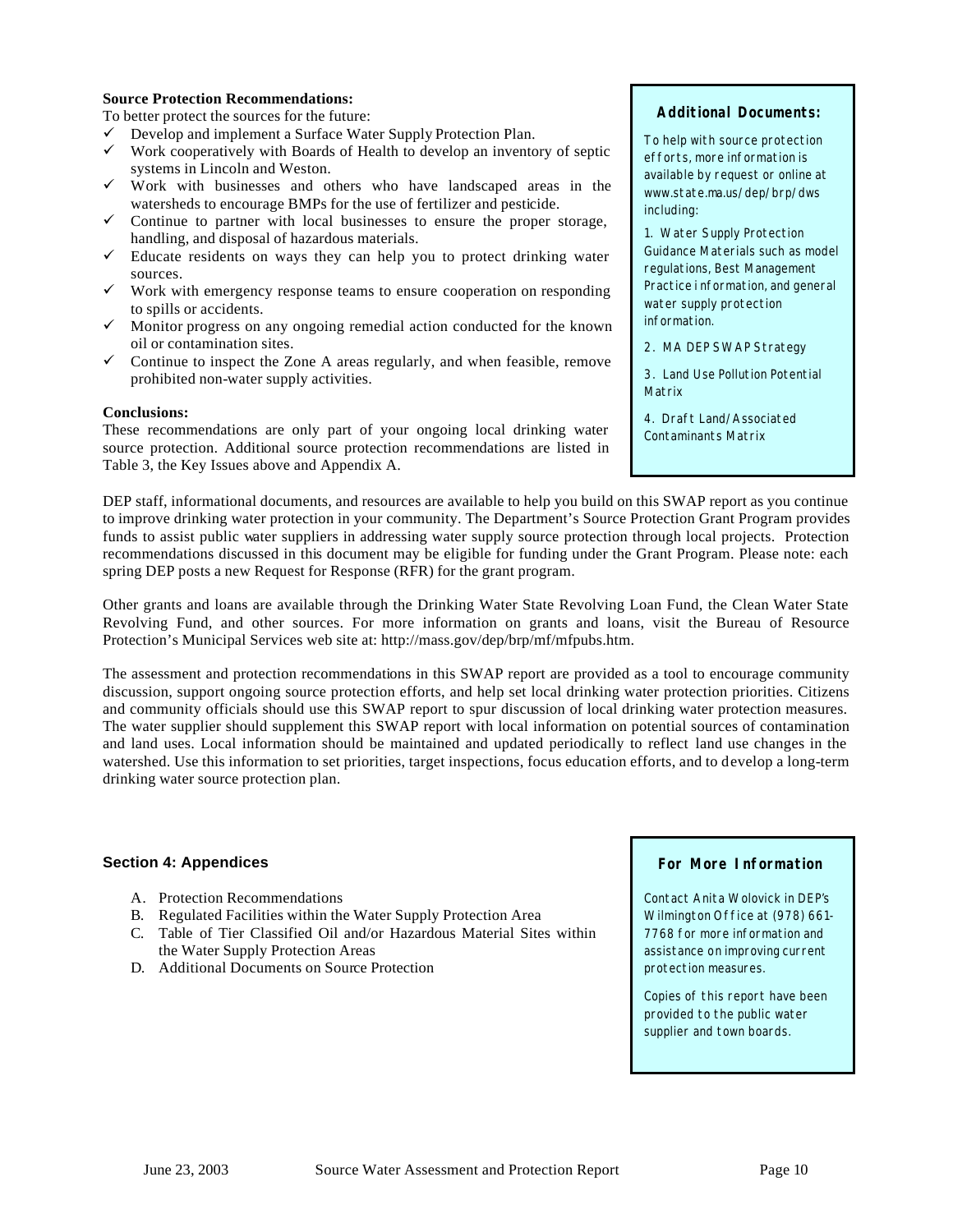#### **Source Protection Recommendations:**

To better protect the sources for the future:

- $\checkmark$  Develop and implement a Surface Water Supply Protection Plan.
- $\checkmark$  Work cooperatively with Boards of Health to develop an inventory of septic systems in Lincoln and Weston.
- $\checkmark$  Work with businesses and others who have landscaped areas in the watersheds to encourage BMPs for the use of fertilizer and pesticide.
- $\checkmark$  Continue to partner with local businesses to ensure the proper storage, handling, and disposal of hazardous materials.
- $\checkmark$  Educate residents on ways they can help you to protect drinking water sources.
- $\checkmark$  Work with emergency response teams to ensure cooperation on responding to spills or accidents.
- $\checkmark$  Monitor progress on any ongoing remedial action conducted for the known oil or contamination sites.
- $\checkmark$  Continue to inspect the Zone A areas regularly, and when feasible, remove prohibited non-water supply activities.

#### **Conclusions:**

These recommendations are only part of your ongoing local drinking water source protection. Additional source protection recommendations are listed in Table 3, the Key Issues above and Appendix A.

#### **Additional Documents:**

To help with source protection efforts, more information is available by request or online at www.state.ma.us/dep/brp/dws including:

1. Water Supply Protection Guidance Materials such as model regulations, Best Management Practice i nformation, and general water supply protection information.

2. MA DEP SWAP Strategy

3. Land Use Pollution Potential Matrix

4. Draft Land/Associated Contaminants Matrix

DEP staff, informational documents, and resources are available to help you build on this SWAP report as you continue to improve drinking water protection in your community. The Department's Source Protection Grant Program provides funds to assist public water suppliers in addressing water supply source protection through local projects. Protection recommendations discussed in this document may be eligible for funding under the Grant Program. Please note: each spring DEP posts a new Request for Response (RFR) for the grant program.

Other grants and loans are available through the Drinking Water State Revolving Loan Fund, the Clean Water State Revolving Fund, and other sources. For more information on grants and loans, visit the Bureau of Resource Protection's Municipal Services web site at: http://mass.gov/dep/brp/mf/mfpubs.htm.

The assessment and protection recommendations in this SWAP report are provided as a tool to encourage community discussion, support ongoing source protection efforts, and help set local drinking water protection priorities. Citizens and community officials should use this SWAP report to spur discussion of local drinking water protection measures. The water supplier should supplement this SWAP report with local information on potential sources of contamination and land uses. Local information should be maintained and updated periodically to reflect land use changes in the watershed. Use this information to set priorities, target inspections, focus education efforts, and to develop a long-term drinking water source protection plan.

#### **Section 4: Appendices**

- A. Protection Recommendations
- B. Regulated Facilities within the Water Supply Protection Area
- C. Table of Tier Classified Oil and/or Hazardous Material Sites within the Water Supply Protection Areas
- D. Additional Documents on Source Protection

### **For More Information**

Contact Anita Wolovick in DEP's Wilmington Office at (978) 661- 7768 for more information and assistance on improving current protection measures.

Copies of this report have been provided to the public water supplier and town boards.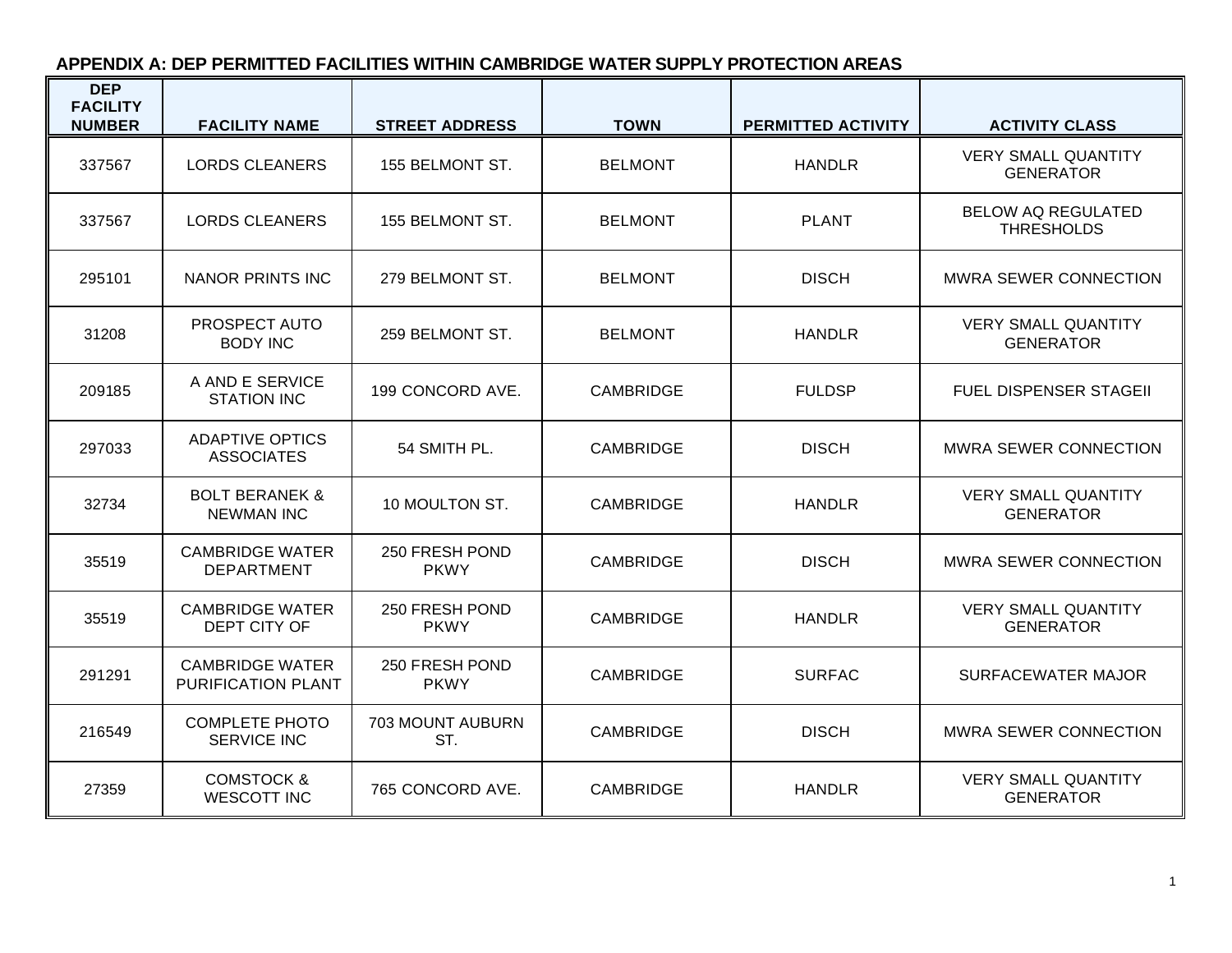# **APPENDIX A: DEP PERMITTED FACILITIES WITHIN CAMBRIDGE WATER SUPPLY PROTECTION AREAS**

| <b>DEP</b><br><b>FACILITY</b><br><b>NUMBER</b> | <b>FACILITY NAME</b>                           | <b>STREET ADDRESS</b>          | <b>TOWN</b>      | <b>PERMITTED ACTIVITY</b> | <b>ACTIVITY CLASS</b>                          |
|------------------------------------------------|------------------------------------------------|--------------------------------|------------------|---------------------------|------------------------------------------------|
| 337567                                         | <b>LORDS CLEANERS</b>                          | 155 BELMONT ST.                | <b>BELMONT</b>   | <b>HANDLR</b>             | <b>VERY SMALL QUANTITY</b><br><b>GENERATOR</b> |
| 337567                                         | <b>LORDS CLEANERS</b>                          | 155 BELMONT ST.                | <b>BELMONT</b>   | <b>PLANT</b>              | <b>BELOW AQ REGULATED</b><br><b>THRESHOLDS</b> |
| 295101                                         | <b>NANOR PRINTS INC</b>                        | 279 BELMONT ST.                | <b>BELMONT</b>   | <b>DISCH</b>              | <b>MWRA SEWER CONNECTION</b>                   |
| 31208                                          | PROSPECT AUTO<br><b>BODY INC</b>               | 259 BELMONT ST.                | <b>BELMONT</b>   | <b>HANDLR</b>             | <b>VERY SMALL QUANTITY</b><br><b>GENERATOR</b> |
| 209185                                         | A AND E SERVICE<br><b>STATION INC</b>          | 199 CONCORD AVE.               | <b>CAMBRIDGE</b> | <b>FULDSP</b>             | <b>FUEL DISPENSER STAGEII</b>                  |
| 297033                                         | <b>ADAPTIVE OPTICS</b><br><b>ASSOCIATES</b>    | 54 SMITH PL.                   | <b>CAMBRIDGE</b> | <b>DISCH</b>              | <b>MWRA SEWER CONNECTION</b>                   |
| 32734                                          | <b>BOLT BERANEK &amp;</b><br><b>NEWMAN INC</b> | 10 MOULTON ST.                 | <b>CAMBRIDGE</b> | <b>HANDLR</b>             | <b>VERY SMALL QUANTITY</b><br><b>GENERATOR</b> |
| 35519                                          | <b>CAMBRIDGE WATER</b><br><b>DEPARTMENT</b>    | 250 FRESH POND<br><b>PKWY</b>  | <b>CAMBRIDGE</b> | <b>DISCH</b>              | <b>MWRA SEWER CONNECTION</b>                   |
| 35519                                          | <b>CAMBRIDGE WATER</b><br>DEPT CITY OF         | 250 FRESH POND<br><b>PKWY</b>  | <b>CAMBRIDGE</b> | <b>HANDLR</b>             | <b>VERY SMALL QUANTITY</b><br><b>GENERATOR</b> |
| 291291                                         | <b>CAMBRIDGE WATER</b><br>PURIFICATION PLANT   | 250 FRESH POND<br><b>PKWY</b>  | <b>CAMBRIDGE</b> | <b>SURFAC</b>             | SURFACEWATER MAJOR                             |
| 216549                                         | <b>COMPLETE PHOTO</b><br><b>SERVICE INC</b>    | <b>703 MOUNT AUBURN</b><br>ST. | <b>CAMBRIDGE</b> | <b>DISCH</b>              | MWRA SEWER CONNECTION                          |
| 27359                                          | <b>COMSTOCK &amp;</b><br><b>WESCOTT INC</b>    | 765 CONCORD AVE.               | <b>CAMBRIDGE</b> | <b>HANDLR</b>             | <b>VERY SMALL QUANTITY</b><br><b>GENERATOR</b> |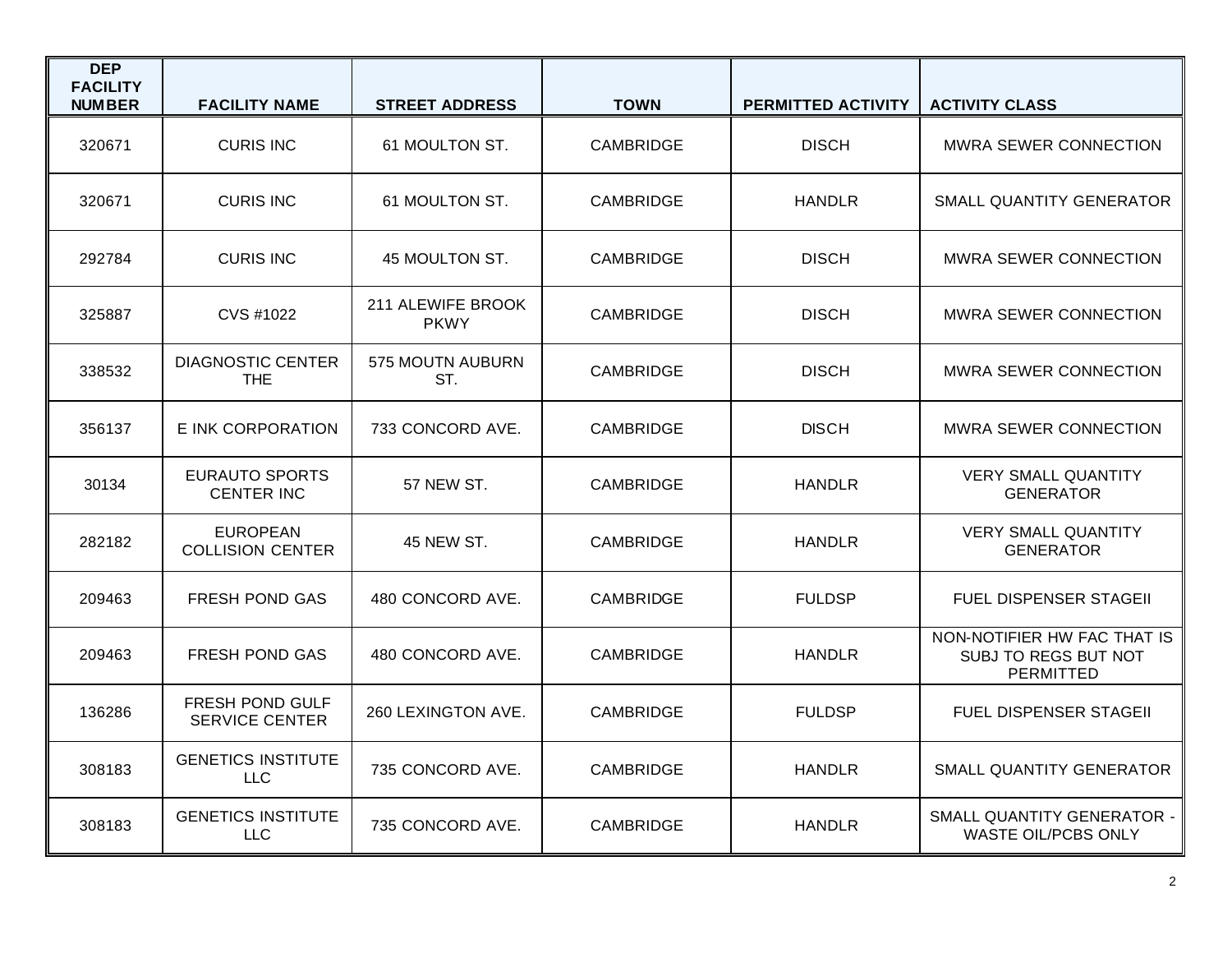| <b>DEP</b><br><b>FACILITY</b><br><b>NUMBER</b> | <b>FACILITY NAME</b>                       | <b>STREET ADDRESS</b>            | <b>TOWN</b>      | PERMITTED ACTIVITY | <b>ACTIVITY CLASS</b>                                                   |
|------------------------------------------------|--------------------------------------------|----------------------------------|------------------|--------------------|-------------------------------------------------------------------------|
| 320671                                         | <b>CURIS INC</b>                           | 61 MOULTON ST.                   | <b>CAMBRIDGE</b> | <b>DISCH</b>       | <b>MWRA SEWER CONNECTION</b>                                            |
| 320671                                         | <b>CURIS INC</b>                           | 61 MOULTON ST.                   | <b>CAMBRIDGE</b> | <b>HANDLR</b>      | SMALL QUANTITY GENERATOR                                                |
| 292784                                         | <b>CURIS INC</b>                           | 45 MOULTON ST.                   | <b>CAMBRIDGE</b> | <b>DISCH</b>       | <b>MWRA SEWER CONNECTION</b>                                            |
| 325887                                         | CVS #1022                                  | 211 ALEWIFE BROOK<br><b>PKWY</b> | <b>CAMBRIDGE</b> | <b>DISCH</b>       | <b>MWRA SEWER CONNECTION</b>                                            |
| 338532                                         | <b>DIAGNOSTIC CENTER</b><br><b>THE</b>     | 575 MOUTN AUBURN<br>ST.          | <b>CAMBRIDGE</b> | <b>DISCH</b>       | <b>MWRA SEWER CONNECTION</b>                                            |
| 356137                                         | E INK CORPORATION                          | 733 CONCORD AVE.                 | <b>CAMBRIDGE</b> | <b>DISCH</b>       | <b>MWRA SEWER CONNECTION</b>                                            |
| 30134                                          | <b>EURAUTO SPORTS</b><br><b>CENTER INC</b> | 57 NEW ST.                       | <b>CAMBRIDGE</b> | <b>HANDLR</b>      | <b>VERY SMALL QUANTITY</b><br><b>GENERATOR</b>                          |
| 282182                                         | <b>EUROPEAN</b><br><b>COLLISION CENTER</b> | 45 NEW ST.                       | <b>CAMBRIDGE</b> | <b>HANDLR</b>      | <b>VERY SMALL QUANTITY</b><br><b>GENERATOR</b>                          |
| 209463                                         | <b>FRESH POND GAS</b>                      | 480 CONCORD AVE.                 | <b>CAMBRIDGE</b> | <b>FULDSP</b>      | <b>FUEL DISPENSER STAGEIL</b>                                           |
| 209463                                         | <b>FRESH POND GAS</b>                      | 480 CONCORD AVE.                 | <b>CAMBRIDGE</b> | <b>HANDLR</b>      | NON-NOTIFIER HW FAC THAT IS<br>SUBJ TO REGS BUT NOT<br><b>PERMITTED</b> |
| 136286                                         | FRESH POND GULF<br><b>SERVICE CENTER</b>   | 260 LEXINGTON AVE.               | <b>CAMBRIDGE</b> | <b>FULDSP</b>      | FUEL DISPENSER STAGEII                                                  |
| 308183                                         | <b>GENETICS INSTITUTE</b><br><b>LLC</b>    | 735 CONCORD AVE.                 | <b>CAMBRIDGE</b> | <b>HANDLR</b>      | SMALL QUANTITY GENERATOR                                                |
| 308183                                         | <b>GENETICS INSTITUTE</b><br><b>LLC</b>    | 735 CONCORD AVE.                 | <b>CAMBRIDGE</b> | <b>HANDLR</b>      | SMALL QUANTITY GENERATOR -<br><b>WASTE OIL/PCBS ONLY</b>                |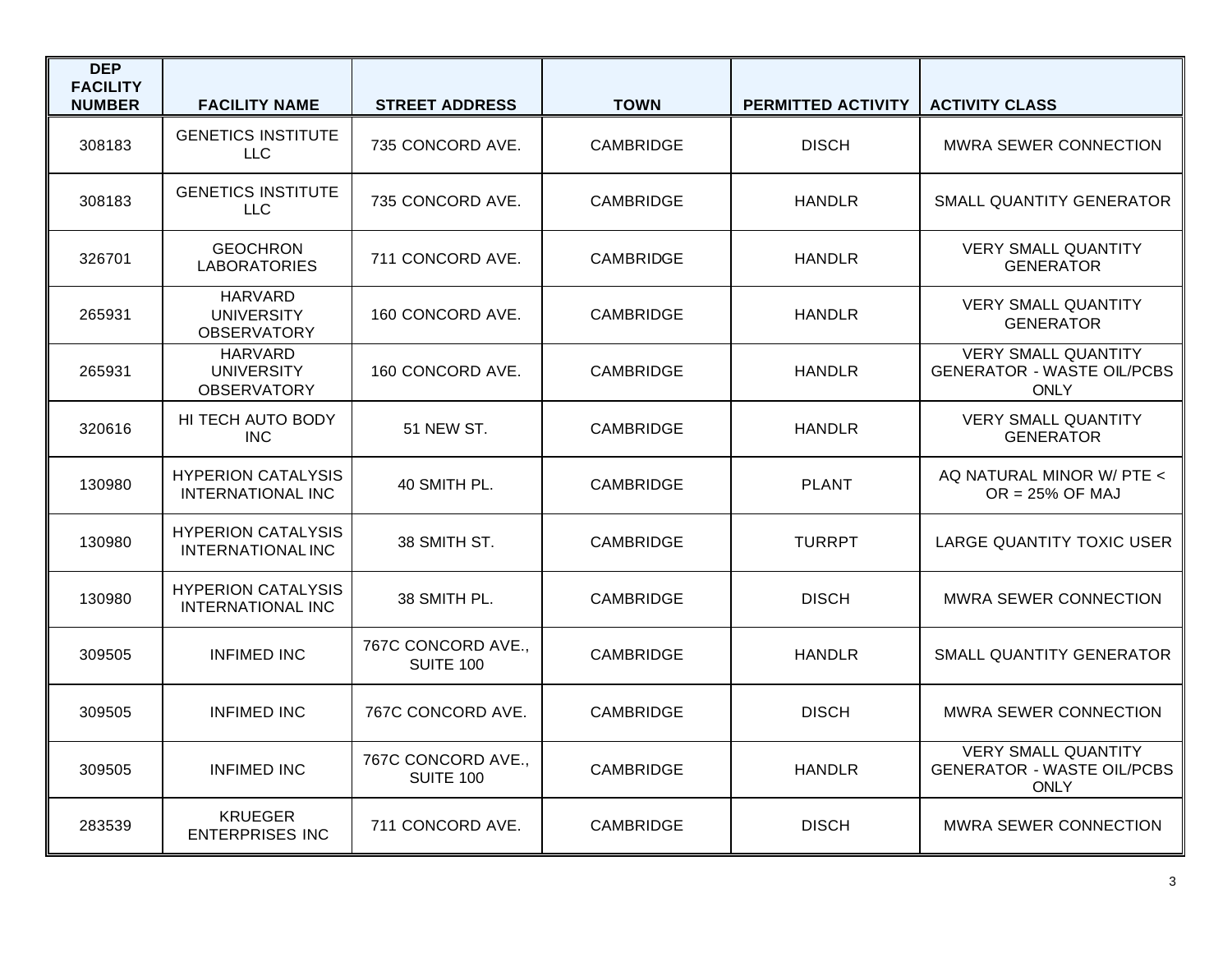| <b>DEP</b><br><b>FACILITY</b><br><b>NUMBER</b> | <b>FACILITY NAME</b>                                      | <b>STREET ADDRESS</b>                  | <b>TOWN</b>      | PERMITTED ACTIVITY | <b>ACTIVITY CLASS</b>                                                          |
|------------------------------------------------|-----------------------------------------------------------|----------------------------------------|------------------|--------------------|--------------------------------------------------------------------------------|
| 308183                                         | <b>GENETICS INSTITUTE</b><br><b>LLC</b>                   | 735 CONCORD AVE.                       | <b>CAMBRIDGE</b> | <b>DISCH</b>       | MWRA SEWER CONNECTION                                                          |
| 308183                                         | <b>GENETICS INSTITUTE</b><br><b>LLC</b>                   | 735 CONCORD AVE.                       | <b>CAMBRIDGE</b> | <b>HANDLR</b>      | SMALL QUANTITY GENERATOR                                                       |
| 326701                                         | <b>GEOCHRON</b><br><b>LABORATORIES</b>                    | 711 CONCORD AVE.                       | <b>CAMBRIDGE</b> | <b>HANDLR</b>      | <b>VERY SMALL QUANTITY</b><br><b>GENERATOR</b>                                 |
| 265931                                         | <b>HARVARD</b><br><b>UNIVERSITY</b><br><b>OBSERVATORY</b> | 160 CONCORD AVE.                       | <b>CAMBRIDGE</b> | <b>HANDLR</b>      | <b>VERY SMALL QUANTITY</b><br><b>GENERATOR</b>                                 |
| 265931                                         | <b>HARVARD</b><br><b>UNIVERSITY</b><br><b>OBSERVATORY</b> | 160 CONCORD AVE.                       | <b>CAMBRIDGE</b> | <b>HANDLR</b>      | <b>VERY SMALL QUANTITY</b><br><b>GENERATOR - WASTE OIL/PCBS</b><br><b>ONLY</b> |
| 320616                                         | HI TECH AUTO BODY<br><b>INC</b>                           | <b>51 NEW ST.</b>                      | <b>CAMBRIDGE</b> | <b>HANDLR</b>      | <b>VERY SMALL QUANTITY</b><br><b>GENERATOR</b>                                 |
| 130980                                         | <b>HYPERION CATALYSIS</b><br><b>INTERNATIONAL INC</b>     | 40 SMITH PL.                           | <b>CAMBRIDGE</b> | <b>PLANT</b>       | AQ NATURAL MINOR W/ PTE <<br>$OR = 25\%$ OF MAJ                                |
| 130980                                         | <b>HYPERION CATALYSIS</b><br><b>INTERNATIONAL INC</b>     | 38 SMITH ST.                           | <b>CAMBRIDGE</b> | <b>TURRPT</b>      | <b>LARGE QUANTITY TOXIC USER</b>                                               |
| 130980                                         | <b>HYPERION CATALYSIS</b><br><b>INTERNATIONAL INC</b>     | 38 SMITH PL.                           | <b>CAMBRIDGE</b> | <b>DISCH</b>       | <b>MWRA SEWER CONNECTION</b>                                                   |
| 309505                                         | <b>INFIMED INC</b>                                        | 767C CONCORD AVE.,<br><b>SUITE 100</b> | <b>CAMBRIDGE</b> | <b>HANDLR</b>      | SMALL QUANTITY GENERATOR                                                       |
| 309505                                         | <b>INFIMED INC</b>                                        | 767C CONCORD AVE.                      | <b>CAMBRIDGE</b> | <b>DISCH</b>       | <b>MWRA SEWER CONNECTION</b>                                                   |
| 309505                                         | <b>INFIMED INC</b>                                        | 767C CONCORD AVE.,<br><b>SUITE 100</b> | <b>CAMBRIDGE</b> | <b>HANDLR</b>      | <b>VERY SMALL QUANTITY</b><br><b>GENERATOR - WASTE OIL/PCBS</b><br><b>ONLY</b> |
| 283539                                         | <b>KRUEGER</b><br><b>ENTERPRISES INC</b>                  | 711 CONCORD AVE.                       | <b>CAMBRIDGE</b> | <b>DISCH</b>       | <b>MWRA SEWER CONNECTION</b>                                                   |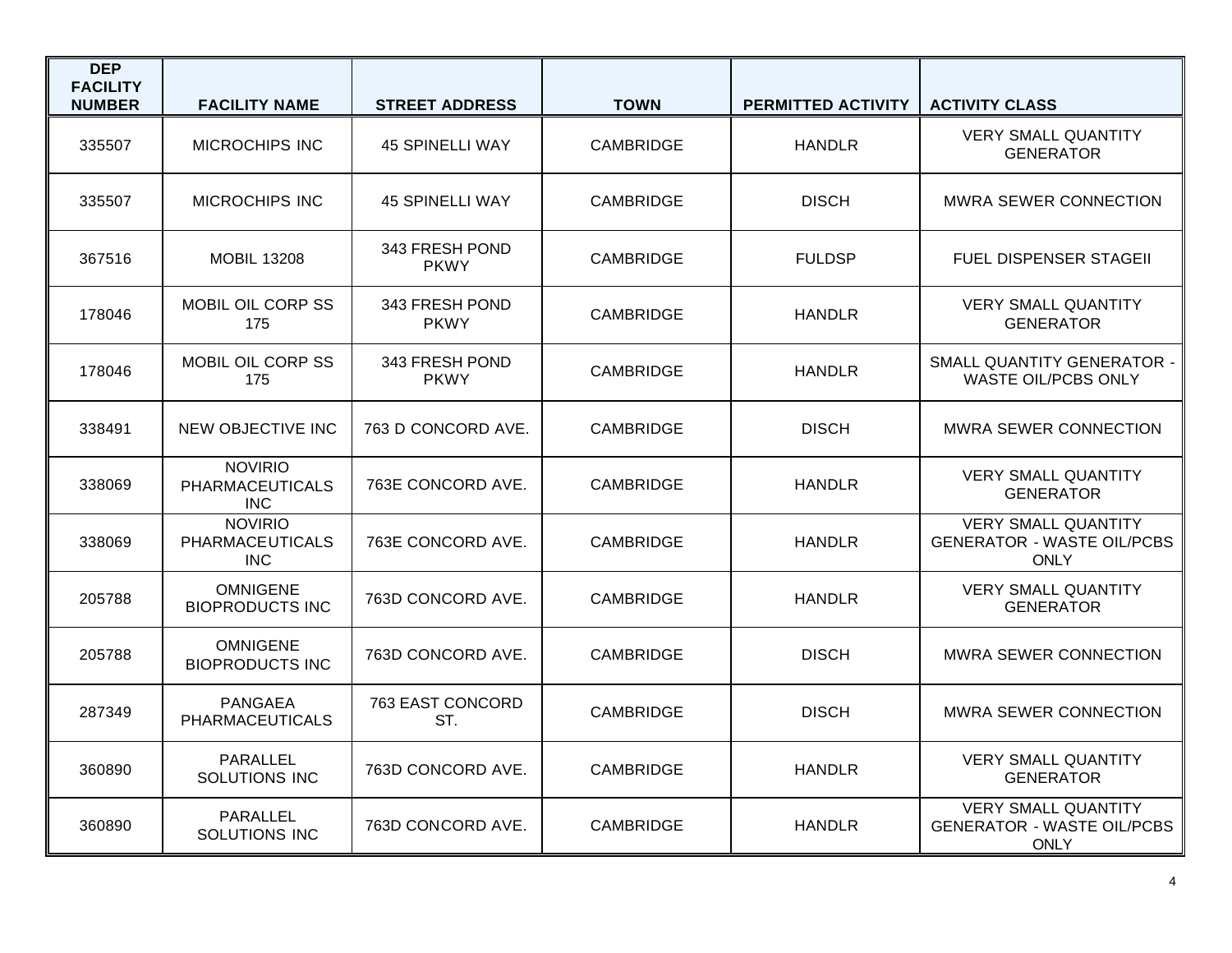| <b>DEP</b><br><b>FACILITY</b><br><b>NUMBER</b> | <b>FACILITY NAME</b>                                   | <b>STREET ADDRESS</b>         | <b>TOWN</b>      | <b>PERMITTED ACTIVITY</b> | <b>ACTIVITY CLASS</b>                                                          |
|------------------------------------------------|--------------------------------------------------------|-------------------------------|------------------|---------------------------|--------------------------------------------------------------------------------|
| 335507                                         | <b>MICROCHIPS INC</b>                                  | <b>45 SPINELLI WAY</b>        | <b>CAMBRIDGE</b> | <b>HANDLR</b>             | <b>VERY SMALL QUANTITY</b><br><b>GENERATOR</b>                                 |
| 335507                                         | <b>MICROCHIPS INC</b>                                  | <b>45 SPINELLI WAY</b>        | <b>CAMBRIDGE</b> | <b>DISCH</b>              | <b>MWRA SEWER CONNECTION</b>                                                   |
| 367516                                         | <b>MOBIL 13208</b>                                     | 343 FRESH POND<br>PKWY        | <b>CAMBRIDGE</b> | <b>FULDSP</b>             | <b>FUEL DISPENSER STAGEII</b>                                                  |
| 178046                                         | MOBIL OIL CORP SS<br>175                               | 343 FRESH POND<br><b>PKWY</b> | <b>CAMBRIDGE</b> | <b>HANDLR</b>             | <b>VERY SMALL QUANTITY</b><br><b>GENERATOR</b>                                 |
| 178046                                         | MOBIL OIL CORP SS<br>175                               | 343 FRESH POND<br><b>PKWY</b> | <b>CAMBRIDGE</b> | <b>HANDLR</b>             | SMALL QUANTITY GENERATOR -<br>WASTE OIL/PCBS ONLY                              |
| 338491                                         | <b>NEW OBJECTIVE INC</b>                               | 763 D CONCORD AVE.            | <b>CAMBRIDGE</b> | <b>DISCH</b>              | <b>MWRA SEWER CONNECTION</b>                                                   |
| 338069                                         | <b>NOVIRIO</b><br><b>PHARMACEUTICALS</b><br><b>INC</b> | 763E CONCORD AVE.             | <b>CAMBRIDGE</b> | <b>HANDLR</b>             | <b>VERY SMALL QUANTITY</b><br><b>GENERATOR</b>                                 |
| 338069                                         | <b>NOVIRIO</b><br><b>PHARMACEUTICALS</b><br><b>INC</b> | 763E CONCORD AVE.             | <b>CAMBRIDGE</b> | <b>HANDLR</b>             | <b>VERY SMALL QUANTITY</b><br><b>GENERATOR - WASTE OIL/PCBS</b><br><b>ONLY</b> |
| 205788                                         | <b>OMNIGENE</b><br><b>BIOPRODUCTS INC</b>              | 763D CONCORD AVE.             | <b>CAMBRIDGE</b> | <b>HANDLR</b>             | <b>VERY SMALL QUANTITY</b><br><b>GENERATOR</b>                                 |
| 205788                                         | <b>OMNIGENE</b><br><b>BIOPRODUCTS INC</b>              | 763D CONCORD AVE.             | <b>CAMBRIDGE</b> | <b>DISCH</b>              | MWRA SEWER CONNECTION                                                          |
| 287349                                         | <b>PANGAEA</b><br>PHARMACEUTICALS                      | 763 EAST CONCORD<br>ST.       | <b>CAMBRIDGE</b> | <b>DISCH</b>              | <b>MWRA SEWER CONNECTION</b>                                                   |
| 360890                                         | PARALLEL<br>SOLUTIONS INC                              | 763D CONCORD AVE.             | <b>CAMBRIDGE</b> | <b>HANDLR</b>             | <b>VERY SMALL QUANTITY</b><br><b>GENERATOR</b>                                 |
| 360890                                         | PARALLEL<br>SOLUTIONS INC                              | 763D CONCORD AVE.             | <b>CAMBRIDGE</b> | <b>HANDLR</b>             | <b>VERY SMALL QUANTITY</b><br><b>GENERATOR - WASTE OIL/PCBS</b><br><b>ONLY</b> |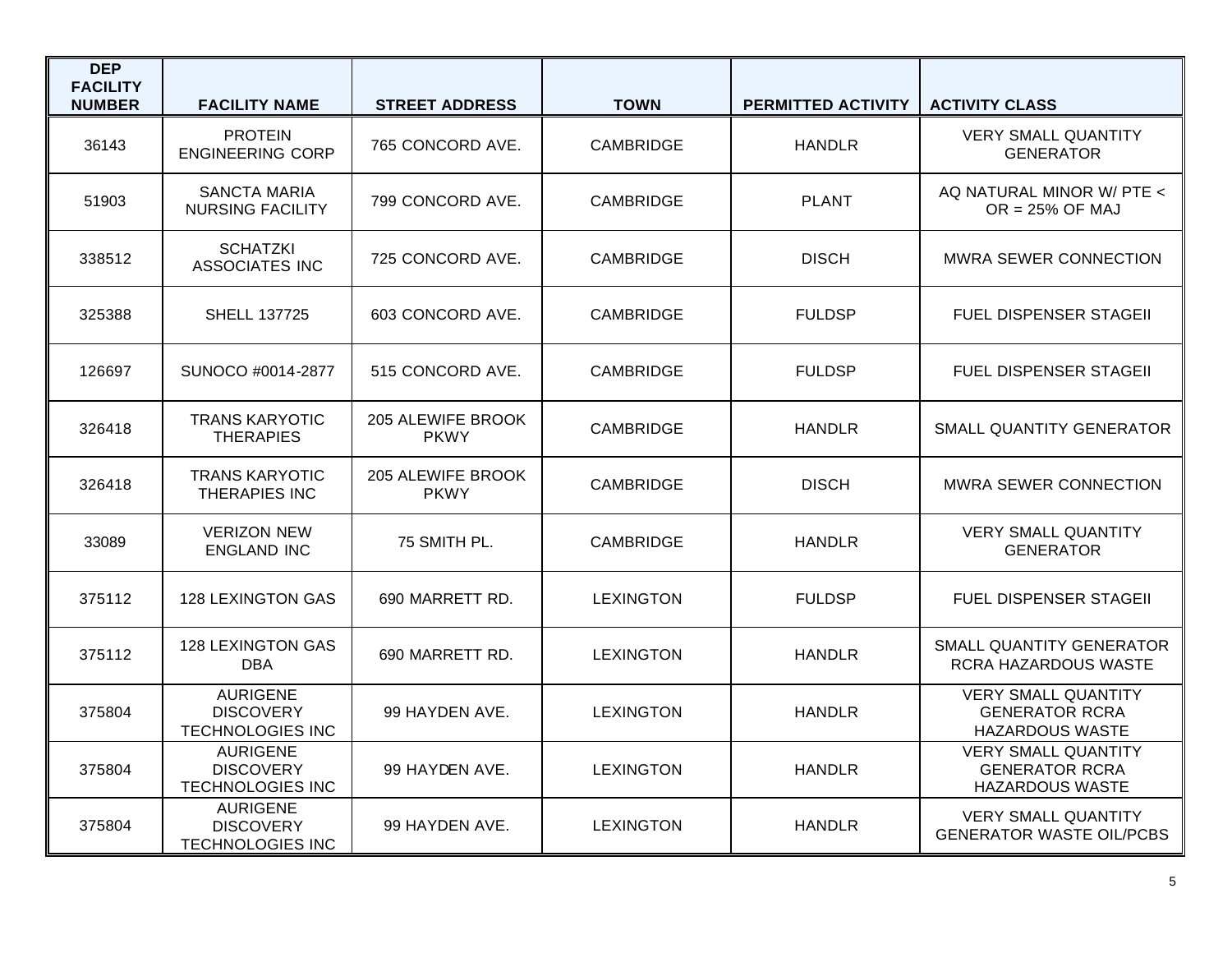| <b>DEP</b><br><b>FACILITY</b><br><b>NUMBER</b> | <b>FACILITY NAME</b>                                           | <b>STREET ADDRESS</b>            | <b>TOWN</b>      | <b>PERMITTED ACTIVITY</b> | <b>ACTIVITY CLASS</b>                                                         |
|------------------------------------------------|----------------------------------------------------------------|----------------------------------|------------------|---------------------------|-------------------------------------------------------------------------------|
| 36143                                          | <b>PROTEIN</b><br><b>ENGINEERING CORP</b>                      | 765 CONCORD AVE.                 | <b>CAMBRIDGE</b> | <b>HANDLR</b>             | <b>VERY SMALL QUANTITY</b><br><b>GENERATOR</b>                                |
| 51903                                          | <b>SANCTA MARIA</b><br><b>NURSING FACILITY</b>                 | 799 CONCORD AVE.                 | <b>CAMBRIDGE</b> | <b>PLANT</b>              | AQ NATURAL MINOR W/ PTE <<br>$OR = 25\%$ OF MAJ                               |
| 338512                                         | <b>SCHATZKI</b><br><b>ASSOCIATES INC</b>                       | 725 CONCORD AVE.                 | <b>CAMBRIDGE</b> | <b>DISCH</b>              | <b>MWRA SEWER CONNECTION</b>                                                  |
| 325388                                         | <b>SHELL 137725</b>                                            | 603 CONCORD AVE.                 | <b>CAMBRIDGE</b> | <b>FULDSP</b>             | <b>FUEL DISPENSER STAGEIL</b>                                                 |
| 126697                                         | SUNOCO #0014-2877                                              | 515 CONCORD AVE.                 | <b>CAMBRIDGE</b> | <b>FULDSP</b>             | <b>FUEL DISPENSER STAGEII</b>                                                 |
| 326418                                         | <b>TRANS KARYOTIC</b><br><b>THERAPIES</b>                      | 205 ALEWIFE BROOK<br><b>PKWY</b> | <b>CAMBRIDGE</b> | <b>HANDLR</b>             | SMALL QUANTITY GENERATOR                                                      |
| 326418                                         | <b>TRANS KARYOTIC</b><br>THERAPIES INC                         | 205 ALEWIFE BROOK<br><b>PKWY</b> | <b>CAMBRIDGE</b> | <b>DISCH</b>              | <b>MWRA SEWER CONNECTION</b>                                                  |
| 33089                                          | <b>VERIZON NEW</b><br><b>ENGLAND INC</b>                       | 75 SMITH PL.                     | <b>CAMBRIDGE</b> | <b>HANDLR</b>             | <b>VERY SMALL QUANTITY</b><br><b>GENERATOR</b>                                |
| 375112                                         | <b>128 LEXINGTON GAS</b>                                       | 690 MARRETT RD.                  | <b>LEXINGTON</b> | <b>FULDSP</b>             | <b>FUEL DISPENSER STAGEIL</b>                                                 |
| 375112                                         | <b>128 LEXINGTON GAS</b><br><b>DBA</b>                         | 690 MARRETT RD.                  | <b>LEXINGTON</b> | <b>HANDLR</b>             | SMALL QUANTITY GENERATOR<br>RCRA HAZARDOUS WASTE                              |
| 375804                                         | <b>AURIGENE</b><br><b>DISCOVERY</b><br><b>TECHNOLOGIES INC</b> | 99 HAYDEN AVE.                   | <b>LEXINGTON</b> | <b>HANDLR</b>             | <b>VERY SMALL QUANTITY</b><br><b>GENERATOR RCRA</b><br><b>HAZARDOUS WASTE</b> |
| 375804                                         | <b>AURIGENE</b><br><b>DISCOVERY</b><br><b>TECHNOLOGIES INC</b> | 99 HAYDEN AVE.                   | <b>LEXINGTON</b> | <b>HANDLR</b>             | <b>VERY SMALL QUANTITY</b><br><b>GENERATOR RCRA</b><br><b>HAZARDOUS WASTE</b> |
| 375804                                         | <b>AURIGENE</b><br><b>DISCOVERY</b><br><b>TECHNOLOGIES INC</b> | 99 HAYDEN AVE.                   | <b>LEXINGTON</b> | <b>HANDLR</b>             | <b>VERY SMALL QUANTITY</b><br><b>GENERATOR WASTE OIL/PCBS</b>                 |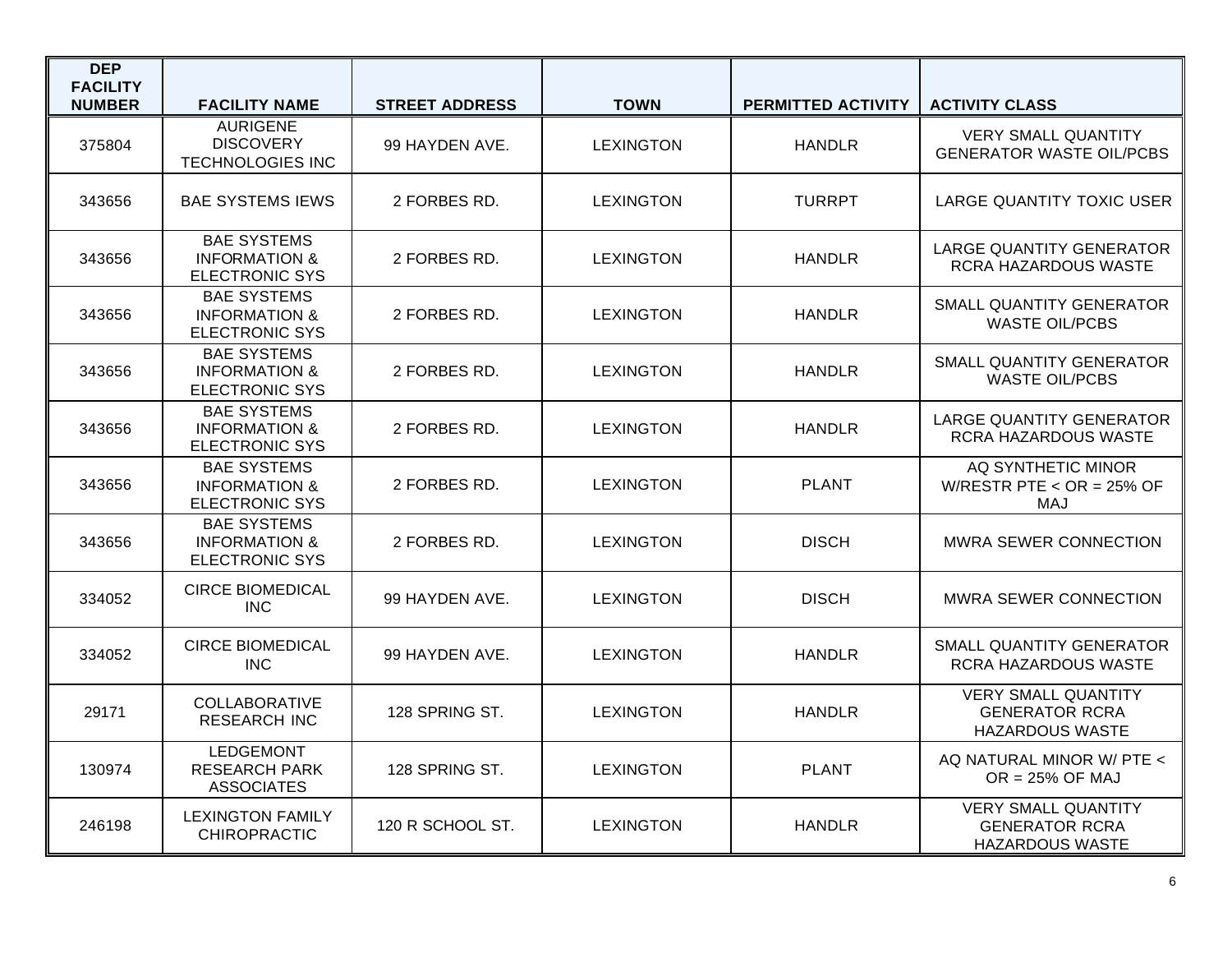| <b>DEP</b><br><b>FACILITY</b> |                                                                         |                       |                  |                           |                                                                               |
|-------------------------------|-------------------------------------------------------------------------|-----------------------|------------------|---------------------------|-------------------------------------------------------------------------------|
| <b>NUMBER</b>                 | <b>FACILITY NAME</b><br><b>AURIGENE</b>                                 | <b>STREET ADDRESS</b> | <b>TOWN</b>      | <b>PERMITTED ACTIVITY</b> | <b>ACTIVITY CLASS</b>                                                         |
| 375804                        | <b>DISCOVERY</b><br><b>TECHNOLOGIES INC</b>                             | 99 HAYDEN AVE.        | <b>LEXINGTON</b> | <b>HANDLR</b>             | <b>VERY SMALL QUANTITY</b><br><b>GENERATOR WASTE OIL/PCBS</b>                 |
| 343656                        | <b>BAE SYSTEMS IEWS</b>                                                 | 2 FORBES RD.          | <b>LEXINGTON</b> | <b>TURRPT</b>             | LARGE QUANTITY TOXIC USER                                                     |
| 343656                        | <b>BAE SYSTEMS</b><br><b>INFORMATION &amp;</b><br>ELECTRONIC SYS        | 2 FORBES RD.          | <b>LEXINGTON</b> | <b>HANDLR</b>             | <b>LARGE QUANTITY GENERATOR</b><br>RCRA HAZARDOUS WASTE                       |
| 343656                        | <b>BAE SYSTEMS</b><br><b>INFORMATION &amp;</b><br><b>ELECTRONIC SYS</b> | 2 FORBES RD.          | <b>LEXINGTON</b> | <b>HANDLR</b>             | SMALL QUANTITY GENERATOR<br><b>WASTE OIL/PCBS</b>                             |
| 343656                        | <b>BAE SYSTEMS</b><br><b>INFORMATION &amp;</b><br><b>ELECTRONIC SYS</b> | 2 FORBES RD.          | <b>LEXINGTON</b> | <b>HANDLR</b>             | <b>SMALL QUANTITY GENERATOR</b><br><b>WASTE OIL/PCBS</b>                      |
| 343656                        | <b>BAE SYSTEMS</b><br><b>INFORMATION &amp;</b><br><b>ELECTRONIC SYS</b> | 2 FORBES RD.          | <b>LEXINGTON</b> | <b>HANDLR</b>             | <b>LARGE QUANTITY GENERATOR</b><br>RCRA HAZARDOUS WASTE                       |
| 343656                        | <b>BAE SYSTEMS</b><br><b>INFORMATION &amp;</b><br><b>ELECTRONIC SYS</b> | 2 FORBES RD.          | <b>LEXINGTON</b> | <b>PLANT</b>              | AQ SYNTHETIC MINOR<br>W/RESTR PTE $<$ OR = 25% OF<br>MAJ                      |
| 343656                        | <b>BAE SYSTEMS</b><br><b>INFORMATION &amp;</b><br><b>ELECTRONIC SYS</b> | 2 FORBES RD.          | <b>LEXINGTON</b> | <b>DISCH</b>              | <b>MWRA SEWER CONNECTION</b>                                                  |
| 334052                        | <b>CIRCE BIOMEDICAL</b><br><b>INC</b>                                   | 99 HAYDEN AVE.        | <b>LEXINGTON</b> | <b>DISCH</b>              | <b>MWRA SEWER CONNECTION</b>                                                  |
| 334052                        | <b>CIRCE BIOMEDICAL</b><br><b>INC</b>                                   | 99 HAYDEN AVE.        | <b>LEXINGTON</b> | <b>HANDLR</b>             | SMALL QUANTITY GENERATOR<br>RCRA HAZARDOUS WASTE                              |
| 29171                         | <b>COLLABORATIVE</b><br><b>RESEARCH INC</b>                             | 128 SPRING ST.        | <b>LEXINGTON</b> | <b>HANDLR</b>             | <b>VERY SMALL QUANTITY</b><br><b>GENERATOR RCRA</b><br><b>HAZARDOUS WASTE</b> |
| 130974                        | <b>LEDGEMONT</b><br><b>RESEARCH PARK</b><br><b>ASSOCIATES</b>           | 128 SPRING ST.        | <b>LEXINGTON</b> | <b>PLANT</b>              | AQ NATURAL MINOR W/ PTE <<br>$OR = 25\%$ OF MAJ                               |
| 246198                        | <b>LEXINGTON FAMILY</b><br><b>CHIROPRACTIC</b>                          | 120 R SCHOOL ST.      | <b>LEXINGTON</b> | <b>HANDLR</b>             | <b>VERY SMALL QUANTITY</b><br><b>GENERATOR RCRA</b><br><b>HAZARDOUS WASTE</b> |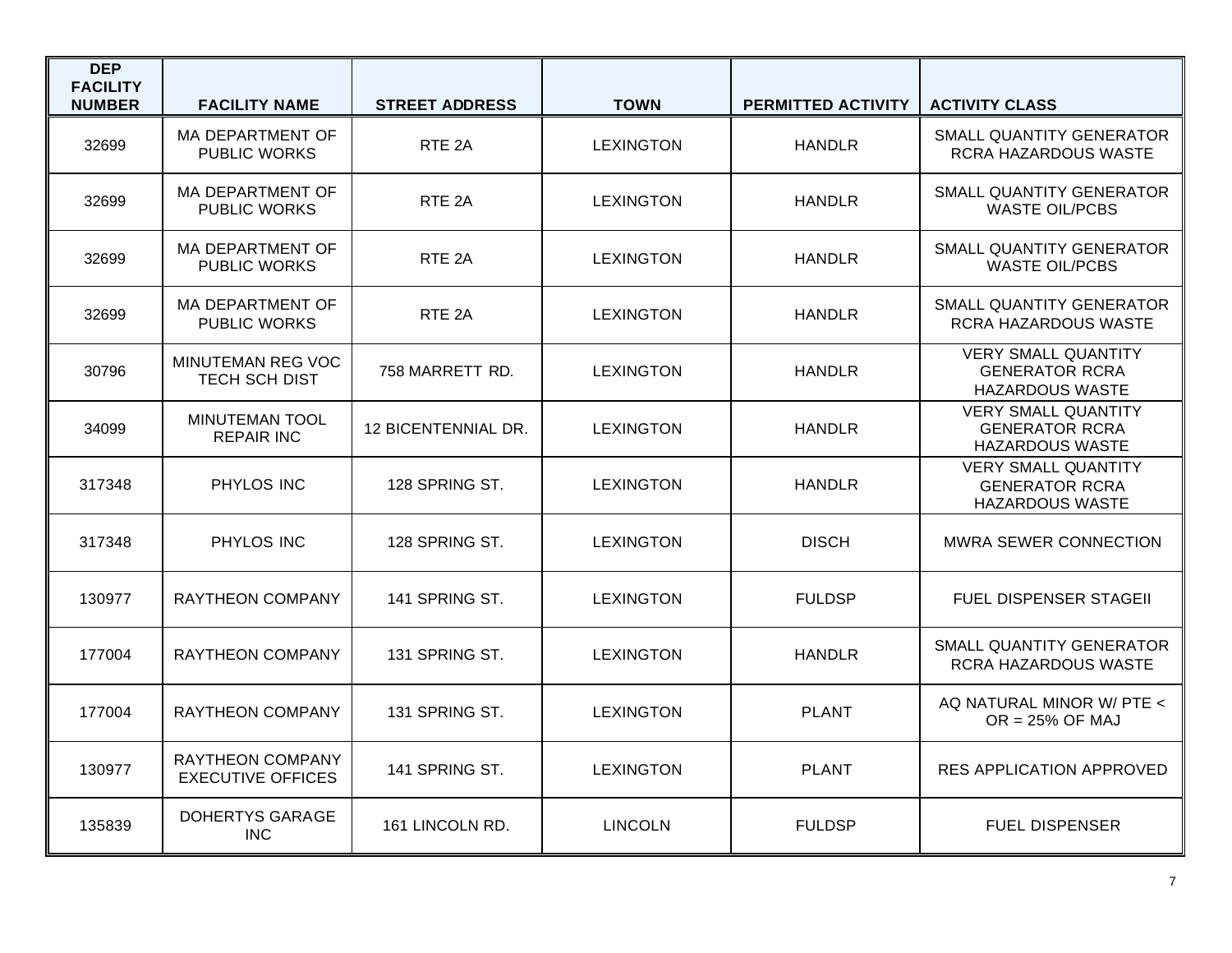| <b>DEP</b><br><b>FACILITY</b><br><b>NUMBER</b> | <b>FACILITY NAME</b>                                | <b>STREET ADDRESS</b> | <b>TOWN</b>      | <b>PERMITTED ACTIVITY</b> | <b>ACTIVITY CLASS</b>                                                         |
|------------------------------------------------|-----------------------------------------------------|-----------------------|------------------|---------------------------|-------------------------------------------------------------------------------|
| 32699                                          | MA DEPARTMENT OF<br><b>PUBLIC WORKS</b>             | RTE <sub>2A</sub>     | <b>LEXINGTON</b> | <b>HANDLR</b>             | SMALL QUANTITY GENERATOR<br>RCRA HAZARDOUS WASTE                              |
| 32699                                          | MA DEPARTMENT OF<br><b>PUBLIC WORKS</b>             | RTE <sub>2A</sub>     | <b>LEXINGTON</b> | <b>HANDLR</b>             | <b>SMALL QUANTITY GENERATOR</b><br><b>WASTE OIL/PCBS</b>                      |
| 32699                                          | MA DEPARTMENT OF<br><b>PUBLIC WORKS</b>             | RTE <sub>2A</sub>     | <b>LEXINGTON</b> | <b>HANDLR</b>             | SMALL QUANTITY GENERATOR<br><b>WASTE OIL/PCBS</b>                             |
| 32699                                          | MA DEPARTMENT OF<br><b>PUBLIC WORKS</b>             | RTE <sub>2A</sub>     | <b>LEXINGTON</b> | <b>HANDLR</b>             | SMALL QUANTITY GENERATOR<br>RCRA HAZARDOUS WASTE                              |
| 30796                                          | MINUTEMAN REG VOC<br>TECH SCH DIST                  | 758 MARRETT RD.       | <b>LEXINGTON</b> | <b>HANDLR</b>             | <b>VERY SMALL QUANTITY</b><br><b>GENERATOR RCRA</b><br><b>HAZARDOUS WASTE</b> |
| 34099                                          | <b>MINUTEMAN TOOL</b><br><b>REPAIR INC</b>          | 12 BICENTENNIAL DR.   | <b>LEXINGTON</b> | <b>HANDLR</b>             | <b>VERY SMALL QUANTITY</b><br><b>GENERATOR RCRA</b><br><b>HAZARDOUS WASTE</b> |
| 317348                                         | PHYLOS INC                                          | 128 SPRING ST.        | <b>LEXINGTON</b> | <b>HANDLR</b>             | <b>VERY SMALL QUANTITY</b><br><b>GENERATOR RCRA</b><br><b>HAZARDOUS WASTE</b> |
| 317348                                         | PHYLOS INC                                          | 128 SPRING ST.        | <b>LEXINGTON</b> | <b>DISCH</b>              | MWRA SEWER CONNECTION                                                         |
| 130977                                         | <b>RAYTHEON COMPANY</b>                             | 141 SPRING ST.        | <b>LEXINGTON</b> | <b>FULDSP</b>             | <b>FUEL DISPENSER STAGEII</b>                                                 |
| 177004                                         | <b>RAYTHEON COMPANY</b>                             | 131 SPRING ST.        | <b>LEXINGTON</b> | <b>HANDLR</b>             | SMALL QUANTITY GENERATOR<br>RCRA HAZARDOUS WASTE                              |
| 177004                                         | <b>RAYTHEON COMPANY</b>                             | 131 SPRING ST.        | <b>LEXINGTON</b> | <b>PLANT</b>              | AQ NATURAL MINOR W/ PTE <<br>$OR = 25\%$ OF MAJ                               |
| 130977                                         | <b>RAYTHEON COMPANY</b><br><b>EXECUTIVE OFFICES</b> | 141 SPRING ST.        | <b>LEXINGTON</b> | <b>PLANT</b>              | <b>RES APPLICATION APPROVED</b>                                               |
| 135839                                         | DOHERTYS GARAGE<br><b>INC</b>                       | 161 LINCOLN RD.       | <b>LINCOLN</b>   | <b>FULDSP</b>             | <b>FUEL DISPENSER</b>                                                         |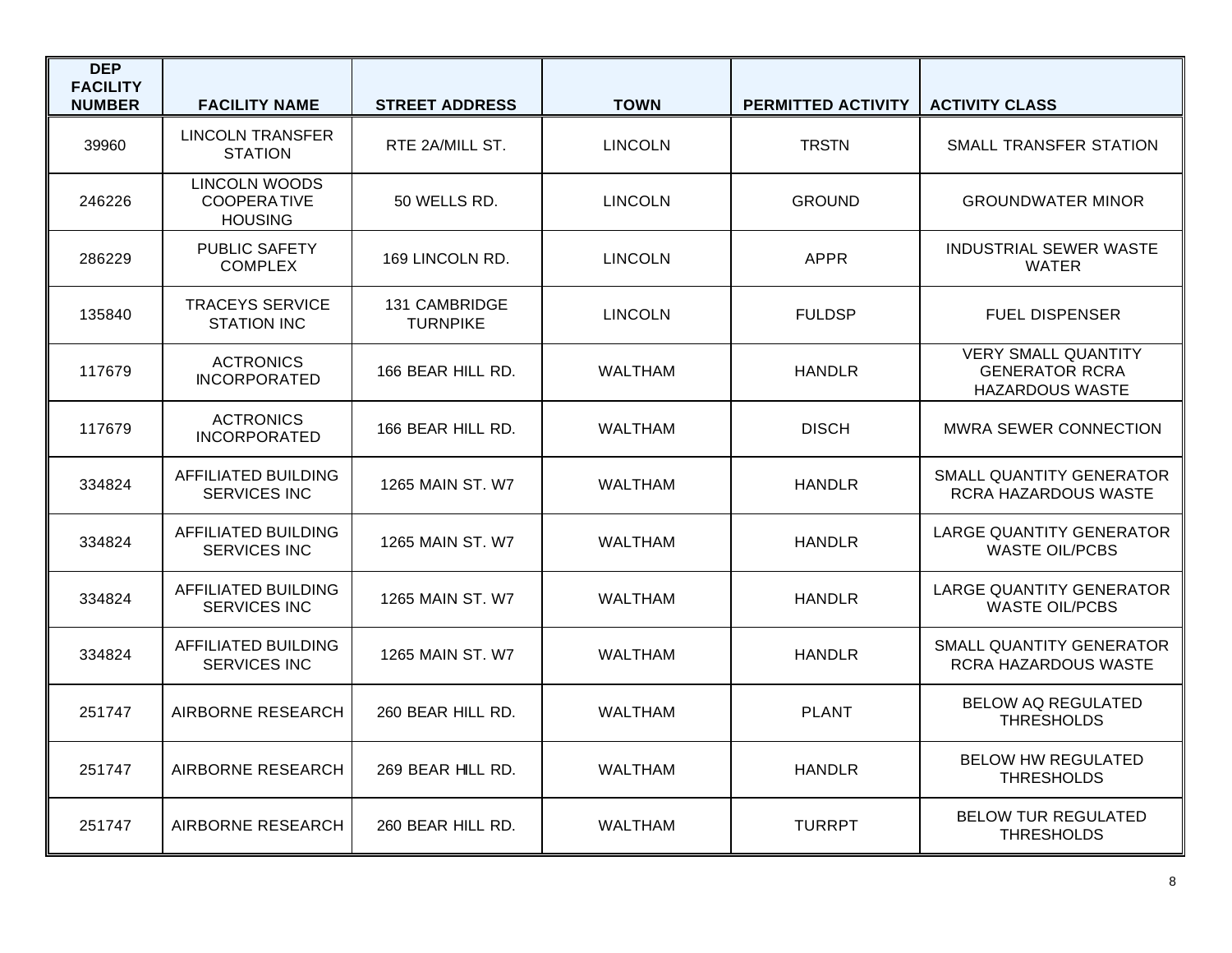| <b>DEP</b><br><b>FACILITY</b><br><b>NUMBER</b> | <b>FACILITY NAME</b>                                  | <b>STREET ADDRESS</b>            | <b>TOWN</b>    | PERMITTED ACTIVITY | <b>ACTIVITY CLASS</b>                                                         |
|------------------------------------------------|-------------------------------------------------------|----------------------------------|----------------|--------------------|-------------------------------------------------------------------------------|
| 39960                                          | <b>LINCOLN TRANSFER</b><br><b>STATION</b>             | RTE 2A/MILL ST.                  | <b>LINCOLN</b> | <b>TRSTN</b>       | SMALL TRANSFER STATION                                                        |
| 246226                                         | LINCOLN WOODS<br><b>COOPERATIVE</b><br><b>HOUSING</b> | 50 WELLS RD.                     | <b>LINCOLN</b> | <b>GROUND</b>      | <b>GROUNDWATER MINOR</b>                                                      |
| 286229                                         | PUBLIC SAFETY<br><b>COMPLEX</b>                       | 169 LINCOLN RD.                  | <b>LINCOLN</b> | <b>APPR</b>        | <b>INDUSTRIAL SEWER WASTE</b><br><b>WATER</b>                                 |
| 135840                                         | <b>TRACEYS SERVICE</b><br><b>STATION INC</b>          | 131 CAMBRIDGE<br><b>TURNPIKE</b> | <b>LINCOLN</b> | <b>FULDSP</b>      | <b>FUEL DISPENSER</b>                                                         |
| 117679                                         | <b>ACTRONICS</b><br><b>INCORPORATED</b>               | 166 BEAR HILL RD.                | <b>WALTHAM</b> | <b>HANDLR</b>      | <b>VERY SMALL QUANTITY</b><br><b>GENERATOR RCRA</b><br><b>HAZARDOUS WASTE</b> |
| 117679                                         | <b>ACTRONICS</b><br><b>INCORPORATED</b>               | 166 BEAR HILL RD.                | <b>WALTHAM</b> | <b>DISCH</b>       | MWRA SEWER CONNECTION                                                         |
| 334824                                         | AFFILIATED BUILDING<br><b>SERVICES INC</b>            | 1265 MAIN ST, W7                 | <b>WALTHAM</b> | <b>HANDLR</b>      | <b>SMALL QUANTITY GENERATOR</b><br><b>RCRA HAZARDOUS WASTE</b>                |
| 334824                                         | <b>AFFILIATED BUILDING</b><br>SERVICES INC            | 1265 MAIN ST. W7                 | <b>WALTHAM</b> | <b>HANDLR</b>      | LARGE QUANTITY GENERATOR<br><b>WASTE OIL/PCBS</b>                             |
| 334824                                         | AFFILIATED BUILDING<br><b>SERVICES INC</b>            | 1265 MAIN ST. W7                 | <b>WALTHAM</b> | <b>HANDLR</b>      | LARGE QUANTITY GENERATOR<br><b>WASTE OIL/PCBS</b>                             |
| 334824                                         | <b>AFFILIATED BUILDING</b><br>SERVICES INC            | 1265 MAIN ST. W7                 | <b>WALTHAM</b> | <b>HANDLR</b>      | SMALL QUANTITY GENERATOR<br>RCRA HAZARDOUS WASTE                              |
| 251747                                         | AIRBORNE RESEARCH                                     | 260 BEAR HILL RD.                | <b>WALTHAM</b> | <b>PLANT</b>       | <b>BELOW AQ REGULATED</b><br><b>THRESHOLDS</b>                                |
| 251747                                         | AIRBORNE RESEARCH                                     | 269 BEAR HILL RD.                | <b>WALTHAM</b> | <b>HANDLR</b>      | <b>BELOW HW REGULATED</b><br><b>THRESHOLDS</b>                                |
| 251747                                         | <b>AIRBORNE RESEARCH</b>                              | 260 BEAR HILL RD.                | <b>WALTHAM</b> | <b>TURRPT</b>      | <b>BELOW TUR REGULATED</b><br><b>THRESHOLDS</b>                               |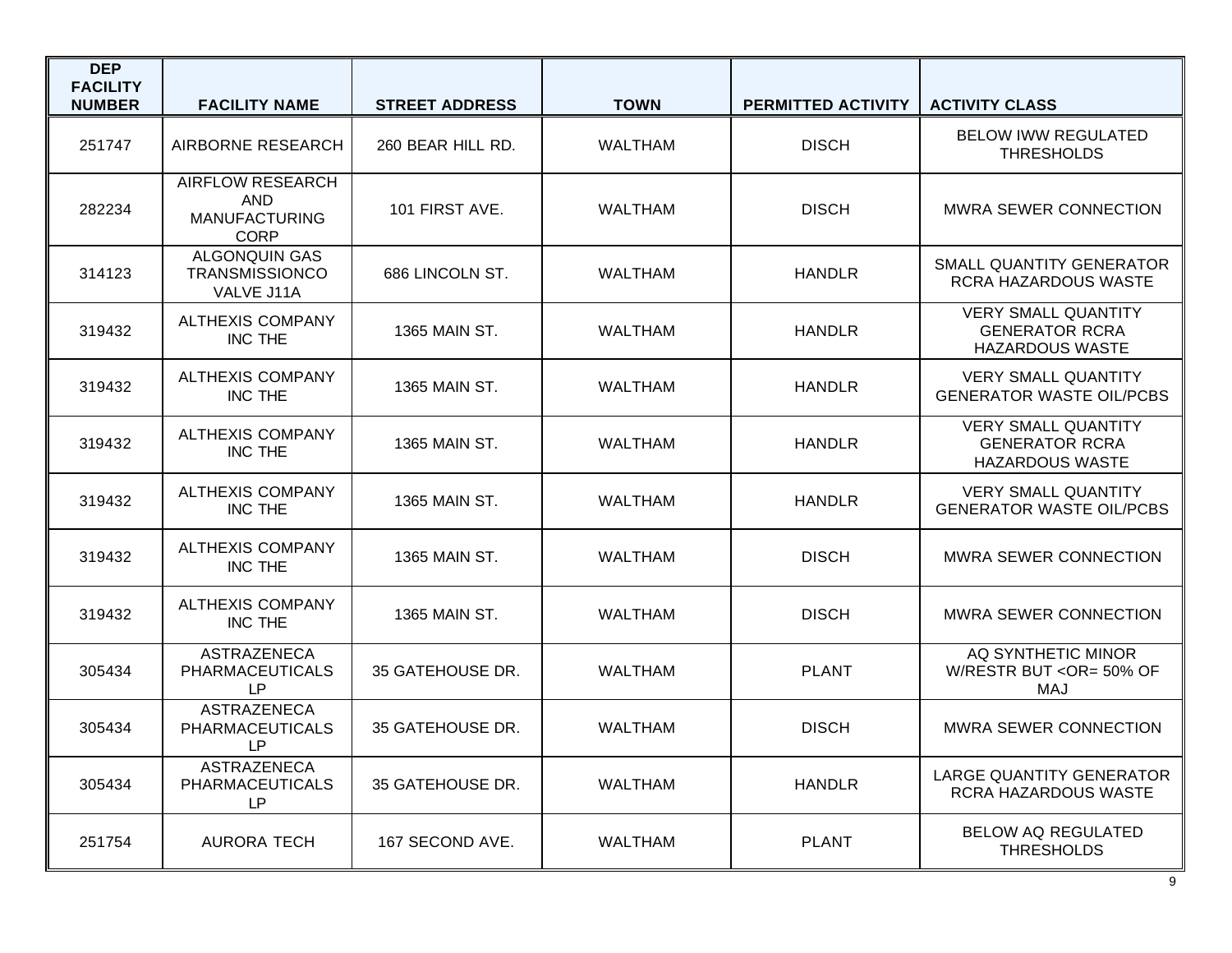| <b>DEP</b><br><b>FACILITY</b><br><b>NUMBER</b> | <b>FACILITY NAME</b>                                                         | <b>STREET ADDRESS</b> | <b>TOWN</b>    | <b>PERMITTED ACTIVITY</b> | <b>ACTIVITY CLASS</b>                                                         |
|------------------------------------------------|------------------------------------------------------------------------------|-----------------------|----------------|---------------------------|-------------------------------------------------------------------------------|
| 251747                                         | AIRBORNE RESEARCH                                                            | 260 BEAR HILL RD.     | <b>WALTHAM</b> | <b>DISCH</b>              | <b>BELOW IWW REGULATED</b><br><b>THRESHOLDS</b>                               |
| 282234                                         | <b>AIRFLOW RESEARCH</b><br><b>AND</b><br><b>MANUFACTURING</b><br><b>CORP</b> | 101 FIRST AVE.        | <b>WALTHAM</b> | <b>DISCH</b>              | <b>MWRA SEWER CONNECTION</b>                                                  |
| 314123                                         | <b>ALGONQUIN GAS</b><br><b>TRANSMISSIONCO</b><br>VALVE J11A                  | 686 LINCOLN ST.       | <b>WALTHAM</b> | <b>HANDLR</b>             | <b>SMALL QUANTITY GENERATOR</b><br><b>RCRA HAZARDOUS WASTE</b>                |
| 319432                                         | <b>ALTHEXIS COMPANY</b><br>INC THE                                           | 1365 MAIN ST.         | <b>WALTHAM</b> | <b>HANDLR</b>             | <b>VERY SMALL QUANTITY</b><br><b>GENERATOR RCRA</b><br><b>HAZARDOUS WASTE</b> |
| 319432                                         | <b>ALTHEXIS COMPANY</b><br><b>INC THE</b>                                    | 1365 MAIN ST.         | <b>WALTHAM</b> | <b>HANDLR</b>             | <b>VERY SMALL QUANTITY</b><br><b>GENERATOR WASTE OIL/PCBS</b>                 |
| 319432                                         | <b>ALTHEXIS COMPANY</b><br><b>INC THE</b>                                    | 1365 MAIN ST.         | <b>WALTHAM</b> | <b>HANDLR</b>             | <b>VERY SMALL QUANTITY</b><br><b>GENERATOR RCRA</b><br><b>HAZARDOUS WASTE</b> |
| 319432                                         | <b>ALTHEXIS COMPANY</b><br><b>INC THE</b>                                    | 1365 MAIN ST.         | <b>WALTHAM</b> | <b>HANDLR</b>             | <b>VERY SMALL QUANTITY</b><br><b>GENERATOR WASTE OIL/PCBS</b>                 |
| 319432                                         | <b>ALTHEXIS COMPANY</b><br>INC THE                                           | 1365 MAIN ST.         | <b>WALTHAM</b> | <b>DISCH</b>              | <b>MWRA SEWER CONNECTION</b>                                                  |
| 319432                                         | <b>ALTHEXIS COMPANY</b><br>INC THE                                           | 1365 MAIN ST.         | <b>WALTHAM</b> | <b>DISCH</b>              | <b>MWRA SEWER CONNECTION</b>                                                  |
| 305434                                         | <b>ASTRAZENECA</b><br><b>PHARMACEUTICALS</b><br>LP                           | 35 GATEHOUSE DR.      | <b>WALTHAM</b> | <b>PLANT</b>              | AQ SYNTHETIC MINOR<br>W/RESTR BUT < OR= 50% OF<br>MAJ                         |
| 305434                                         | <b>ASTRAZENECA</b><br><b>PHARMACEUTICALS</b><br>LP                           | 35 GATEHOUSE DR.      | <b>WALTHAM</b> | <b>DISCH</b>              | <b>MWRA SEWER CONNECTION</b>                                                  |
| 305434                                         | ASTRAZENECA<br><b>PHARMACEUTICALS</b><br>LP                                  | 35 GATEHOUSE DR.      | <b>WALTHAM</b> | <b>HANDLR</b>             | <b>LARGE QUANTITY GENERATOR</b><br>RCRA HAZARDOUS WASTE                       |
| 251754                                         | <b>AURORA TECH</b>                                                           | 167 SECOND AVE.       | WALTHAM        | <b>PLANT</b>              | <b>BELOW AQ REGULATED</b><br><b>THRESHOLDS</b>                                |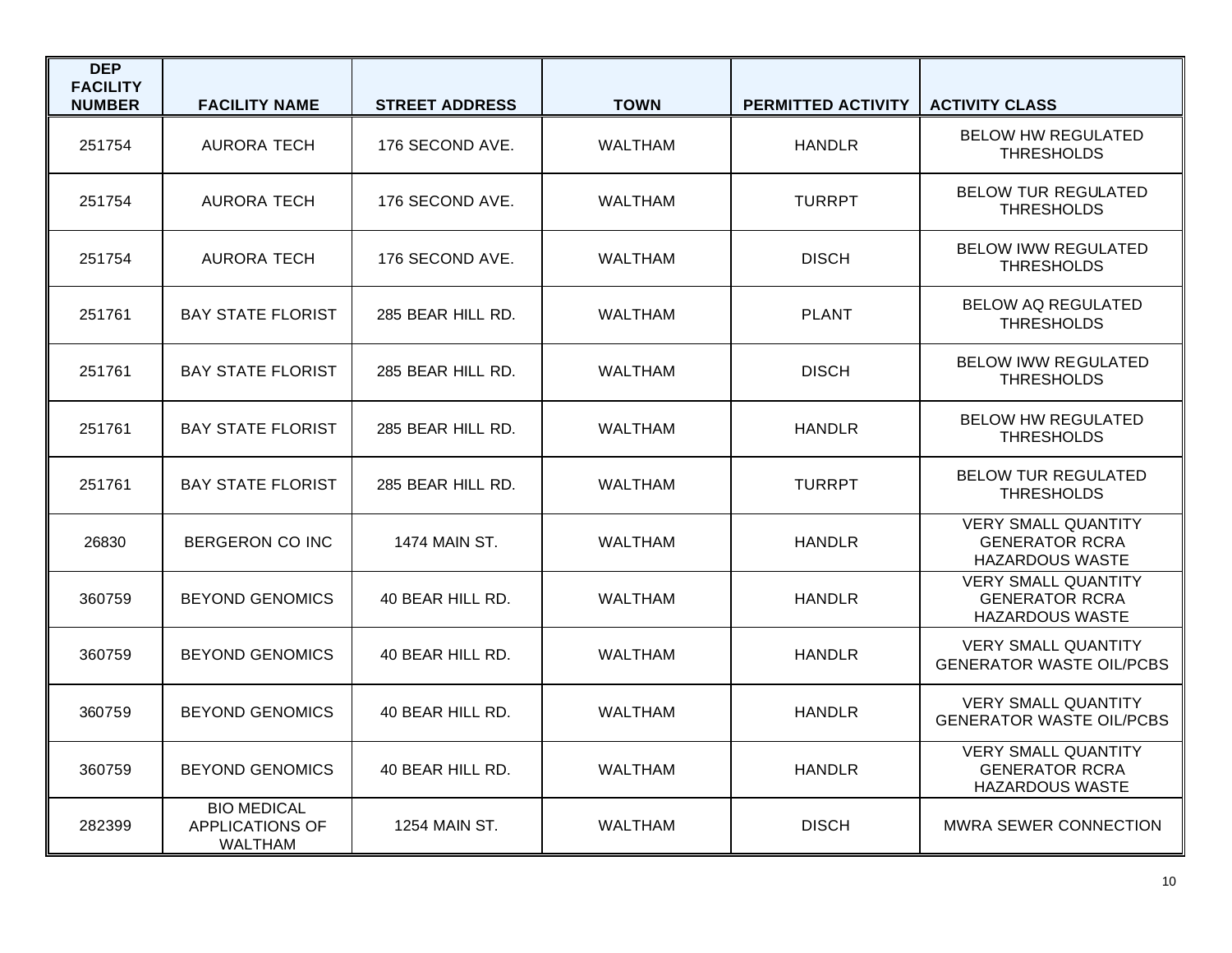| <b>DEP</b><br><b>FACILITY</b><br><b>NUMBER</b> | <b>FACILITY NAME</b>                                    | <b>STREET ADDRESS</b> | <b>TOWN</b>    | <b>PERMITTED ACTIVITY</b> | <b>ACTIVITY CLASS</b>                                                         |
|------------------------------------------------|---------------------------------------------------------|-----------------------|----------------|---------------------------|-------------------------------------------------------------------------------|
| 251754                                         | <b>AURORA TECH</b>                                      | 176 SECOND AVE.       | <b>WALTHAM</b> | <b>HANDLR</b>             | <b>BELOW HW REGULATED</b><br><b>THRESHOLDS</b>                                |
| 251754                                         | <b>AURORA TECH</b>                                      | 176 SECOND AVE.       | <b>WALTHAM</b> | <b>TURRPT</b>             | <b>BELOW TUR REGULATED</b><br><b>THRESHOLDS</b>                               |
| 251754                                         | <b>AURORA TECH</b>                                      | 176 SECOND AVE.       | <b>WALTHAM</b> | <b>DISCH</b>              | <b>BELOW IWW REGULATED</b><br><b>THRESHOLDS</b>                               |
| 251761                                         | <b>BAY STATE FLORIST</b>                                | 285 BEAR HILL RD.     | <b>WALTHAM</b> | <b>PLANT</b>              | <b>BELOW AQ REGULATED</b><br><b>THRESHOLDS</b>                                |
| 251761                                         | <b>BAY STATE FLORIST</b>                                | 285 BEAR HILL RD.     | <b>WALTHAM</b> | <b>DISCH</b>              | <b>BELOW IWW REGULATED</b><br><b>THRESHOLDS</b>                               |
| 251761                                         | <b>BAY STATE FLORIST</b>                                | 285 BEAR HILL RD.     | WALTHAM        | <b>HANDLR</b>             | <b>BELOW HW REGULATED</b><br><b>THRESHOLDS</b>                                |
| 251761                                         | <b>BAY STATE FLORIST</b>                                | 285 BEAR HILL RD.     | WALTHAM        | <b>TURRPT</b>             | <b>BELOW TUR REGULATED</b><br><b>THRESHOLDS</b>                               |
| 26830                                          | BERGERON CO INC                                         | <b>1474 MAIN ST.</b>  | <b>WALTHAM</b> | <b>HANDLR</b>             | <b>VERY SMALL QUANTITY</b><br><b>GENERATOR RCRA</b><br><b>HAZARDOUS WASTE</b> |
| 360759                                         | <b>BEYOND GENOMICS</b>                                  | 40 BEAR HILL RD.      | <b>WALTHAM</b> | <b>HANDLR</b>             | <b>VERY SMALL QUANTITY</b><br><b>GENERATOR RCRA</b><br><b>HAZARDOUS WASTE</b> |
| 360759                                         | <b>BEYOND GENOMICS</b>                                  | 40 BEAR HILL RD.      | <b>WALTHAM</b> | <b>HANDLR</b>             | <b>VERY SMALL QUANTITY</b><br><b>GENERATOR WASTE OIL/PCBS</b>                 |
| 360759                                         | <b>BEYOND GENOMICS</b>                                  | 40 BEAR HILL RD.      | <b>WALTHAM</b> | <b>HANDLR</b>             | <b>VERY SMALL QUANTITY</b><br><b>GENERATOR WASTE OIL/PCBS</b>                 |
| 360759                                         | <b>BEYOND GENOMICS</b>                                  | 40 BEAR HILL RD.      | <b>WALTHAM</b> | <b>HANDLR</b>             | <b>VERY SMALL QUANTITY</b><br><b>GENERATOR RCRA</b><br><b>HAZARDOUS WASTE</b> |
| 282399                                         | <b>BIO MEDICAL</b><br><b>APPLICATIONS OF</b><br>WALTHAM | 1254 MAIN ST.         | <b>WALTHAM</b> | <b>DISCH</b>              | <b>MWRA SEWER CONNECTION</b>                                                  |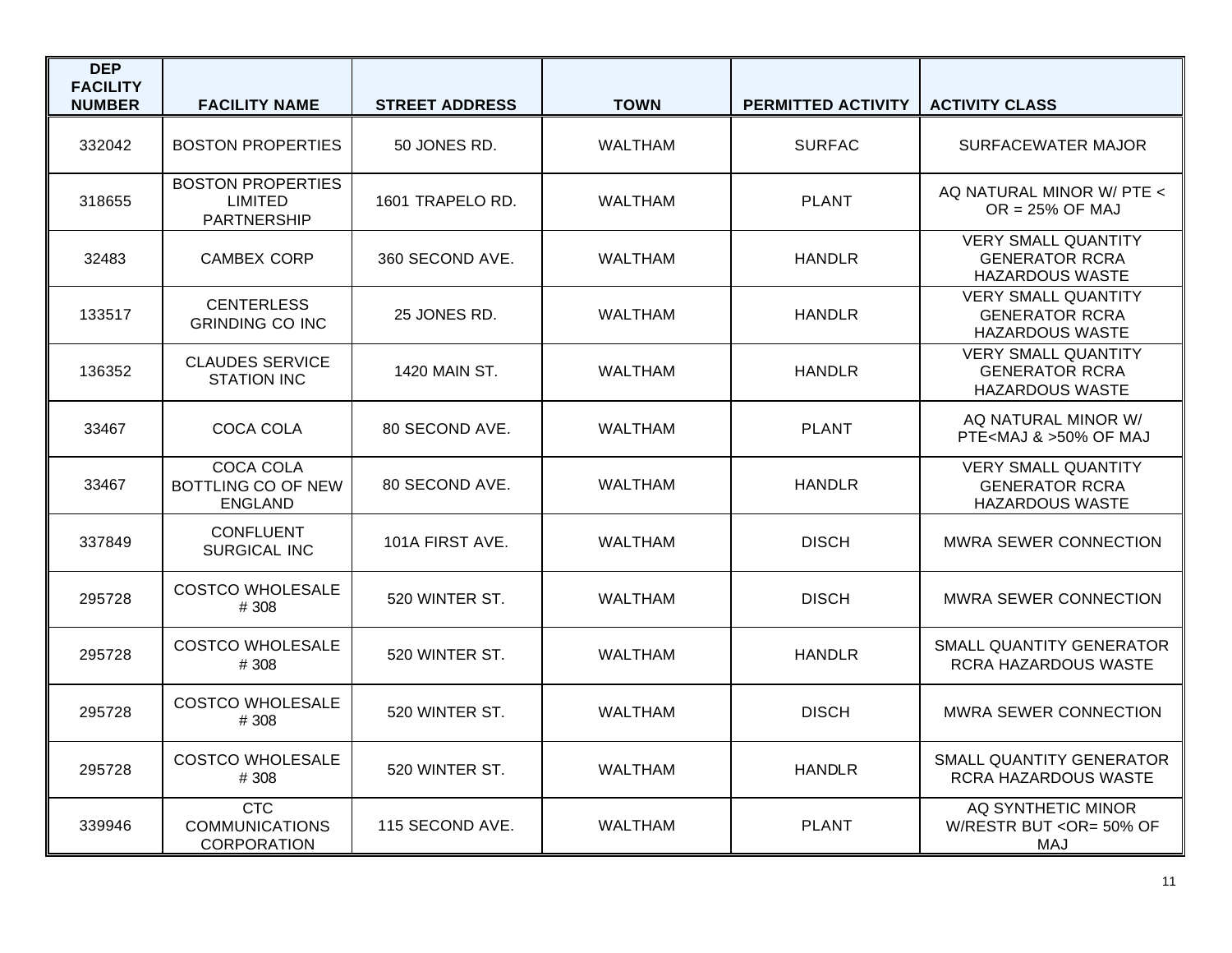| <b>DEP</b><br><b>FACILITY</b><br><b>NUMBER</b> | <b>FACILITY NAME</b>                                             | <b>STREET ADDRESS</b> | <b>TOWN</b>    | PERMITTED ACTIVITY | <b>ACTIVITY CLASS</b>                                                         |
|------------------------------------------------|------------------------------------------------------------------|-----------------------|----------------|--------------------|-------------------------------------------------------------------------------|
| 332042                                         | <b>BOSTON PROPERTIES</b>                                         | 50 JONES RD.          | <b>WALTHAM</b> | <b>SURFAC</b>      | SURFACEWATER MAJOR                                                            |
| 318655                                         | <b>BOSTON PROPERTIES</b><br><b>LIMITED</b><br><b>PARTNERSHIP</b> | 1601 TRAPELO RD.      | <b>WALTHAM</b> | <b>PLANT</b>       | AQ NATURAL MINOR W/ PTE <<br>$OR = 25\%$ OF MAJ                               |
| 32483                                          | <b>CAMBEX CORP</b>                                               | 360 SECOND AVE.       | <b>WALTHAM</b> | HANDLR             | <b>VERY SMALL QUANTITY</b><br><b>GENERATOR RCRA</b><br><b>HAZARDOUS WASTE</b> |
| 133517                                         | <b>CENTERLESS</b><br><b>GRINDING CO INC</b>                      | 25 JONES RD.          | <b>WALTHAM</b> | <b>HANDLR</b>      | <b>VERY SMALL QUANTITY</b><br><b>GENERATOR RCRA</b><br><b>HAZARDOUS WASTE</b> |
| 136352                                         | <b>CLAUDES SERVICE</b><br><b>STATION INC</b>                     | 1420 MAIN ST.         | <b>WALTHAM</b> | <b>HANDLR</b>      | <b>VERY SMALL QUANTITY</b><br><b>GENERATOR RCRA</b><br><b>HAZARDOUS WASTE</b> |
| 33467                                          | COCA COLA                                                        | 80 SECOND AVE.        | <b>WALTHAM</b> | <b>PLANT</b>       | AQ NATURAL MINOR W/<br>PTE <maj &="">50% OF MAJ</maj>                         |
| 33467                                          | <b>COCA COLA</b><br>BOTTLING CO OF NEW<br><b>ENGLAND</b>         | 80 SECOND AVE.        | <b>WALTHAM</b> | <b>HANDLR</b>      | <b>VERY SMALL QUANTITY</b><br><b>GENERATOR RCRA</b><br><b>HAZARDOUS WASTE</b> |
| 337849                                         | <b>CONFLUENT</b><br><b>SURGICAL INC</b>                          | 101A FIRST AVE.       | <b>WALTHAM</b> | <b>DISCH</b>       | <b>MWRA SEWER CONNECTION</b>                                                  |
| 295728                                         | <b>COSTCO WHOLESALE</b><br># 308                                 | 520 WINTER ST.        | <b>WALTHAM</b> | <b>DISCH</b>       | MWRA SEWER CONNECTION                                                         |
| 295728                                         | <b>COSTCO WHOLESALE</b><br># 308                                 | 520 WINTER ST.        | <b>WALTHAM</b> | <b>HANDLR</b>      | SMALL QUANTITY GENERATOR<br>RCRA HAZARDOUS WASTE                              |
| 295728                                         | <b>COSTCO WHOLESALE</b><br># 308                                 | 520 WINTER ST.        | <b>WALTHAM</b> | <b>DISCH</b>       | <b>MWRA SEWER CONNECTION</b>                                                  |
| 295728                                         | <b>COSTCO WHOLESALE</b><br># 308                                 | 520 WINTER ST.        | <b>WALTHAM</b> | <b>HANDLR</b>      | SMALL QUANTITY GENERATOR<br>RCRA HAZARDOUS WASTE                              |
| 339946                                         | <b>CTC</b><br><b>COMMUNICATIONS</b><br><b>CORPORATION</b>        | 115 SECOND AVE.       | <b>WALTHAM</b> | <b>PLANT</b>       | AQ SYNTHETIC MINOR<br>W/RESTR BUT < OR= 50% OF<br>MAJ                         |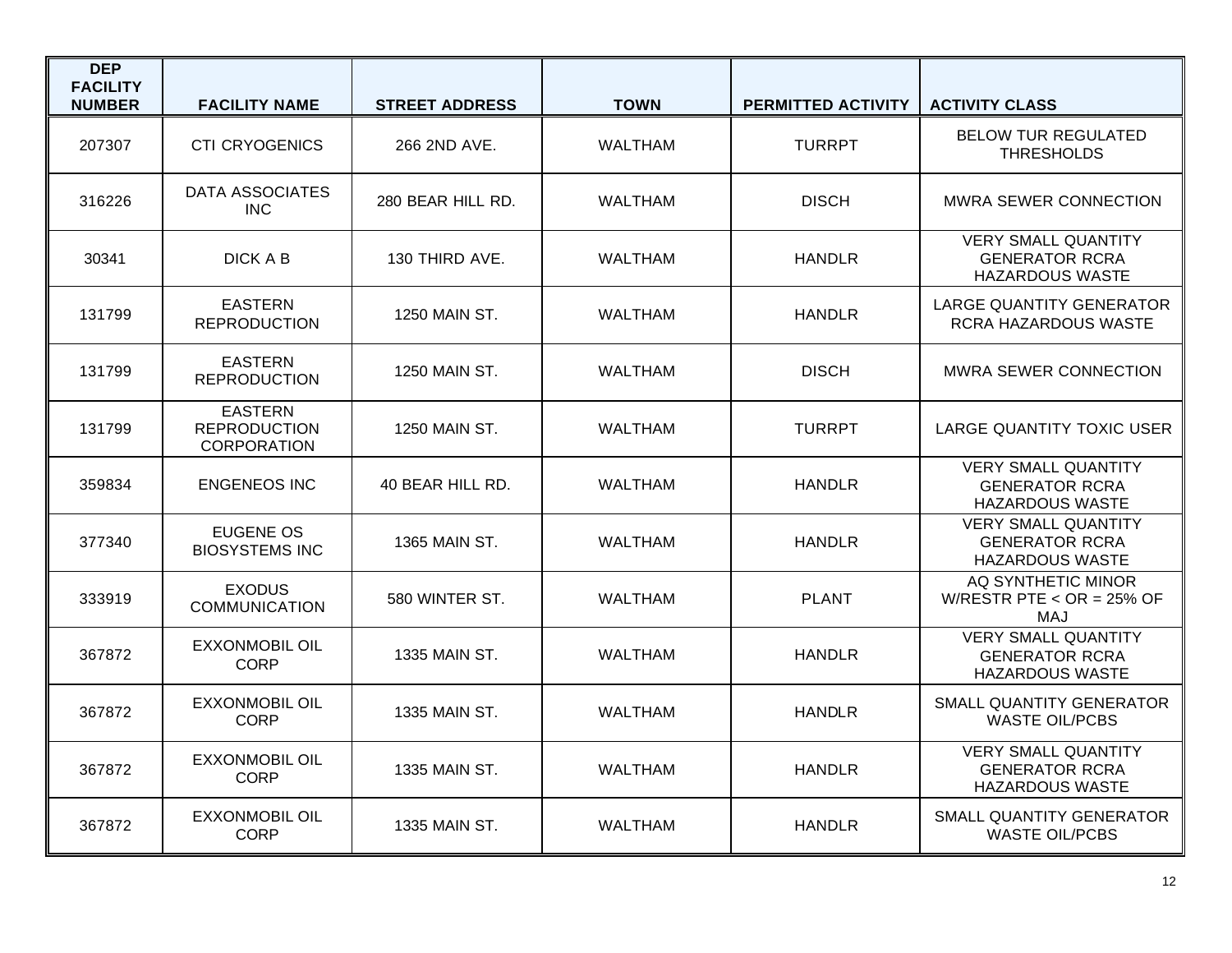| <b>DEP</b><br><b>FACILITY</b><br><b>NUMBER</b> | <b>FACILITY NAME</b>                                        | <b>STREET ADDRESS</b> | <b>TOWN</b>    | <b>PERMITTED ACTIVITY</b> | <b>ACTIVITY CLASS</b>                                                         |
|------------------------------------------------|-------------------------------------------------------------|-----------------------|----------------|---------------------------|-------------------------------------------------------------------------------|
| 207307                                         | <b>CTI CRYOGENICS</b>                                       | 266 2ND AVE.          | <b>WALTHAM</b> | <b>TURRPT</b>             | <b>BELOW TUR REGULATED</b><br><b>THRESHOLDS</b>                               |
| 316226                                         | <b>DATA ASSOCIATES</b><br><b>INC</b>                        | 280 BEAR HILL RD.     | WALTHAM        | <b>DISCH</b>              | <b>MWRA SEWER CONNECTION</b>                                                  |
| 30341                                          | DICK A B                                                    | 130 THIRD AVE.        | <b>WALTHAM</b> | <b>HANDLR</b>             | <b>VERY SMALL QUANTITY</b><br><b>GENERATOR RCRA</b><br><b>HAZARDOUS WASTE</b> |
| 131799                                         | <b>EASTERN</b><br><b>REPRODUCTION</b>                       | 1250 MAIN ST.         | <b>WALTHAM</b> | <b>HANDLR</b>             | <b>LARGE QUANTITY GENERATOR</b><br>RCRA HAZARDOUS WASTE                       |
| 131799                                         | <b>EASTERN</b><br><b>REPRODUCTION</b>                       | 1250 MAIN ST.         | WALTHAM        | <b>DISCH</b>              | <b>MWRA SEWER CONNECTION</b>                                                  |
| 131799                                         | <b>EASTERN</b><br><b>REPRODUCTION</b><br><b>CORPORATION</b> | 1250 MAIN ST.         | <b>WALTHAM</b> | <b>TURRPT</b>             | LARGE QUANTITY TOXIC USER                                                     |
| 359834                                         | <b>ENGENEOS INC</b>                                         | 40 BEAR HILL RD.      | WALTHAM        | <b>HANDLR</b>             | <b>VERY SMALL QUANTITY</b><br><b>GENERATOR RCRA</b><br><b>HAZARDOUS WASTE</b> |
| 377340                                         | EUGENE OS<br><b>BIOSYSTEMS INC</b>                          | <b>1365 MAIN ST.</b>  | <b>WALTHAM</b> | <b>HANDLR</b>             | <b>VERY SMALL QUANTITY</b><br><b>GENERATOR RCRA</b><br><b>HAZARDOUS WASTE</b> |
| 333919                                         | <b>EXODUS</b><br><b>COMMUNICATION</b>                       | 580 WINTER ST.        | WALTHAM        | <b>PLANT</b>              | AQ SYNTHETIC MINOR<br>W/RESTR PTE < $OR = 25\%$ OF<br><b>MAJ</b>              |
| 367872                                         | <b>EXXONMOBIL OIL</b><br><b>CORP</b>                        | 1335 MAIN ST.         | <b>WALTHAM</b> | <b>HANDLR</b>             | <b>VERY SMALL QUANTITY</b><br><b>GENERATOR RCRA</b><br><b>HAZARDOUS WASTE</b> |
| 367872                                         | <b>EXXONMOBIL OIL</b><br><b>CORP</b>                        | 1335 MAIN ST.         | <b>WALTHAM</b> | <b>HANDLR</b>             | SMALL QUANTITY GENERATOR<br><b>WASTE OIL/PCBS</b>                             |
| 367872                                         | <b>EXXONMOBIL OIL</b><br><b>CORP</b>                        | 1335 MAIN ST.         | <b>WALTHAM</b> | HANDLR                    | <b>VERY SMALL QUANTITY</b><br><b>GENERATOR RCRA</b><br><b>HAZARDOUS WASTE</b> |
| 367872                                         | <b>EXXONMOBIL OIL</b><br><b>CORP</b>                        | 1335 MAIN ST.         | <b>WALTHAM</b> | <b>HANDLR</b>             | SMALL QUANTITY GENERATOR<br><b>WASTE OIL/PCBS</b>                             |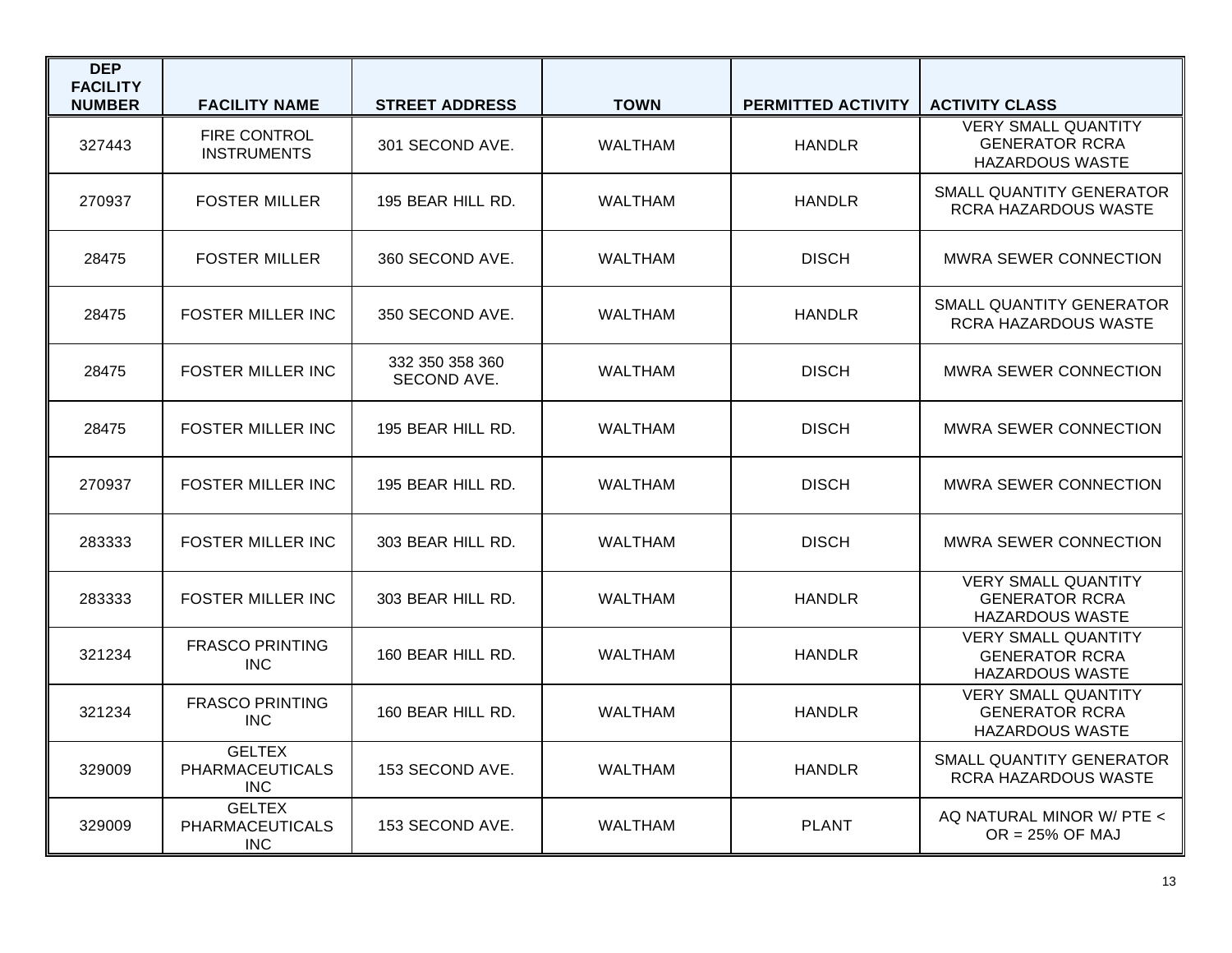| <b>DEP</b><br><b>FACILITY</b> |                                                       |                                |                |                           |                                                                               |
|-------------------------------|-------------------------------------------------------|--------------------------------|----------------|---------------------------|-------------------------------------------------------------------------------|
| <b>NUMBER</b>                 | <b>FACILITY NAME</b>                                  | <b>STREET ADDRESS</b>          | <b>TOWN</b>    | <b>PERMITTED ACTIVITY</b> | <b>ACTIVITY CLASS</b>                                                         |
| 327443                        | <b>FIRE CONTROL</b><br><b>INSTRUMENTS</b>             | 301 SECOND AVE.                | <b>WALTHAM</b> | <b>HANDLR</b>             | <b>VERY SMALL QUANTITY</b><br><b>GENERATOR RCRA</b><br><b>HAZARDOUS WASTE</b> |
| 270937                        | <b>FOSTER MILLER</b>                                  | 195 BEAR HILL RD.              | <b>WALTHAM</b> | <b>HANDLR</b>             | SMALL QUANTITY GENERATOR<br>RCRA HAZARDOUS WASTE                              |
| 28475                         | <b>FOSTER MILLER</b>                                  | 360 SECOND AVE.                | <b>WALTHAM</b> | <b>DISCH</b>              | <b>MWRA SEWER CONNECTION</b>                                                  |
| 28475                         | <b>FOSTER MILLER INC</b>                              | 350 SECOND AVE.                | <b>WALTHAM</b> | <b>HANDLR</b>             | SMALL QUANTITY GENERATOR<br>RCRA HAZARDOUS WASTE                              |
| 28475                         | <b>FOSTER MILLER INC</b>                              | 332 350 358 360<br>SECOND AVE. | <b>WALTHAM</b> | <b>DISCH</b>              | <b>MWRA SEWER CONNECTION</b>                                                  |
| 28475                         | <b>FOSTER MILLER INC</b>                              | 195 BEAR HILL RD.              | WALTHAM        | <b>DISCH</b>              | <b>MWRA SEWER CONNECTION</b>                                                  |
| 270937                        | <b>FOSTER MILLER INC</b>                              | 195 BEAR HILL RD.              | <b>WALTHAM</b> | <b>DISCH</b>              | <b>MWRA SEWER CONNECTION</b>                                                  |
| 283333                        | <b>FOSTER MILLER INC</b>                              | 303 BEAR HILL RD.              | <b>WALTHAM</b> | <b>DISCH</b>              | <b>MWRA SEWER CONNECTION</b>                                                  |
| 283333                        | <b>FOSTER MILLER INC</b>                              | 303 BEAR HILL RD.              | WALTHAM        | <b>HANDLR</b>             | <b>VERY SMALL QUANTITY</b><br><b>GENERATOR RCRA</b><br><b>HAZARDOUS WASTE</b> |
| 321234                        | <b>FRASCO PRINTING</b><br><b>INC</b>                  | 160 BEAR HILL RD.              | <b>WALTHAM</b> | <b>HANDLR</b>             | <b>VERY SMALL QUANTITY</b><br><b>GENERATOR RCRA</b><br><b>HAZARDOUS WASTE</b> |
| 321234                        | <b>FRASCO PRINTING</b><br><b>INC</b>                  | 160 BEAR HILL RD.              | <b>WALTHAM</b> | <b>HANDLR</b>             | <b>VERY SMALL QUANTITY</b><br><b>GENERATOR RCRA</b><br><b>HAZARDOUS WASTE</b> |
| 329009                        | <b>GELTEX</b><br><b>PHARMACEUTICALS</b><br><b>INC</b> | 153 SECOND AVE.                | <b>WALTHAM</b> | <b>HANDLR</b>             | SMALL QUANTITY GENERATOR<br>RCRA HAZARDOUS WASTE                              |
| 329009                        | <b>GELTEX</b><br><b>PHARMACEUTICALS</b><br><b>INC</b> | 153 SECOND AVE.                | <b>WALTHAM</b> | <b>PLANT</b>              | AQ NATURAL MINOR W/ PTE <<br>$OR = 25\%$ OF MAJ                               |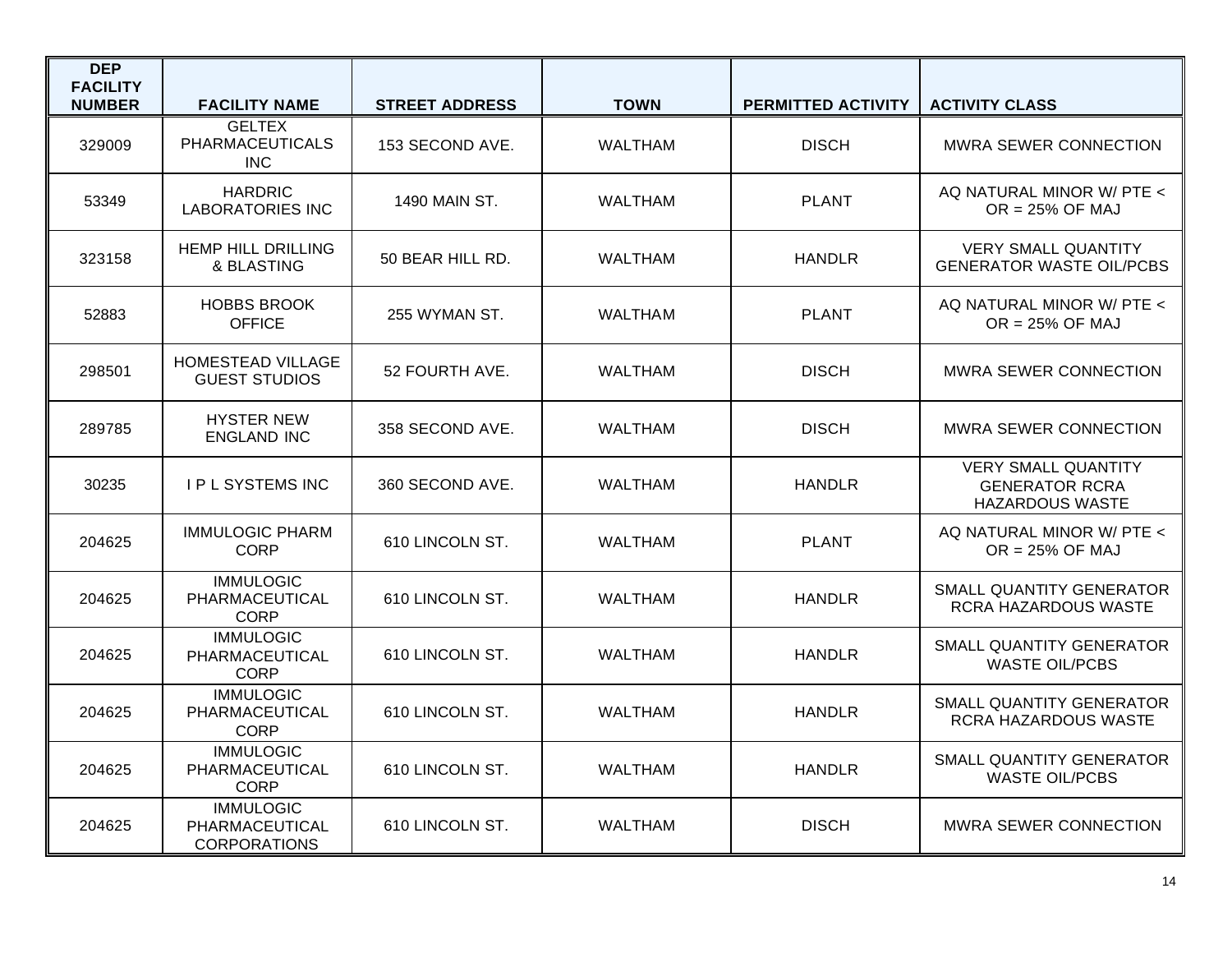| <b>DEP</b><br><b>FACILITY</b> |                                                           |                       |                |                    |                                                                               |
|-------------------------------|-----------------------------------------------------------|-----------------------|----------------|--------------------|-------------------------------------------------------------------------------|
| <b>NUMBER</b>                 | <b>FACILITY NAME</b>                                      | <b>STREET ADDRESS</b> | <b>TOWN</b>    | PERMITTED ACTIVITY | <b>ACTIVITY CLASS</b>                                                         |
| 329009                        | <b>GELTEX</b><br><b>PHARMACEUTICALS</b><br><b>INC</b>     | 153 SECOND AVE.       | <b>WALTHAM</b> | <b>DISCH</b>       | <b>MWRA SEWER CONNECTION</b>                                                  |
| 53349                         | <b>HARDRIC</b><br><b>LABORATORIES INC</b>                 | 1490 MAIN ST.         | <b>WALTHAM</b> | <b>PLANT</b>       | AQ NATURAL MINOR W/ PTE <<br>$OR = 25\%$ OF MAJ                               |
| 323158                        | <b>HEMP HILL DRILLING</b><br>& BLASTING                   | 50 BEAR HILL RD.      | <b>WALTHAM</b> | <b>HANDLR</b>      | <b>VERY SMALL QUANTITY</b><br><b>GENERATOR WASTE OIL/PCBS</b>                 |
| 52883                         | <b>HOBBS BROOK</b><br><b>OFFICE</b>                       | 255 WYMAN ST.         | <b>WALTHAM</b> | <b>PLANT</b>       | AQ NATURAL MINOR W/ PTE <<br>$OR = 25\%$ OF MAJ                               |
| 298501                        | <b>HOMESTEAD VILLAGE</b><br><b>GUEST STUDIOS</b>          | 52 FOURTH AVE.        | <b>WALTHAM</b> | <b>DISCH</b>       | <b>MWRA SEWER CONNECTION</b>                                                  |
| 289785                        | <b>HYSTER NEW</b><br><b>ENGLAND INC</b>                   | 358 SECOND AVE.       | <b>WALTHAM</b> | <b>DISCH</b>       | <b>MWRA SEWER CONNECTION</b>                                                  |
| 30235                         | I P L SYSTEMS INC                                         | 360 SECOND AVE.       | <b>WALTHAM</b> | <b>HANDLR</b>      | <b>VERY SMALL QUANTITY</b><br><b>GENERATOR RCRA</b><br><b>HAZARDOUS WASTE</b> |
| 204625                        | <b>IMMULOGIC PHARM</b><br><b>CORP</b>                     | 610 LINCOLN ST.       | <b>WALTHAM</b> | <b>PLANT</b>       | AQ NATURAL MINOR W/ PTE <<br>$OR = 25\%$ OF MAJ                               |
| 204625                        | <b>IMMULOGIC</b><br>PHARMACEUTICAL<br><b>CORP</b>         | 610 LINCOLN ST.       | <b>WALTHAM</b> | <b>HANDLR</b>      | <b>SMALL QUANTITY GENERATOR</b><br>RCRA HAZARDOUS WASTE                       |
| 204625                        | <b>IMMULOGIC</b><br>PHARMACEUTICAL<br><b>CORP</b>         | 610 LINCOLN ST.       | <b>WALTHAM</b> | <b>HANDLR</b>      | SMALL QUANTITY GENERATOR<br><b>WASTE OIL/PCBS</b>                             |
| 204625                        | <b>IMMULOGIC</b><br>PHARMACEUTICAL<br><b>CORP</b>         | 610 LINCOLN ST.       | <b>WALTHAM</b> | <b>HANDLR</b>      | SMALL QUANTITY GENERATOR<br>RCRA HAZARDOUS WASTE                              |
| 204625                        | <b>IMMULOGIC</b><br>PHARMACEUTICAL<br><b>CORP</b>         | 610 LINCOLN ST.       | <b>WALTHAM</b> | <b>HANDLR</b>      | SMALL QUANTITY GENERATOR<br><b>WASTE OIL/PCBS</b>                             |
| 204625                        | <b>IMMULOGIC</b><br>PHARMACEUTICAL<br><b>CORPORATIONS</b> | 610 LINCOLN ST.       | <b>WALTHAM</b> | <b>DISCH</b>       | <b>MWRA SEWER CONNECTION</b>                                                  |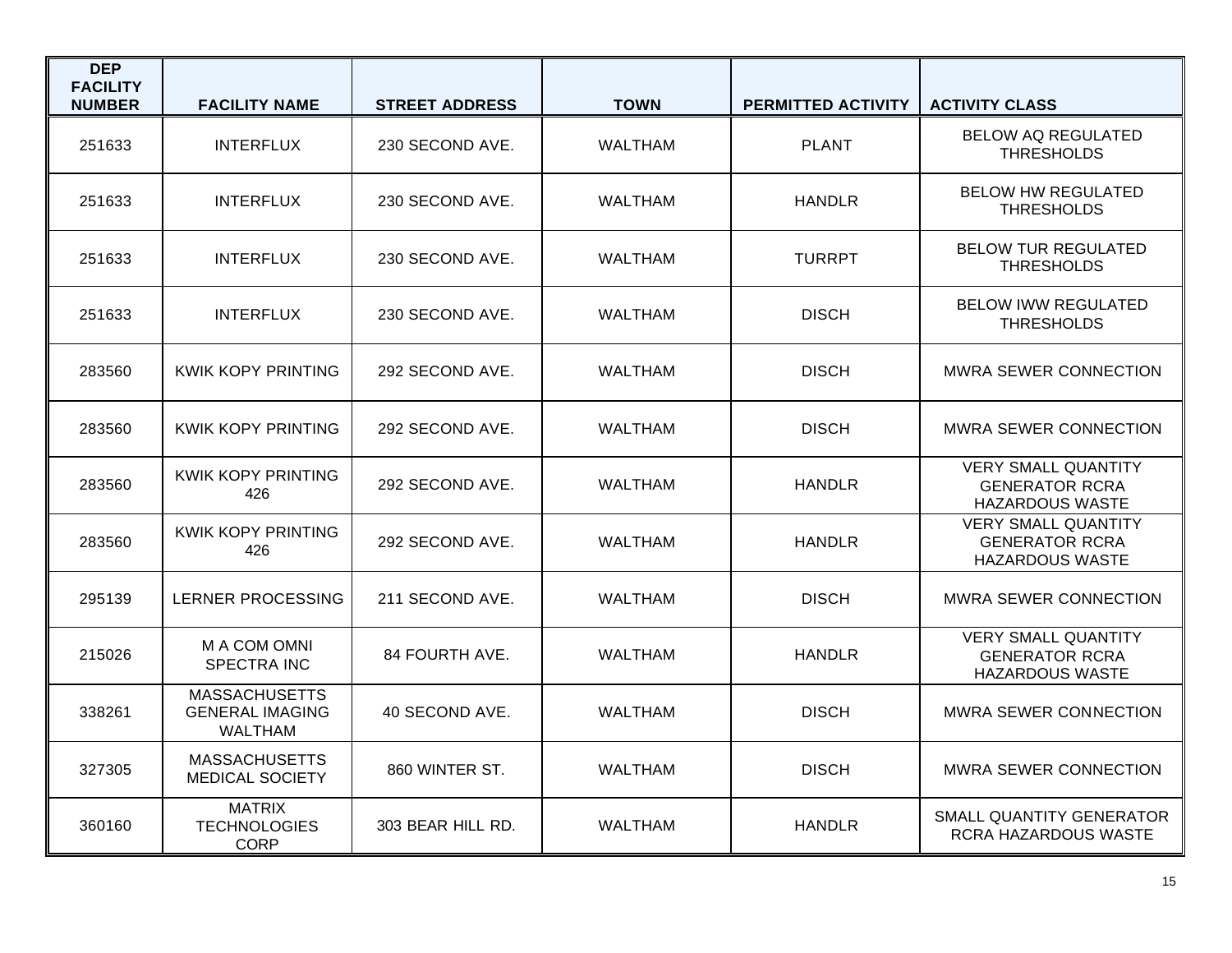| <b>DEP</b><br><b>FACILITY</b><br><b>NUMBER</b> | <b>FACILITY NAME</b>                                             | <b>STREET ADDRESS</b> | <b>TOWN</b>    | <b>PERMITTED ACTIVITY</b> | <b>ACTIVITY CLASS</b>                                                         |
|------------------------------------------------|------------------------------------------------------------------|-----------------------|----------------|---------------------------|-------------------------------------------------------------------------------|
| 251633                                         | <b>INTERFLUX</b>                                                 | 230 SECOND AVE.       | <b>WALTHAM</b> | <b>PLANT</b>              | <b>BELOW AQ REGULATED</b><br><b>THRESHOLDS</b>                                |
| 251633                                         | <b>INTERFLUX</b>                                                 | 230 SECOND AVE.       | <b>WALTHAM</b> | <b>HANDLR</b>             | <b>BELOW HW REGULATED</b><br><b>THRESHOLDS</b>                                |
| 251633                                         | <b>INTERFLUX</b>                                                 | 230 SECOND AVE.       | <b>WALTHAM</b> | <b>TURRPT</b>             | <b>BELOW TUR REGULATED</b><br><b>THRESHOLDS</b>                               |
| 251633                                         | <b>INTERFLUX</b>                                                 | 230 SECOND AVE.       | <b>WALTHAM</b> | <b>DISCH</b>              | <b>BELOW IWW REGULATED</b><br><b>THRESHOLDS</b>                               |
| 283560                                         | KWIK KOPY PRINTING                                               | 292 SECOND AVE.       | <b>WALTHAM</b> | <b>DISCH</b>              | <b>MWRA SEWER CONNECTION</b>                                                  |
| 283560                                         | KWIK KOPY PRINTING                                               | 292 SECOND AVE.       | WALTHAM        | <b>DISCH</b>              | <b>MWRA SEWER CONNECTION</b>                                                  |
| 283560                                         | <b>KWIK KOPY PRINTING</b><br>426                                 | 292 SECOND AVE.       | WALTHAM        | <b>HANDLR</b>             | <b>VERY SMALL QUANTITY</b><br><b>GENERATOR RCRA</b><br><b>HAZARDOUS WASTE</b> |
| 283560                                         | <b>KWIK KOPY PRINTING</b><br>426                                 | 292 SECOND AVE.       | <b>WALTHAM</b> | <b>HANDLR</b>             | <b>VERY SMALL QUANTITY</b><br><b>GENERATOR RCRA</b><br><b>HAZARDOUS WASTE</b> |
| 295139                                         | LERNER PROCESSING                                                | 211 SECOND AVE.       | <b>WALTHAM</b> | <b>DISCH</b>              | MWRA SEWER CONNECTION                                                         |
| 215026                                         | M A COM OMNI<br><b>SPECTRA INC</b>                               | 84 FOURTH AVE.        | <b>WALTHAM</b> | <b>HANDLR</b>             | <b>VERY SMALL QUANTITY</b><br><b>GENERATOR RCRA</b><br><b>HAZARDOUS WASTE</b> |
| 338261                                         | <b>MASSACHUSETTS</b><br><b>GENERAL IMAGING</b><br><b>WALTHAM</b> | 40 SECOND AVE.        | <b>WALTHAM</b> | <b>DISCH</b>              | <b>MWRA SEWER CONNECTION</b>                                                  |
| 327305                                         | <b>MASSACHUSETTS</b><br><b>MEDICAL SOCIETY</b>                   | 860 WINTER ST.        | <b>WALTHAM</b> | <b>DISCH</b>              | MWRA SEWER CONNECTION                                                         |
| 360160                                         | <b>MATRIX</b><br><b>TECHNOLOGIES</b><br><b>CORP</b>              | 303 BEAR HILL RD.     | <b>WALTHAM</b> | <b>HANDLR</b>             | SMALL QUANTITY GENERATOR<br>RCRA HAZARDOUS WASTE                              |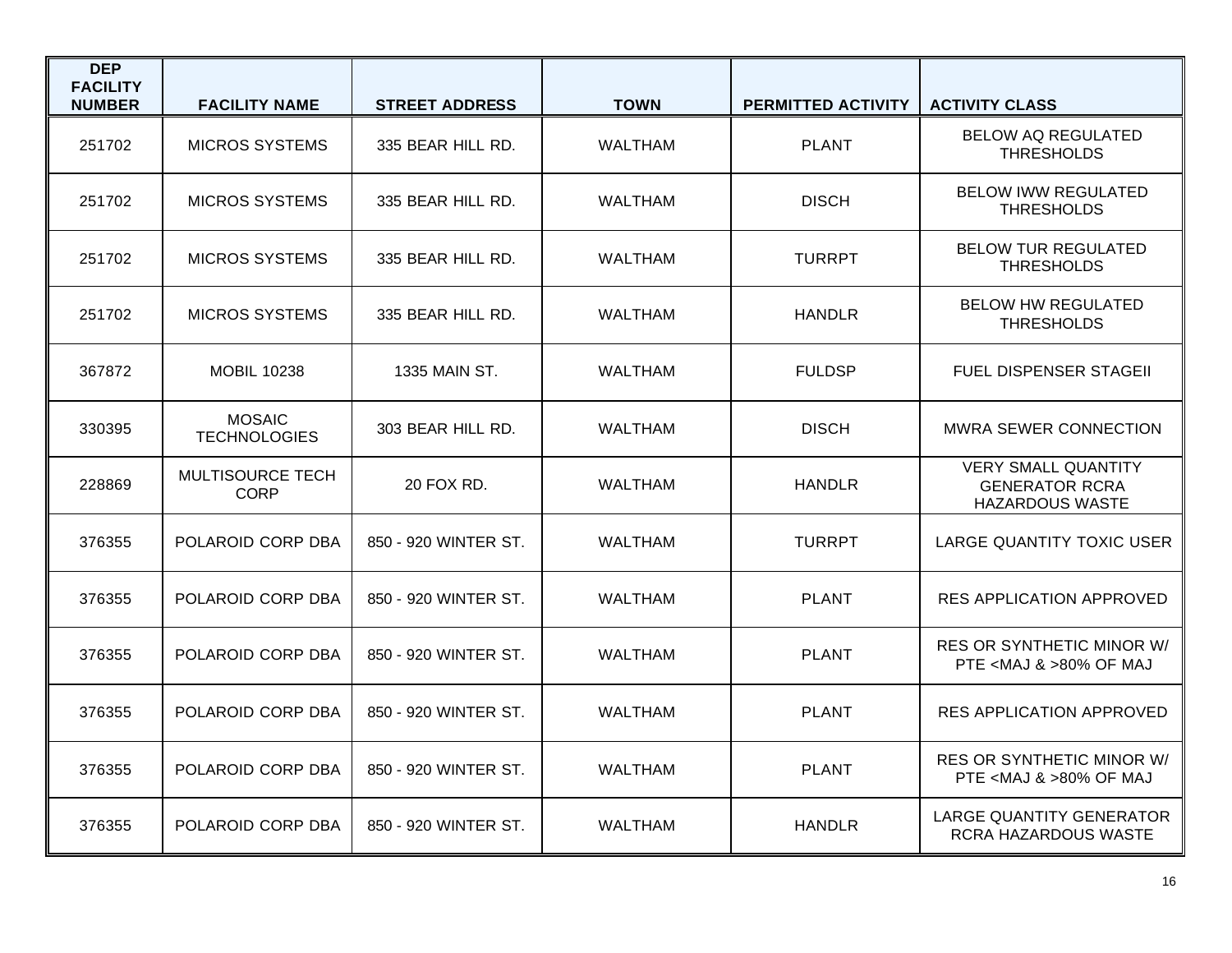| <b>DEP</b><br><b>FACILITY</b><br><b>NUMBER</b> | <b>FACILITY NAME</b>                 | <b>STREET ADDRESS</b> | <b>TOWN</b>    | <b>PERMITTED ACTIVITY</b> | <b>ACTIVITY CLASS</b>                                                         |
|------------------------------------------------|--------------------------------------|-----------------------|----------------|---------------------------|-------------------------------------------------------------------------------|
| 251702                                         | <b>MICROS SYSTEMS</b>                | 335 BEAR HILL RD.     | <b>WALTHAM</b> | <b>PLANT</b>              | <b>BELOW AQ REGULATED</b><br><b>THRESHOLDS</b>                                |
| 251702                                         | <b>MICROS SYSTEMS</b>                | 335 BEAR HILL RD.     | <b>WALTHAM</b> | <b>DISCH</b>              | <b>BELOW IWW REGULATED</b><br><b>THRESHOLDS</b>                               |
| 251702                                         | <b>MICROS SYSTEMS</b>                | 335 BEAR HILL RD.     | <b>WALTHAM</b> | <b>TURRPT</b>             | <b>BELOW TUR REGULATED</b><br><b>THRESHOLDS</b>                               |
| 251702                                         | <b>MICROS SYSTEMS</b>                | 335 BEAR HILL RD.     | <b>WALTHAM</b> | <b>HANDLR</b>             | <b>BELOW HW REGULATED</b><br><b>THRESHOLDS</b>                                |
| 367872                                         | <b>MOBIL 10238</b>                   | 1335 MAIN ST.         | <b>WALTHAM</b> | <b>FULDSP</b>             | <b>FUEL DISPENSER STAGEII</b>                                                 |
| 330395                                         | <b>MOSAIC</b><br><b>TECHNOLOGIES</b> | 303 BEAR HILL RD.     | <b>WALTHAM</b> | <b>DISCH</b>              | <b>MWRA SEWER CONNECTION</b>                                                  |
| 228869                                         | MULTISOURCE TECH<br><b>CORP</b>      | 20 FOX RD.            | <b>WALTHAM</b> | <b>HANDLR</b>             | <b>VERY SMALL QUANTITY</b><br><b>GENERATOR RCRA</b><br><b>HAZARDOUS WASTE</b> |
| 376355                                         | POLAROID CORP DBA                    | 850 - 920 WINTER ST.  | <b>WALTHAM</b> | <b>TURRPT</b>             | LARGE QUANTITY TOXIC USER                                                     |
| 376355                                         | POLAROID CORP DBA                    | 850 - 920 WINTER ST.  | <b>WALTHAM</b> | <b>PLANT</b>              | <b>RES APPLICATION APPROVED</b>                                               |
| 376355                                         | POLAROID CORP DBA                    | 850 - 920 WINTER ST.  | <b>WALTHAM</b> | <b>PLANT</b>              | <b>RES OR SYNTHETIC MINOR W/</b><br>PTE <maj &="">80% OF MAJ</maj>            |
| 376355                                         | POLAROID CORP DBA                    | 850 - 920 WINTER ST.  | <b>WALTHAM</b> | <b>PLANT</b>              | <b>RES APPLICATION APPROVED</b>                                               |
| 376355                                         | POLAROID CORP DBA                    | 850 - 920 WINTER ST.  | <b>WALTHAM</b> | <b>PLANT</b>              | <b>RES OR SYNTHETIC MINOR W/</b><br>PTE <maj &="">80% OF MAJ</maj>            |
| 376355                                         | POLAROID CORP DBA                    | 850 - 920 WINTER ST.  | <b>WALTHAM</b> | <b>HANDLR</b>             | LARGE QUANTITY GENERATOR<br>RCRA HAZARDOUS WASTE                              |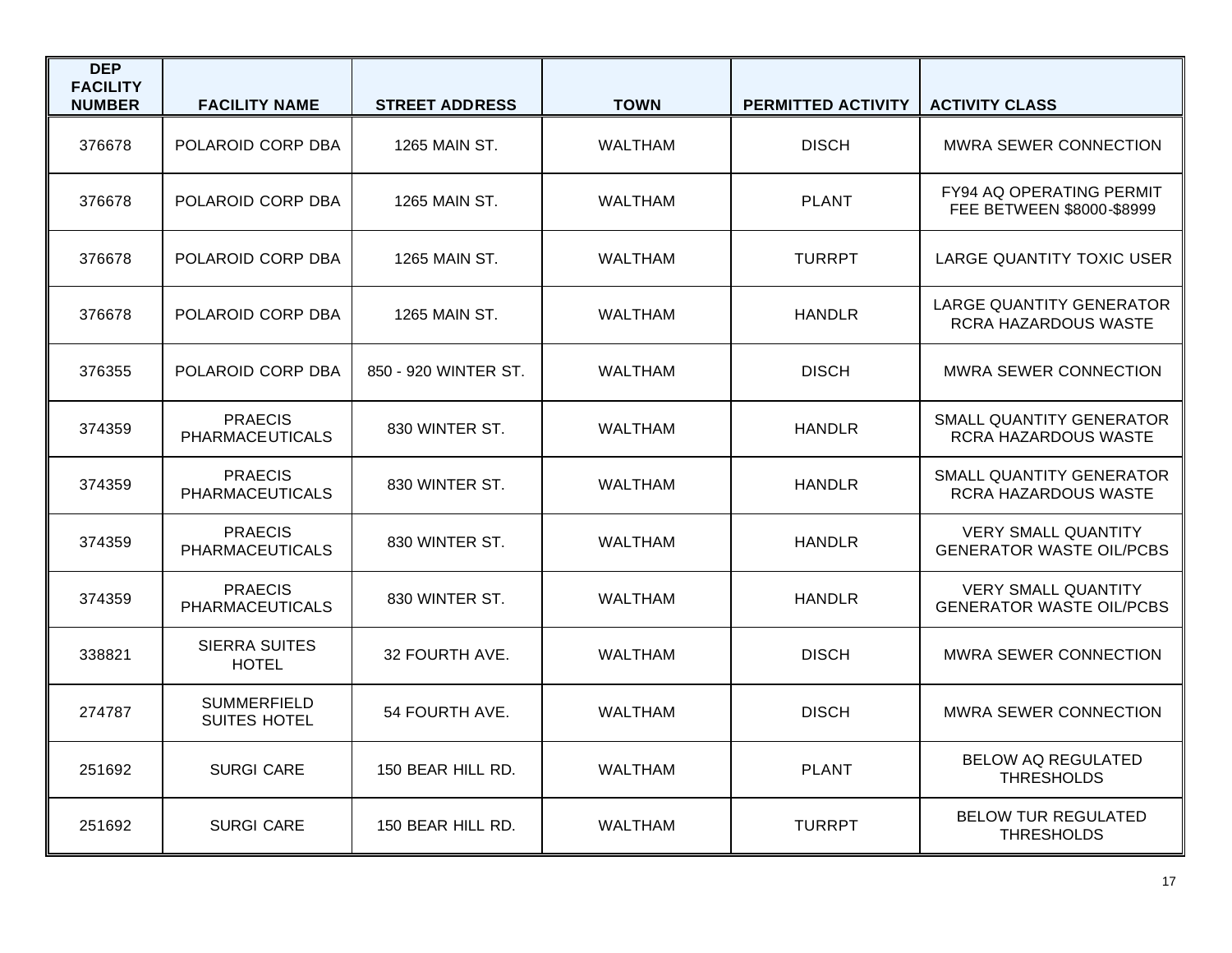| <b>DEP</b><br><b>FACILITY</b><br><b>NUMBER</b> | <b>FACILITY NAME</b>                      | <b>STREET ADDRESS</b> | <b>TOWN</b>    | PERMITTED ACTIVITY | <b>ACTIVITY CLASS</b>                                         |
|------------------------------------------------|-------------------------------------------|-----------------------|----------------|--------------------|---------------------------------------------------------------|
| 376678                                         | POLAROID CORP DBA                         | <b>1265 MAIN ST.</b>  | <b>WALTHAM</b> | <b>DISCH</b>       | MWRA SEWER CONNECTION                                         |
| 376678                                         | POLAROID CORP DBA                         | 1265 MAIN ST.         | <b>WALTHAM</b> | <b>PLANT</b>       | <b>FY94 AQ OPERATING PERMIT</b><br>FEE BETWEEN \$8000-\$8999  |
| 376678                                         | POLAROID CORP DBA                         | 1265 MAIN ST.         | <b>WALTHAM</b> | <b>TURRPT</b>      | LARGE QUANTITY TOXIC USER                                     |
| 376678                                         | POLAROID CORP DBA                         | 1265 MAIN ST.         | <b>WALTHAM</b> | <b>HANDLR</b>      | <b>LARGE QUANTITY GENERATOR</b><br>RCRA HAZARDOUS WASTE       |
| 376355                                         | POLAROID CORP DBA                         | 850 - 920 WINTER ST.  | <b>WALTHAM</b> | <b>DISCH</b>       | <b>MWRA SEWER CONNECTION</b>                                  |
| 374359                                         | <b>PRAECIS</b><br><b>PHARMACE UTICALS</b> | 830 WINTER ST.        | <b>WALTHAM</b> | <b>HANDLR</b>      | <b>SMALL QUANTITY GENERATOR</b><br>RCRA HAZARDOUS WASTE       |
| 374359                                         | <b>PRAECIS</b><br><b>PHARMACEUTICALS</b>  | 830 WINTER ST.        | <b>WALTHAM</b> | <b>HANDLR</b>      | SMALL QUANTITY GENERATOR<br><b>RCRA HAZARDOUS WASTE</b>       |
| 374359                                         | <b>PRAECIS</b><br>PHARMACEUTICALS         | 830 WINTER ST.        | <b>WALTHAM</b> | <b>HANDLR</b>      | <b>VERY SMALL QUANTITY</b><br><b>GENERATOR WASTE OIL/PCBS</b> |
| 374359                                         | <b>PRAECIS</b><br><b>PHARMACEUTICALS</b>  | 830 WINTER ST.        | WALTHAM        | <b>HANDLR</b>      | <b>VERY SMALL QUANTITY</b><br><b>GENERATOR WASTE OIL/PCBS</b> |
| 338821                                         | <b>SIERRA SUITES</b><br><b>HOTEL</b>      | 32 FOURTH AVE.        | <b>WALTHAM</b> | <b>DISCH</b>       | <b>MWRA SEWER CONNECTION</b>                                  |
| 274787                                         | <b>SUMMERFIELD</b><br><b>SUITES HOTEL</b> | 54 FOURTH AVE.        | <b>WALTHAM</b> | <b>DISCH</b>       | <b>MWRA SEWER CONNECTION</b>                                  |
| 251692                                         | <b>SURGI CARE</b>                         | 150 BEAR HILL RD.     | <b>WALTHAM</b> | <b>PLANT</b>       | <b>BELOW AQ REGULATED</b><br><b>THRESHOLDS</b>                |
| 251692                                         | <b>SURGI CARE</b>                         | 150 BEAR HILL RD.     | <b>WALTHAM</b> | <b>TURRPT</b>      | <b>BELOW TUR REGULATED</b><br><b>THRESHOLDS</b>               |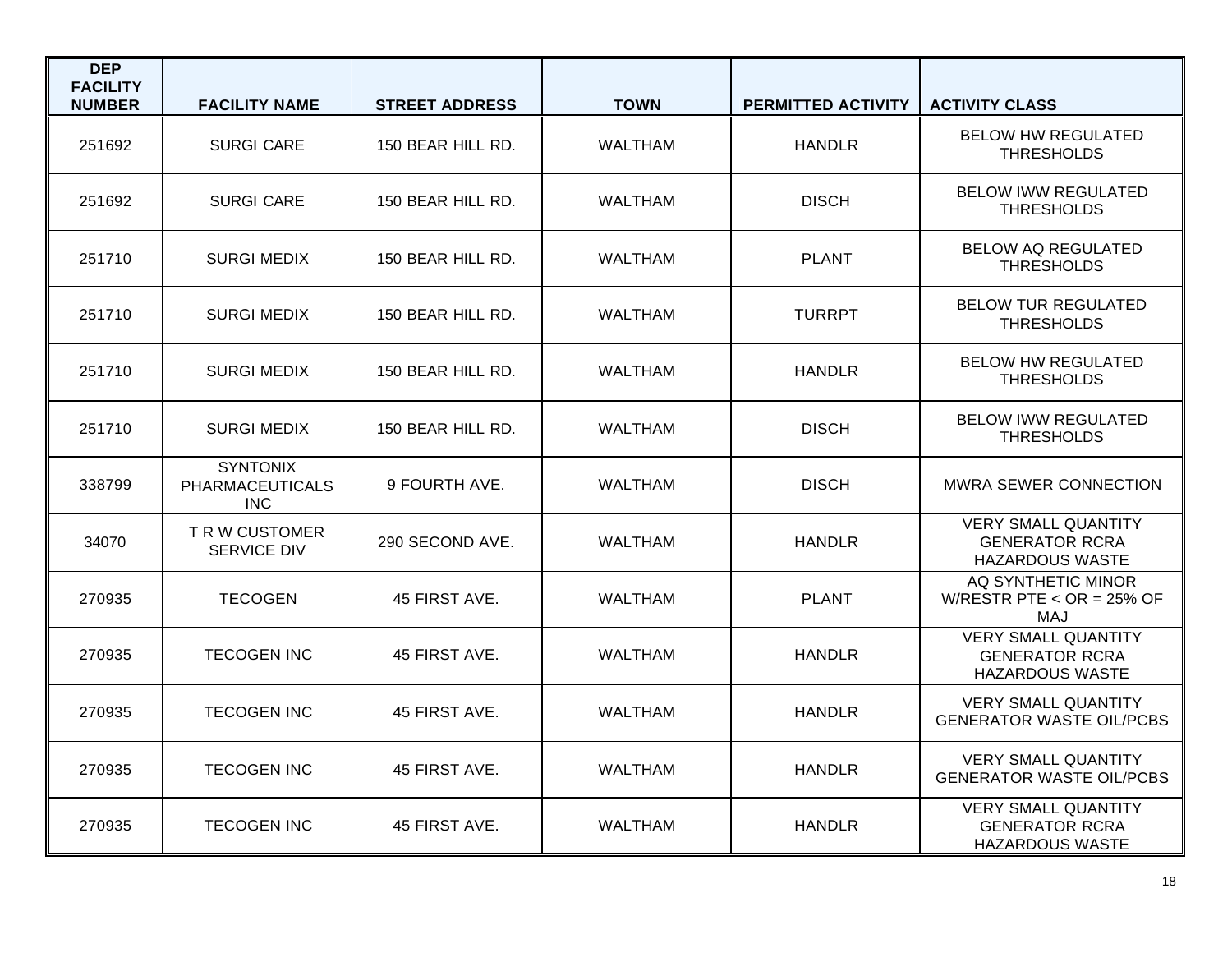| <b>DEP</b><br><b>FACILITY</b><br><b>NUMBER</b> | <b>FACILITY NAME</b>                                    | <b>STREET ADDRESS</b> | <b>TOWN</b>    | <b>PERMITTED ACTIVITY</b> | <b>ACTIVITY CLASS</b>                                                         |
|------------------------------------------------|---------------------------------------------------------|-----------------------|----------------|---------------------------|-------------------------------------------------------------------------------|
| 251692                                         | <b>SURGI CARE</b>                                       | 150 BEAR HILL RD.     | <b>WALTHAM</b> | <b>HANDLR</b>             | <b>BELOW HW REGULATED</b><br><b>THRESHOLDS</b>                                |
| 251692                                         | <b>SURGI CARE</b>                                       | 150 BEAR HILL RD.     | <b>WALTHAM</b> | <b>DISCH</b>              | <b>BELOW IWW REGULATED</b><br><b>THRESHOLDS</b>                               |
| 251710                                         | <b>SURGI MEDIX</b>                                      | 150 BEAR HILL RD.     | <b>WALTHAM</b> | <b>PLANT</b>              | <b>BELOW AQ REGULATED</b><br><b>THRESHOLDS</b>                                |
| 251710                                         | <b>SURGI MEDIX</b>                                      | 150 BEAR HILL RD.     | <b>WALTHAM</b> | <b>TURRPT</b>             | <b>BELOW TUR REGULATED</b><br><b>THRESHOLDS</b>                               |
| 251710                                         | <b>SURGI MEDIX</b>                                      | 150 BEAR HILL RD.     | <b>WALTHAM</b> | <b>HANDLR</b>             | <b>BELOW HW REGULATED</b><br><b>THRESHOLDS</b>                                |
| 251710                                         | <b>SURGI MEDIX</b>                                      | 150 BEAR HILL RD.     | WALTHAM        | <b>DISCH</b>              | <b>BELOW IWW REGULATED</b><br><b>THRESHOLDS</b>                               |
| 338799                                         | <b>SYNTONIX</b><br><b>PHARMACEUTICALS</b><br><b>INC</b> | 9 FOURTH AVE.         | <b>WALTHAM</b> | <b>DISCH</b>              | <b>MWRA SEWER CONNECTION</b>                                                  |
| 34070                                          | TRW CUSTOMER<br><b>SERVICE DIV</b>                      | 290 SECOND AVE.       | <b>WALTHAM</b> | <b>HANDLR</b>             | <b>VERY SMALL QUANTITY</b><br><b>GENERATOR RCRA</b><br><b>HAZARDOUS WASTE</b> |
| 270935                                         | <b>TECOGEN</b>                                          | 45 FIRST AVE.         | <b>WALTHAM</b> | <b>PLANT</b>              | AQ SYNTHETIC MINOR<br>W/RESTR PTE < $OR = 25\%$ OF<br>MAJ                     |
| 270935                                         | <b>TECOGEN INC</b>                                      | 45 FIRST AVE.         | <b>WALTHAM</b> | <b>HANDLR</b>             | <b>VERY SMALL QUANTITY</b><br><b>GENERATOR RCRA</b><br><b>HAZARDOUS WASTE</b> |
| 270935                                         | <b>TECOGEN INC</b>                                      | 45 FIRST AVE.         | <b>WALTHAM</b> | <b>HANDLR</b>             | <b>VERY SMALL QUANTITY</b><br><b>GENERATOR WASTE OIL/PCBS</b>                 |
| 270935                                         | <b>TECOGEN INC</b>                                      | 45 FIRST AVE.         | WALTHAM        | <b>HANDLR</b>             | <b>VERY SMALL QUANTITY</b><br><b>GENERATOR WASTE OIL/PCBS</b>                 |
| 270935                                         | <b>TECOGEN INC</b>                                      | 45 FIRST AVE.         | <b>WALTHAM</b> | <b>HANDLR</b>             | <b>VERY SMALL QUANTITY</b><br><b>GENERATOR RCRA</b><br><b>HAZARDOUS WASTE</b> |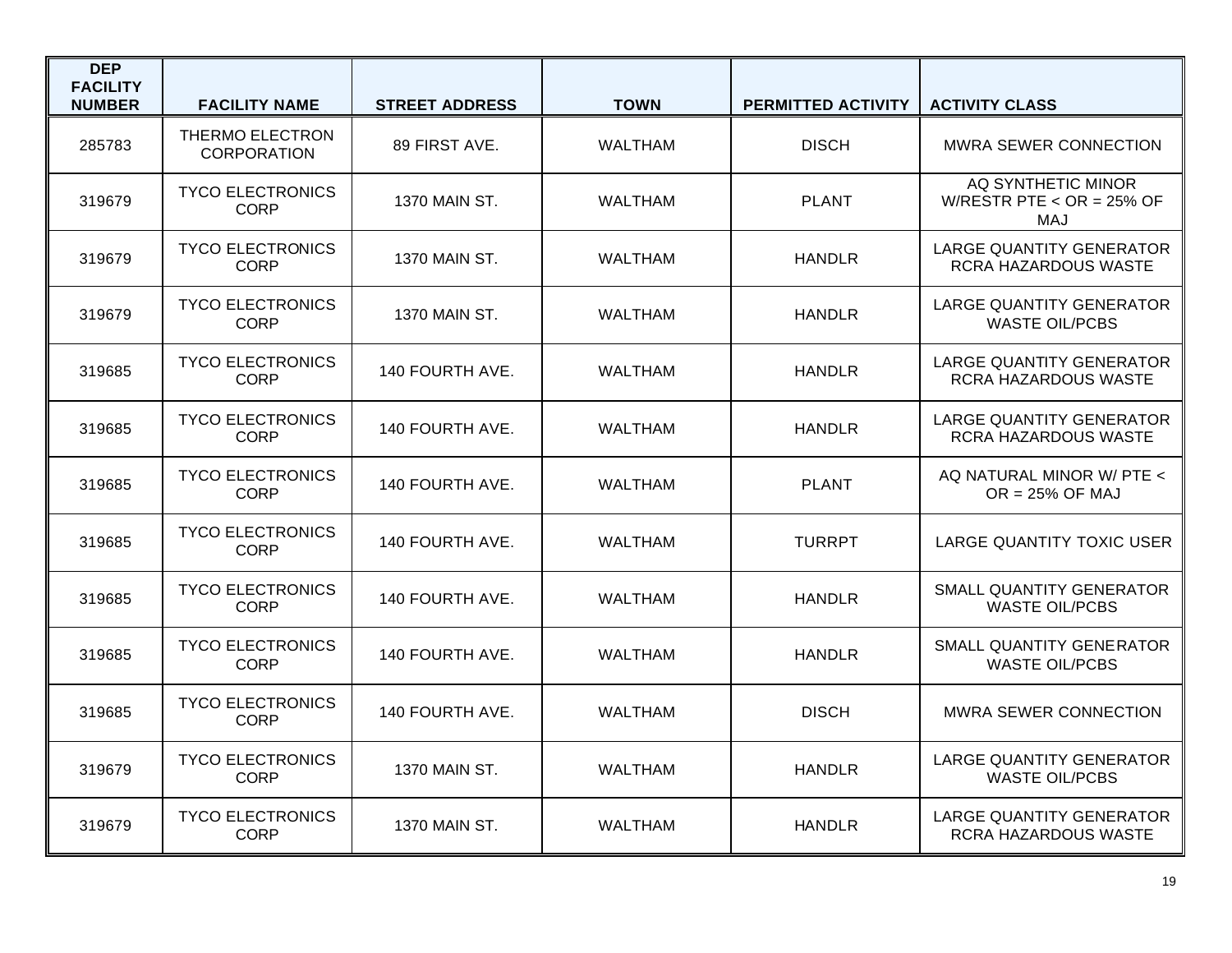| <b>DEP</b><br><b>FACILITY</b><br><b>NUMBER</b> | <b>FACILITY NAME</b>                   | <b>STREET ADDRESS</b> | <b>TOWN</b>    | PERMITTED ACTIVITY | <b>ACTIVITY CLASS</b>                                     |
|------------------------------------------------|----------------------------------------|-----------------------|----------------|--------------------|-----------------------------------------------------------|
| 285783                                         | THERMO ELECTRON<br><b>CORPORATION</b>  | 89 FIRST AVE.         | <b>WALTHAM</b> | <b>DISCH</b>       | <b>MWRA SEWER CONNECTION</b>                              |
| 319679                                         | <b>TYCO ELECTRONICS</b><br><b>CORP</b> | 1370 MAIN ST.         | <b>WALTHAM</b> | <b>PLANT</b>       | AQ SYNTHETIC MINOR<br>W/RESTR PTE < $OR = 25\%$ OF<br>MAJ |
| 319679                                         | <b>TYCO ELECTRONICS</b><br><b>CORP</b> | 1370 MAIN ST.         | <b>WALTHAM</b> | <b>HANDLR</b>      | <b>LARGE QUANTITY GENERATOR</b><br>RCRA HAZARDOUS WASTE   |
| 319679                                         | <b>TYCO ELECTRONICS</b><br><b>CORP</b> | 1370 MAIN ST.         | <b>WALTHAM</b> | <b>HANDLR</b>      | <b>LARGE QUANTITY GENERATOR</b><br><b>WASTE OIL/PCBS</b>  |
| 319685                                         | <b>TYCO ELECTRONICS</b><br><b>CORP</b> | 140 FOURTH AVE.       | <b>WALTHAM</b> | <b>HANDLR</b>      | <b>LARGE QUANTITY GENERATOR</b><br>RCRA HAZARDOUS WASTE   |
| 319685                                         | <b>TYCO ELECTRONICS</b><br><b>CORP</b> | 140 FOURTH AVE.       | <b>WALTHAM</b> | <b>HANDLR</b>      | <b>LARGE QUANTITY GENERATOR</b><br>RCRA HAZARDOUS WASTE   |
| 319685                                         | <b>TYCO ELECTRONICS</b><br><b>CORP</b> | 140 FOURTH AVE.       | WALTHAM        | <b>PLANT</b>       | AQ NATURAL MINOR W/ PTE <<br>$OR = 25\%$ OF MAJ           |
| 319685                                         | <b>TYCO ELECTRONICS</b><br><b>CORP</b> | 140 FOURTH AVE.       | <b>WALTHAM</b> | <b>TURRPT</b>      | LARGE QUANTITY TOXIC USER                                 |
| 319685                                         | <b>TYCO ELECTRONICS</b><br><b>CORP</b> | 140 FOURTH AVE.       | <b>WALTHAM</b> | <b>HANDLR</b>      | SMALL QUANTITY GENERATOR<br><b>WASTE OIL/PCBS</b>         |
| 319685                                         | <b>TYCO ELECTRONICS</b><br><b>CORP</b> | 140 FOURTH AVE.       | <b>WALTHAM</b> | <b>HANDLR</b>      | SMALL QUANTITY GENERATOR<br><b>WASTE OIL/PCBS</b>         |
| 319685                                         | <b>TYCO ELECTRONICS</b><br>CORP        | 140 FOURTH AVE.       | WALTHAM        | <b>DISCH</b>       | <b>MWRA SEWER CONNECTION</b>                              |
| 319679                                         | <b>TYCO ELECTRONICS</b><br><b>CORP</b> | 1370 MAIN ST.         | <b>WALTHAM</b> | <b>HANDLR</b>      | <b>LARGE QUANTITY GENERATOR</b><br><b>WASTE OIL/PCBS</b>  |
| 319679                                         | <b>TYCO ELECTRONICS</b><br><b>CORP</b> | 1370 MAIN ST.         | <b>WALTHAM</b> | <b>HANDLR</b>      | LARGE QUANTITY GENERATOR<br>RCRA HAZARDOUS WASTE          |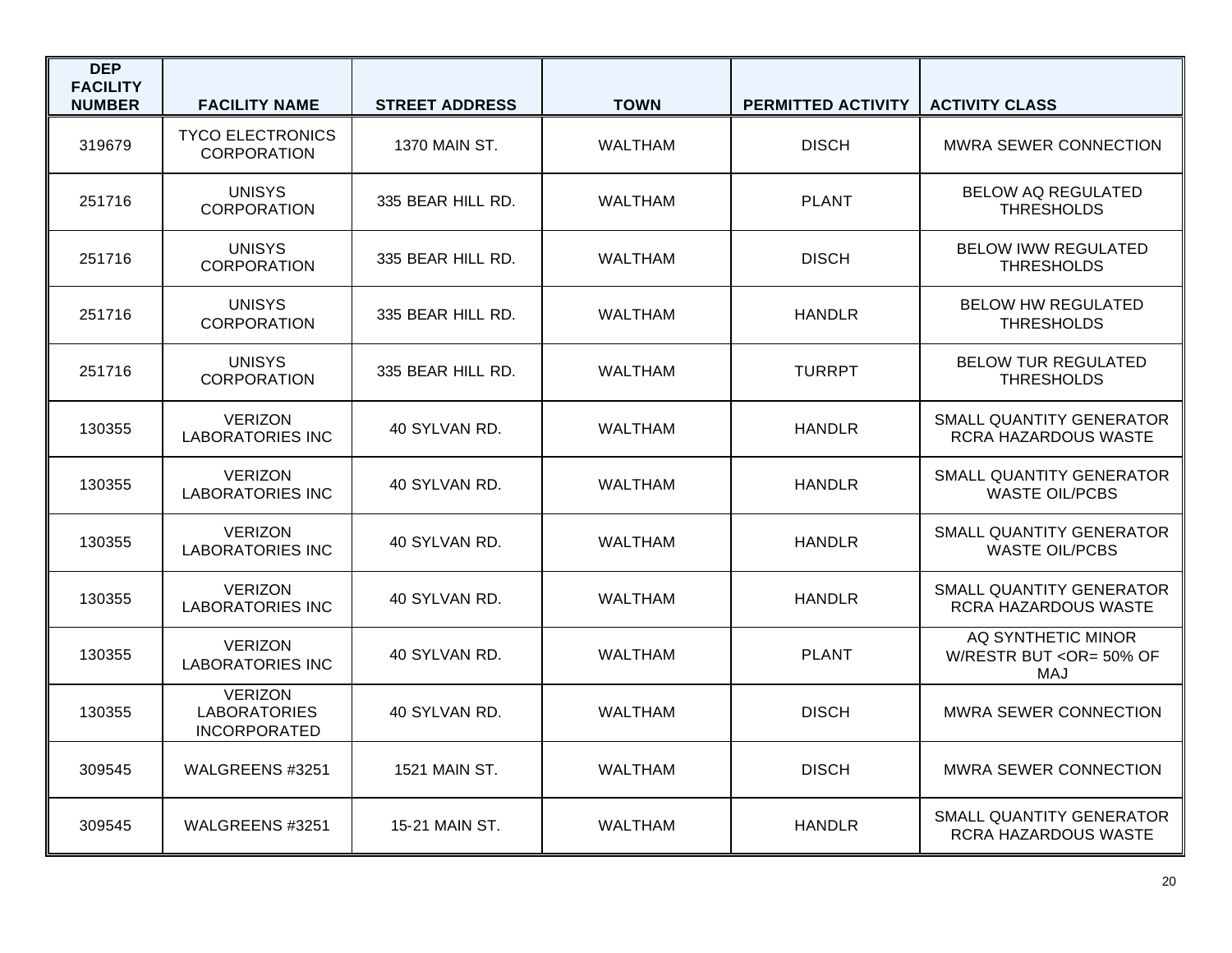| <b>DEP</b><br><b>FACILITY</b><br><b>NUMBER</b> | <b>FACILITY NAME</b>                                         | <b>STREET ADDRESS</b> | <b>TOWN</b>    | PERMITTED ACTIVITY | <b>ACTIVITY CLASS</b>                                    |
|------------------------------------------------|--------------------------------------------------------------|-----------------------|----------------|--------------------|----------------------------------------------------------|
| 319679                                         | <b>TYCO ELECTRONICS</b><br><b>CORPORATION</b>                | <b>1370 MAIN ST.</b>  | <b>WALTHAM</b> | <b>DISCH</b>       | MWRA SEWER CONNECTION                                    |
| 251716                                         | <b>UNISYS</b><br><b>CORPORATION</b>                          | 335 BEAR HILL RD.     | <b>WALTHAM</b> | <b>PLANT</b>       | <b>BELOW AQ REGULATED</b><br><b>THRESHOLDS</b>           |
| 251716                                         | <b>UNISYS</b><br><b>CORPORATION</b>                          | 335 BEAR HILL RD.     | <b>WALTHAM</b> | <b>DISCH</b>       | <b>BELOW IWW REGULATED</b><br><b>THRESHOLDS</b>          |
| 251716                                         | <b>UNISYS</b><br><b>CORPORATION</b>                          | 335 BEAR HILL RD.     | <b>WALTHAM</b> | <b>HANDLR</b>      | <b>BELOW HW REGULATED</b><br><b>THRESHOLDS</b>           |
| 251716                                         | <b>UNISYS</b><br><b>CORPORATION</b>                          | 335 BEAR HILL RD.     | <b>WALTHAM</b> | <b>TURRPT</b>      | <b>BELOW TUR REGULATED</b><br><b>THRESHOLDS</b>          |
| 130355                                         | <b>VERIZON</b><br><b>LABORATORIES INC</b>                    | 40 SYLVAN RD.         | <b>WALTHAM</b> | <b>HANDLR</b>      | SMALL QUANTITY GENERATOR<br>RCRA HAZARDOUS WASTE         |
| 130355                                         | <b>VERIZON</b><br><b>LABORATORIES INC</b>                    | 40 SYLVAN RD.         | <b>WALTHAM</b> | <b>HANDLR</b>      | <b>SMALL QUANTITY GENERATOR</b><br><b>WASTE OIL/PCBS</b> |
| 130355                                         | <b>VERIZON</b><br><b>LABORATORIES INC</b>                    | 40 SYLVAN RD.         | <b>WALTHAM</b> | <b>HANDLR</b>      | SMALL QUANTITY GENERATOR<br><b>WASTE OIL/PCBS</b>        |
| 130355                                         | <b>VERIZON</b><br><b>LABORATORIES INC</b>                    | 40 SYLVAN RD.         | <b>WALTHAM</b> | <b>HANDLR</b>      | SMALL QUANTITY GENERATOR<br>RCRA HAZARDOUS WASTE         |
| 130355                                         | <b>VERIZON</b><br><b>LABORATORIES INC</b>                    | 40 SYLVAN RD.         | <b>WALTHAM</b> | <b>PLANT</b>       | AQ SYNTHETIC MINOR<br>W/RESTR BUT < OR= 50% OF<br>MAJ    |
| 130355                                         | <b>VERIZON</b><br><b>LABORATORIES</b><br><b>INCORPORATED</b> | 40 SYLVAN RD.         | <b>WALTHAM</b> | <b>DISCH</b>       | <b>MWRA SEWER CONNECTION</b>                             |
| 309545                                         | WALGREENS #3251                                              | 1521 MAIN ST.         | <b>WALTHAM</b> | <b>DISCH</b>       | MWRA SEWER CONNECTION                                    |
| 309545                                         | WALGREENS #3251                                              | 15-21 MAIN ST.        | <b>WALTHAM</b> | <b>HANDLR</b>      | SMALL QUANTITY GENERATOR<br>RCRA HAZARDOUS WASTE         |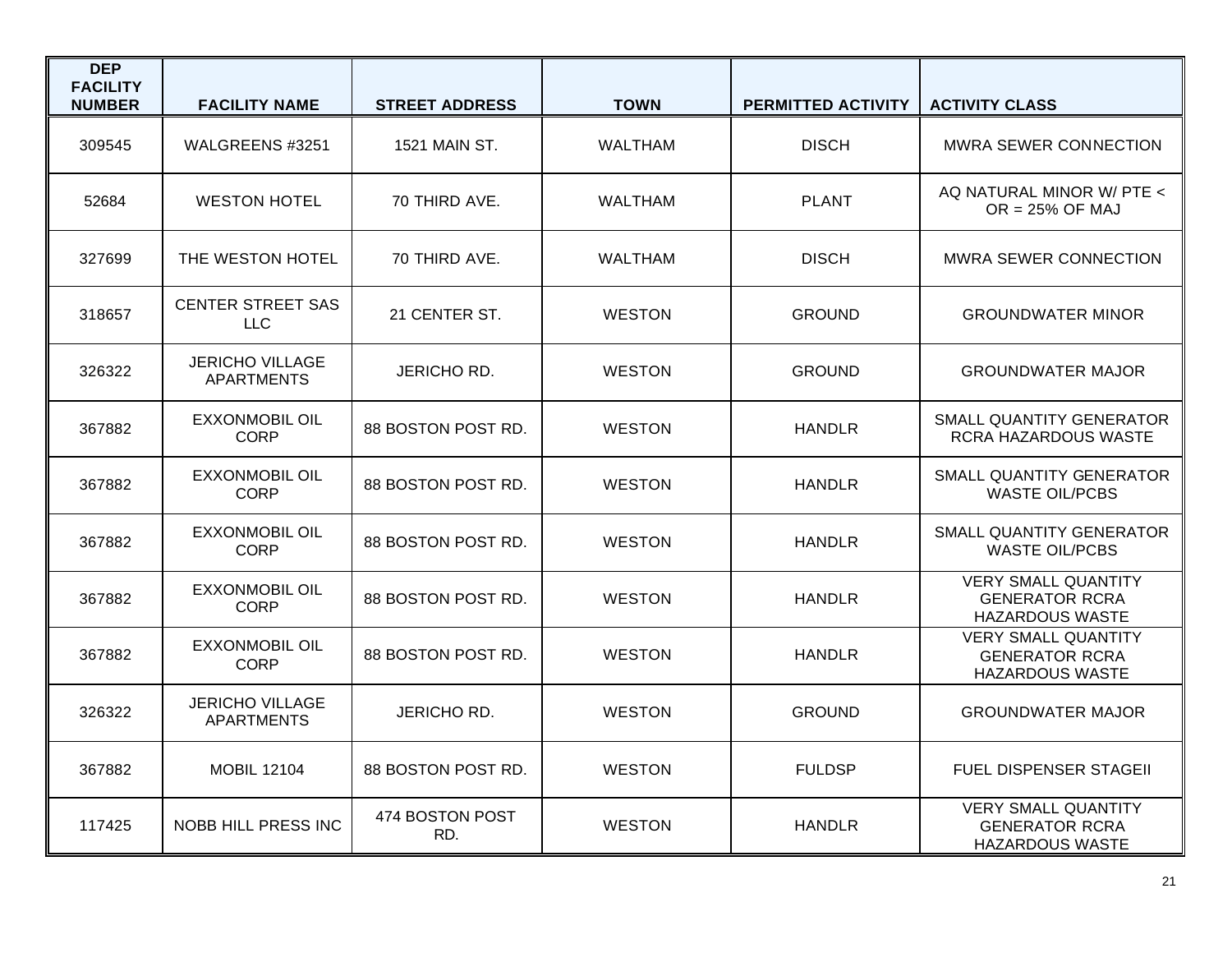| <b>DEP</b><br><b>FACILITY</b><br><b>NUMBER</b> | <b>FACILITY NAME</b>                        | <b>STREET ADDRESS</b>  | <b>TOWN</b>    | PERMITTED ACTIVITY | <b>ACTIVITY CLASS</b>                                                         |
|------------------------------------------------|---------------------------------------------|------------------------|----------------|--------------------|-------------------------------------------------------------------------------|
| 309545                                         | WALGREENS #3251                             | 1521 MAIN ST.          | <b>WALTHAM</b> | <b>DISCH</b>       | MWRA SEWER CONNECTION                                                         |
| 52684                                          | <b>WESTON HOTEL</b>                         | 70 THIRD AVE.          | <b>WALTHAM</b> | <b>PLANT</b>       | AQ NATURAL MINOR W/ PTE <<br>$OR = 25\%$ OF MAJ                               |
| 327699                                         | THE WESTON HOTEL                            | 70 THIRD AVE.          | WALTHAM        | <b>DISCH</b>       | <b>MWRA SEWER CONNECTION</b>                                                  |
| 318657                                         | <b>CENTER STREET SAS</b><br><b>LLC</b>      | 21 CENTER ST.          | <b>WESTON</b>  | <b>GROUND</b>      | <b>GROUNDWATER MINOR</b>                                                      |
| 326322                                         | <b>JERICHO VILLAGE</b><br><b>APARTMENTS</b> | JERICHO RD.            | <b>WESTON</b>  | <b>GROUND</b>      | <b>GROUNDWATER MAJOR</b>                                                      |
| 367882                                         | <b>EXXONMOBIL OIL</b><br><b>CORP</b>        | 88 BOSTON POST RD.     | <b>WESTON</b>  | HANDLR             | SMALL QUANTITY GENERATOR<br>RCRA HAZARDOUS WASTE                              |
| 367882                                         | <b>EXXONMOBIL OIL</b><br><b>CORP</b>        | 88 BOSTON POST RD.     | <b>WESTON</b>  | HANDLR             | SMALL QUANTITY GENERATOR<br><b>WASTE OIL/PCBS</b>                             |
| 367882                                         | <b>EXXONMOBIL OIL</b><br><b>CORP</b>        | 88 BOSTON POST RD.     | <b>WESTON</b>  | <b>HANDLR</b>      | <b>SMALL QUANTITY GENERATOR</b><br><b>WASTE OIL/PCBS</b>                      |
| 367882                                         | <b>EXXONMOBIL OIL</b><br><b>CORP</b>        | 88 BOSTON POST RD.     | <b>WESTON</b>  | HANDLR             | <b>VERY SMALL QUANTITY</b><br><b>GENERATOR RCRA</b><br><b>HAZARDOUS WASTE</b> |
| 367882                                         | <b>EXXONMOBIL OIL</b><br><b>CORP</b>        | 88 BOSTON POST RD.     | <b>WESTON</b>  | <b>HANDLR</b>      | <b>VERY SMALL QUANTITY</b><br><b>GENERATOR RCRA</b><br><b>HAZARDOUS WASTE</b> |
| 326322                                         | <b>JERICHO VILLAGE</b><br><b>APARTMENTS</b> | JERICHO RD.            | <b>WESTON</b>  | <b>GROUND</b>      | <b>GROUNDWATER MAJOR</b>                                                      |
| 367882                                         | <b>MOBIL 12104</b>                          | 88 BOSTON POST RD.     | <b>WESTON</b>  | <b>FULDSP</b>      | <b>FUEL DISPENSER STAGEIL</b>                                                 |
| 117425                                         | NOBB HILL PRESS INC                         | 474 BOSTON POST<br>RD. | <b>WESTON</b>  | <b>HANDLR</b>      | <b>VERY SMALL QUANTITY</b><br><b>GENERATOR RCRA</b><br>HAZARDOUS WASTE        |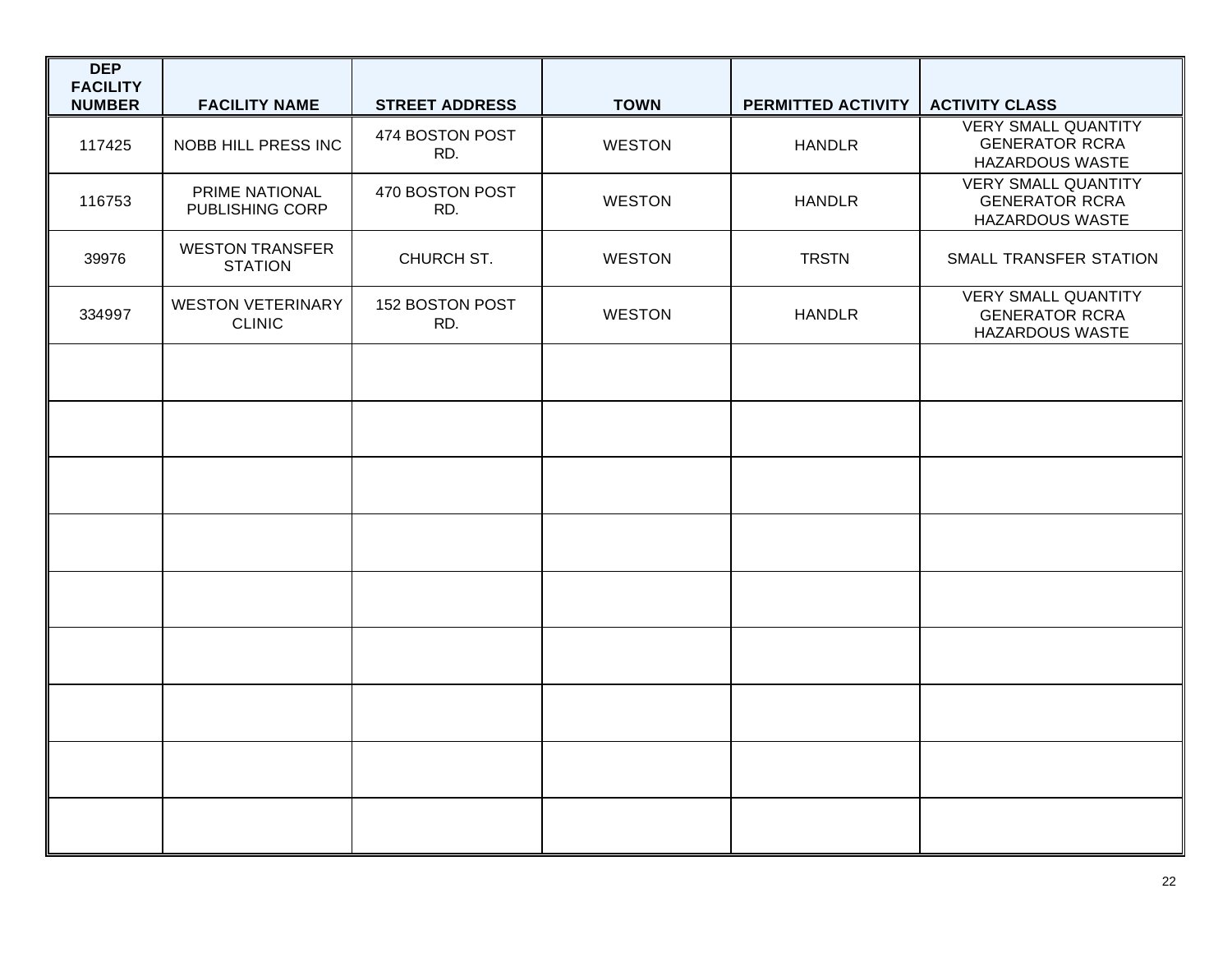| <b>DEP</b><br><b>FACILITY</b> |                                           |                        |               |                    |                                                                               |
|-------------------------------|-------------------------------------------|------------------------|---------------|--------------------|-------------------------------------------------------------------------------|
| <b>NUMBER</b>                 | <b>FACILITY NAME</b>                      | <b>STREET ADDRESS</b>  | <b>TOWN</b>   | PERMITTED ACTIVITY | <b>ACTIVITY CLASS</b>                                                         |
| 117425                        | NOBB HILL PRESS INC                       | 474 BOSTON POST<br>RD. | <b>WESTON</b> | <b>HANDLR</b>      | <b>VERY SMALL QUANTITY</b><br><b>GENERATOR RCRA</b><br><b>HAZARDOUS WASTE</b> |
| 116753                        | PRIME NATIONAL<br>PUBLISHING CORP         | 470 BOSTON POST<br>RD. | <b>WESTON</b> | <b>HANDLR</b>      | <b>VERY SMALL QUANTITY</b><br><b>GENERATOR RCRA</b><br><b>HAZARDOUS WASTE</b> |
| 39976                         | <b>WESTON TRANSFER</b><br><b>STATION</b>  | CHURCH ST.             | <b>WESTON</b> | <b>TRSTN</b>       | SMALL TRANSFER STATION                                                        |
| 334997                        | <b>WESTON VETERINARY</b><br><b>CLINIC</b> | 152 BOSTON POST<br>RD. | <b>WESTON</b> | <b>HANDLR</b>      | <b>VERY SMALL QUANTITY</b><br><b>GENERATOR RCRA</b><br><b>HAZARDOUS WASTE</b> |
|                               |                                           |                        |               |                    |                                                                               |
|                               |                                           |                        |               |                    |                                                                               |
|                               |                                           |                        |               |                    |                                                                               |
|                               |                                           |                        |               |                    |                                                                               |
|                               |                                           |                        |               |                    |                                                                               |
|                               |                                           |                        |               |                    |                                                                               |
|                               |                                           |                        |               |                    |                                                                               |
|                               |                                           |                        |               |                    |                                                                               |
|                               |                                           |                        |               |                    |                                                                               |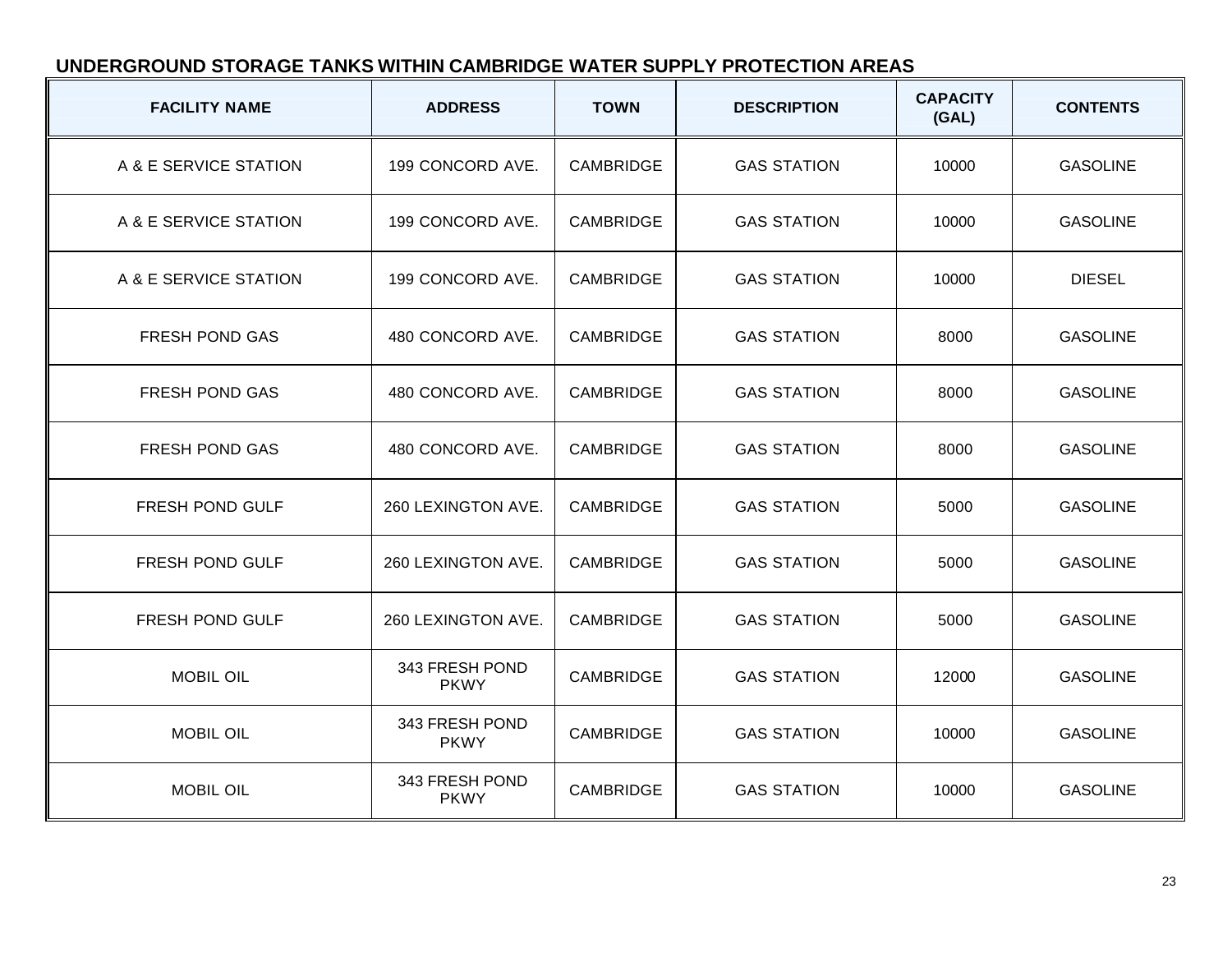# **UNDERGROUND STORAGE TANKS WITHIN CAMBRIDGE WATER SUPPLY PROTECTION AREAS**

| <b>FACILITY NAME</b>  | <b>ADDRESS</b>                | <b>TOWN</b>      | <b>DESCRIPTION</b> | <b>CAPACITY</b><br>(GAL) | <b>CONTENTS</b> |
|-----------------------|-------------------------------|------------------|--------------------|--------------------------|-----------------|
| A & E SERVICE STATION | 199 CONCORD AVE.              | <b>CAMBRIDGE</b> | <b>GAS STATION</b> | 10000                    | <b>GASOLINE</b> |
| A & E SERVICE STATION | 199 CONCORD AVE.              | <b>CAMBRIDGE</b> | <b>GAS STATION</b> | 10000                    | <b>GASOLINE</b> |
| A & E SERVICE STATION | 199 CONCORD AVE.              | <b>CAMBRIDGE</b> | <b>GAS STATION</b> | 10000                    | <b>DIESEL</b>   |
| FRESH POND GAS        | 480 CONCORD AVE.              | CAMBRIDGE        | <b>GAS STATION</b> | 8000                     | <b>GASOLINE</b> |
| <b>FRESH POND GAS</b> | 480 CONCORD AVE.              | <b>CAMBRIDGE</b> | <b>GAS STATION</b> | 8000                     | <b>GASOLINE</b> |
| <b>FRESH POND GAS</b> | 480 CONCORD AVE.              | <b>CAMBRIDGE</b> | <b>GAS STATION</b> | 8000                     | <b>GASOLINE</b> |
| FRESH POND GULF       | 260 LEXINGTON AVE.            | CAMBRIDGE        | <b>GAS STATION</b> | 5000                     | <b>GASOLINE</b> |
| FRESH POND GULF       | 260 LEXINGTON AVE.            | <b>CAMBRIDGE</b> | <b>GAS STATION</b> | 5000                     | <b>GASOLINE</b> |
| FRESH POND GULF       | 260 LEXINGTON AVE.            | CAMBRIDGE        | <b>GAS STATION</b> | 5000                     | <b>GASOLINE</b> |
| <b>MOBIL OIL</b>      | 343 FRESH POND<br><b>PKWY</b> | <b>CAMBRIDGE</b> | <b>GAS STATION</b> | 12000                    | <b>GASOLINE</b> |
| <b>MOBIL OIL</b>      | 343 FRESH POND<br><b>PKWY</b> | CAMBRIDGE        | <b>GAS STATION</b> | 10000                    | <b>GASOLINE</b> |
| <b>MOBIL OIL</b>      | 343 FRESH POND<br><b>PKWY</b> | CAMBRIDGE        | <b>GAS STATION</b> | 10000                    | <b>GASOLINE</b> |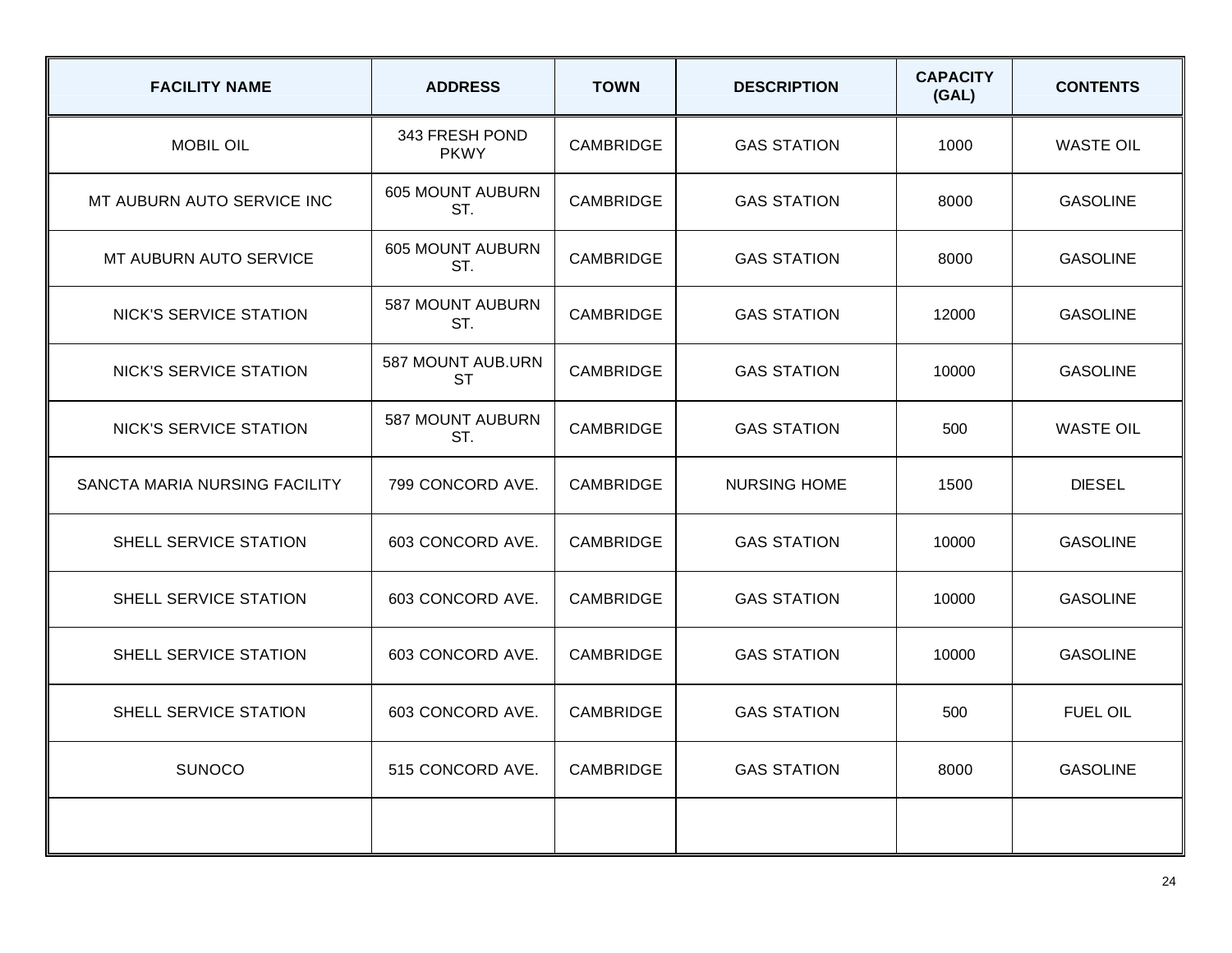| <b>FACILITY NAME</b>          | <b>ADDRESS</b>                 | <b>TOWN</b>      | <b>DESCRIPTION</b>  | <b>CAPACITY</b><br>(GAL) | <b>CONTENTS</b>  |
|-------------------------------|--------------------------------|------------------|---------------------|--------------------------|------------------|
| <b>MOBIL OIL</b>              | 343 FRESH POND<br><b>PKWY</b>  | <b>CAMBRIDGE</b> | <b>GAS STATION</b>  | 1000                     | <b>WASTE OIL</b> |
| MT AUBURN AUTO SERVICE INC    | <b>605 MOUNT AUBURN</b><br>ST. | <b>CAMBRIDGE</b> | <b>GAS STATION</b>  | 8000                     | <b>GASOLINE</b>  |
| MT AUBURN AUTO SERVICE        | <b>605 MOUNT AUBURN</b><br>ST. | CAMBRIDGE        | <b>GAS STATION</b>  | 8000                     | <b>GASOLINE</b>  |
| <b>NICK'S SERVICE STATION</b> | 587 MOUNT AUBURN<br>ST.        | <b>CAMBRIDGE</b> | <b>GAS STATION</b>  | 12000                    | <b>GASOLINE</b>  |
| NICK'S SERVICE STATION        | 587 MOUNT AUB.URN<br><b>ST</b> | <b>CAMBRIDGE</b> | <b>GAS STATION</b>  | 10000                    | <b>GASOLINE</b>  |
| <b>NICK'S SERVICE STATION</b> | 587 MOUNT AUBURN<br>ST.        | CAMBRIDGE        | <b>GAS STATION</b>  | 500                      | <b>WASTE OIL</b> |
| SANCTA MARIA NURSING FACILITY | 799 CONCORD AVE.               | <b>CAMBRIDGE</b> | <b>NURSING HOME</b> | 1500                     | <b>DIESEL</b>    |
| SHELL SERVICE STATION         | 603 CONCORD AVE.               | <b>CAMBRIDGE</b> | <b>GAS STATION</b>  | 10000                    | <b>GASOLINE</b>  |
| SHELL SERVICE STATION         | 603 CONCORD AVE.               | <b>CAMBRIDGE</b> | <b>GAS STATION</b>  | 10000                    | <b>GASOLINE</b>  |
| SHELL SERVICE STATION         | 603 CONCORD AVE.               | CAMBRIDGE        | <b>GAS STATION</b>  | 10000                    | <b>GASOLINE</b>  |
| SHELL SERVICE STATION         | 603 CONCORD AVE.               | CAMBRIDGE        | <b>GAS STATION</b>  | 500                      | <b>FUEL OIL</b>  |
| <b>SUNOCO</b>                 | 515 CONCORD AVE.               | <b>CAMBRIDGE</b> | <b>GAS STATION</b>  | 8000                     | <b>GASOLINE</b>  |
|                               |                                |                  |                     |                          |                  |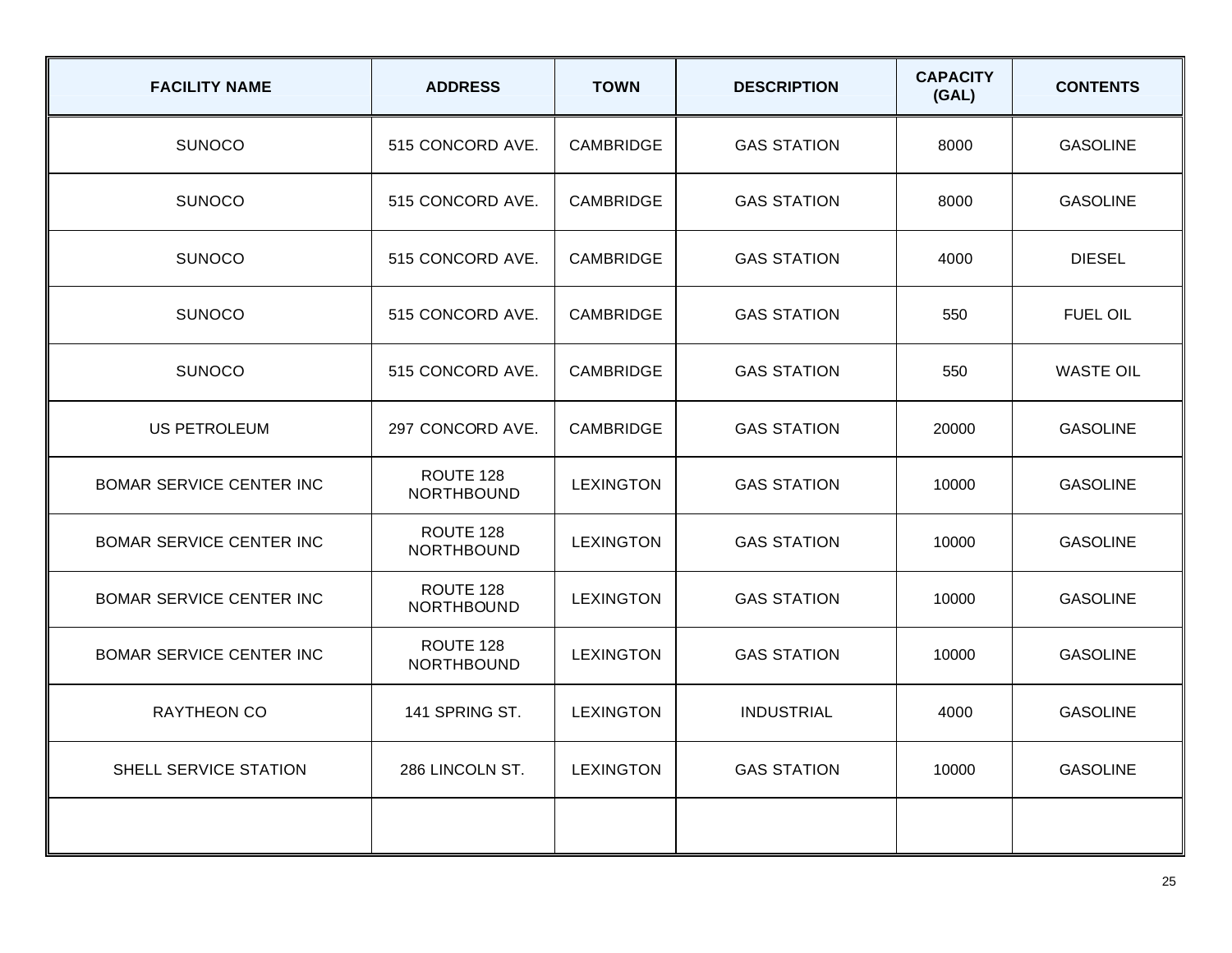| <b>FACILITY NAME</b>            | <b>ADDRESS</b>                 | <b>TOWN</b>      | <b>DESCRIPTION</b> | <b>CAPACITY</b><br>(GAL) | <b>CONTENTS</b>  |
|---------------------------------|--------------------------------|------------------|--------------------|--------------------------|------------------|
| <b>SUNOCO</b>                   | 515 CONCORD AVE.               | <b>CAMBRIDGE</b> | <b>GAS STATION</b> | 8000                     | <b>GASOLINE</b>  |
| <b>SUNOCO</b>                   | 515 CONCORD AVE.               | <b>CAMBRIDGE</b> | <b>GAS STATION</b> | 8000                     | <b>GASOLINE</b>  |
| <b>SUNOCO</b>                   | 515 CONCORD AVE.               | <b>CAMBRIDGE</b> | <b>GAS STATION</b> | 4000                     | <b>DIESEL</b>    |
| <b>SUNOCO</b>                   | 515 CONCORD AVE.               | <b>CAMBRIDGE</b> | <b>GAS STATION</b> | 550                      | <b>FUEL OIL</b>  |
| <b>SUNOCO</b>                   | 515 CONCORD AVE.               | CAMBRIDGE        | <b>GAS STATION</b> | 550                      | <b>WASTE OIL</b> |
| US PETROLEUM                    | 297 CONCORD AVE.               | <b>CAMBRIDGE</b> | <b>GAS STATION</b> | 20000                    | <b>GASOLINE</b>  |
| BOMAR SERVICE CENTER INC        | ROUTE 128<br><b>NORTHBOUND</b> | <b>LEXINGTON</b> | <b>GAS STATION</b> | 10000                    | <b>GASOLINE</b>  |
| <b>BOMAR SERVICE CENTER INC</b> | ROUTE 128<br><b>NORTHBOUND</b> | <b>LEXINGTON</b> | <b>GAS STATION</b> | 10000                    | <b>GASOLINE</b>  |
| BOMAR SERVICE CENTER INC        | ROUTE 128<br><b>NORTHBOUND</b> | <b>LEXINGTON</b> | <b>GAS STATION</b> | 10000                    | <b>GASOLINE</b>  |
| <b>BOMAR SERVICE CENTER INC</b> | ROUTE 128<br><b>NORTHBOUND</b> | <b>LEXINGTON</b> | <b>GAS STATION</b> | 10000                    | <b>GASOLINE</b>  |
| RAYTHEON CO                     | 141 SPRING ST.                 | <b>LEXINGTON</b> | <b>INDUSTRIAL</b>  | 4000                     | <b>GASOLINE</b>  |
| <b>SHELL SERVICE STATION</b>    | 286 LINCOLN ST.                | <b>LEXINGTON</b> | <b>GAS STATION</b> | 10000                    | <b>GASOLINE</b>  |
|                                 |                                |                  |                    |                          |                  |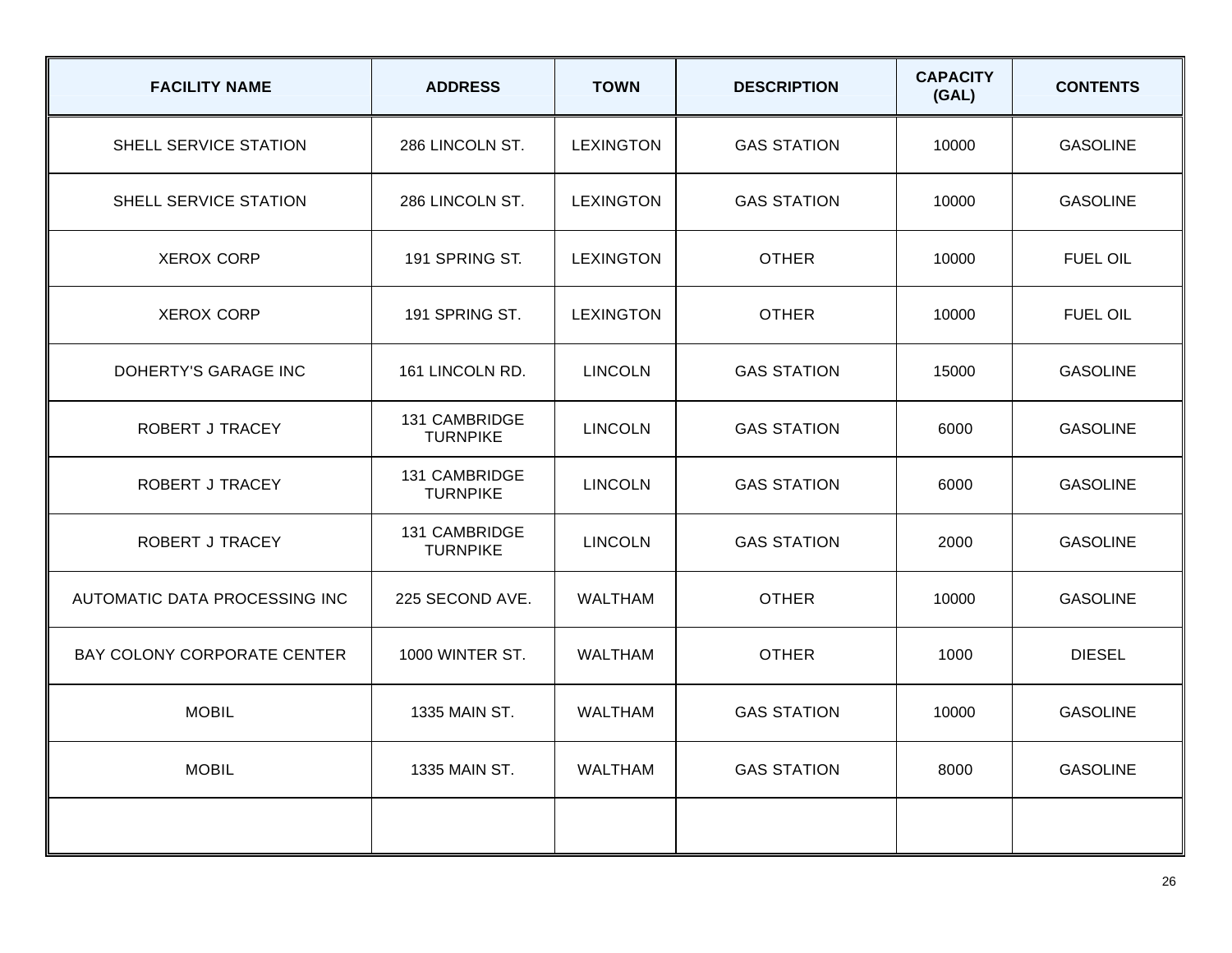| <b>FACILITY NAME</b>          | <b>ADDRESS</b>                   | <b>TOWN</b>      | <b>DESCRIPTION</b> | <b>CAPACITY</b><br>(GAL) | <b>CONTENTS</b> |
|-------------------------------|----------------------------------|------------------|--------------------|--------------------------|-----------------|
| SHELL SERVICE STATION         | 286 LINCOLN ST.                  | <b>LEXINGTON</b> | <b>GAS STATION</b> | 10000                    | <b>GASOLINE</b> |
| SHELL SERVICE STATION         | 286 LINCOLN ST.                  | <b>LEXINGTON</b> | <b>GAS STATION</b> | 10000                    | <b>GASOLINE</b> |
| <b>XEROX CORP</b>             | 191 SPRING ST.                   | <b>LEXINGTON</b> | <b>OTHER</b>       | 10000                    | <b>FUEL OIL</b> |
| <b>XEROX CORP</b>             | 191 SPRING ST.                   | <b>LEXINGTON</b> | <b>OTHER</b>       | 10000                    | <b>FUEL OIL</b> |
| DOHERTY'S GARAGE INC          | 161 LINCOLN RD.                  | <b>LINCOLN</b>   | <b>GAS STATION</b> | 15000                    | <b>GASOLINE</b> |
| ROBERT J TRACEY               | 131 CAMBRIDGE<br><b>TURNPIKE</b> | <b>LINCOLN</b>   | <b>GAS STATION</b> | 6000                     | <b>GASOLINE</b> |
| ROBERT J TRACEY               | 131 CAMBRIDGE<br><b>TURNPIKE</b> | <b>LINCOLN</b>   | <b>GAS STATION</b> | 6000                     | <b>GASOLINE</b> |
| <b>ROBERT J TRACEY</b>        | 131 CAMBRIDGE<br><b>TURNPIKE</b> | <b>LINCOLN</b>   | <b>GAS STATION</b> | 2000                     | <b>GASOLINE</b> |
| AUTOMATIC DATA PROCESSING INC | 225 SECOND AVE.                  | <b>WALTHAM</b>   | <b>OTHER</b>       | 10000                    | <b>GASOLINE</b> |
| BAY COLONY CORPORATE CENTER   | 1000 WINTER ST.                  | <b>WALTHAM</b>   | <b>OTHER</b>       | 1000                     | <b>DIESEL</b>   |
| <b>MOBIL</b>                  | 1335 MAIN ST.                    | <b>WALTHAM</b>   | <b>GAS STATION</b> | 10000                    | <b>GASOLINE</b> |
| <b>MOBIL</b>                  | 1335 MAIN ST.                    | <b>WALTHAM</b>   | <b>GAS STATION</b> | 8000                     | <b>GASOLINE</b> |
|                               |                                  |                  |                    |                          |                 |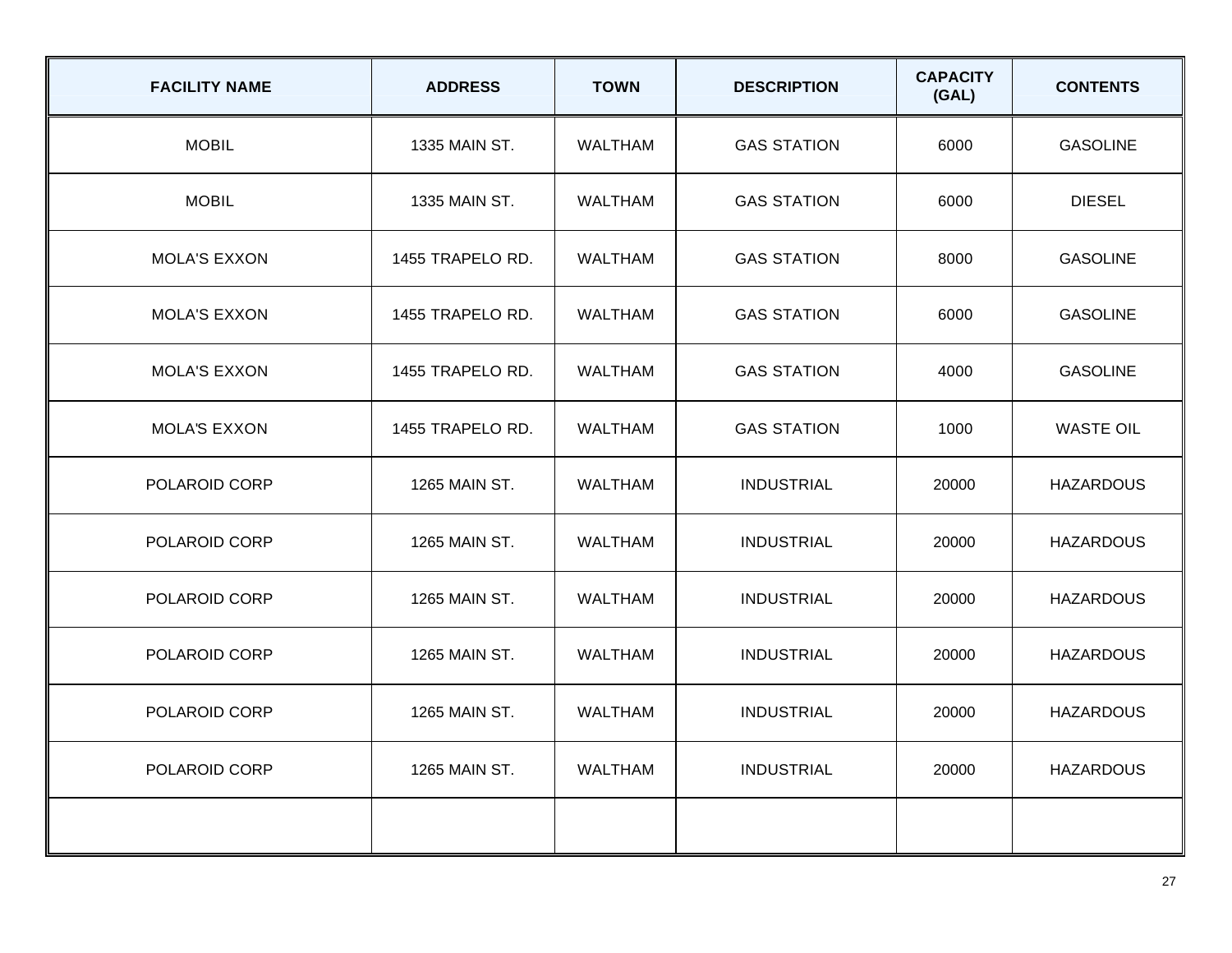| <b>FACILITY NAME</b> | <b>ADDRESS</b>   | <b>TOWN</b>    | <b>DESCRIPTION</b> | <b>CAPACITY</b><br>(GAL) | <b>CONTENTS</b>  |
|----------------------|------------------|----------------|--------------------|--------------------------|------------------|
| <b>MOBIL</b>         | 1335 MAIN ST.    | <b>WALTHAM</b> | <b>GAS STATION</b> | 6000                     | <b>GASOLINE</b>  |
| <b>MOBIL</b>         | 1335 MAIN ST.    | <b>WALTHAM</b> | <b>GAS STATION</b> | 6000                     | <b>DIESEL</b>    |
| <b>MOLA'S EXXON</b>  | 1455 TRAPELO RD. | <b>WALTHAM</b> | <b>GAS STATION</b> | 8000                     | <b>GASOLINE</b>  |
| <b>MOLA'S EXXON</b>  | 1455 TRAPELO RD. | <b>WALTHAM</b> | <b>GAS STATION</b> | 6000                     | <b>GASOLINE</b>  |
| <b>MOLA'S EXXON</b>  | 1455 TRAPELO RD. | <b>WALTHAM</b> | <b>GAS STATION</b> | 4000                     | <b>GASOLINE</b>  |
| <b>MOLA'S EXXON</b>  | 1455 TRAPELO RD. | <b>WALTHAM</b> | <b>GAS STATION</b> | 1000                     | <b>WASTE OIL</b> |
| POLAROID CORP        | 1265 MAIN ST.    | <b>WALTHAM</b> | <b>INDUSTRIAL</b>  | 20000                    | <b>HAZARDOUS</b> |
| POLAROID CORP        | 1265 MAIN ST.    | <b>WALTHAM</b> | <b>INDUSTRIAL</b>  | 20000                    | <b>HAZARDOUS</b> |
| POLAROID CORP        | 1265 MAIN ST.    | <b>WALTHAM</b> | <b>INDUSTRIAL</b>  | 20000                    | <b>HAZARDOUS</b> |
| POLAROID CORP        | 1265 MAIN ST.    | <b>WALTHAM</b> | <b>INDUSTRIAL</b>  | 20000                    | <b>HAZARDOUS</b> |
| POLAROID CORP        | 1265 MAIN ST.    | <b>WALTHAM</b> | <b>INDUSTRIAL</b>  | 20000                    | <b>HAZARDOUS</b> |
| POLAROID CORP        | 1265 MAIN ST.    | <b>WALTHAM</b> | <b>INDUSTRIAL</b>  | 20000                    | <b>HAZARDOUS</b> |
|                      |                  |                |                    |                          |                  |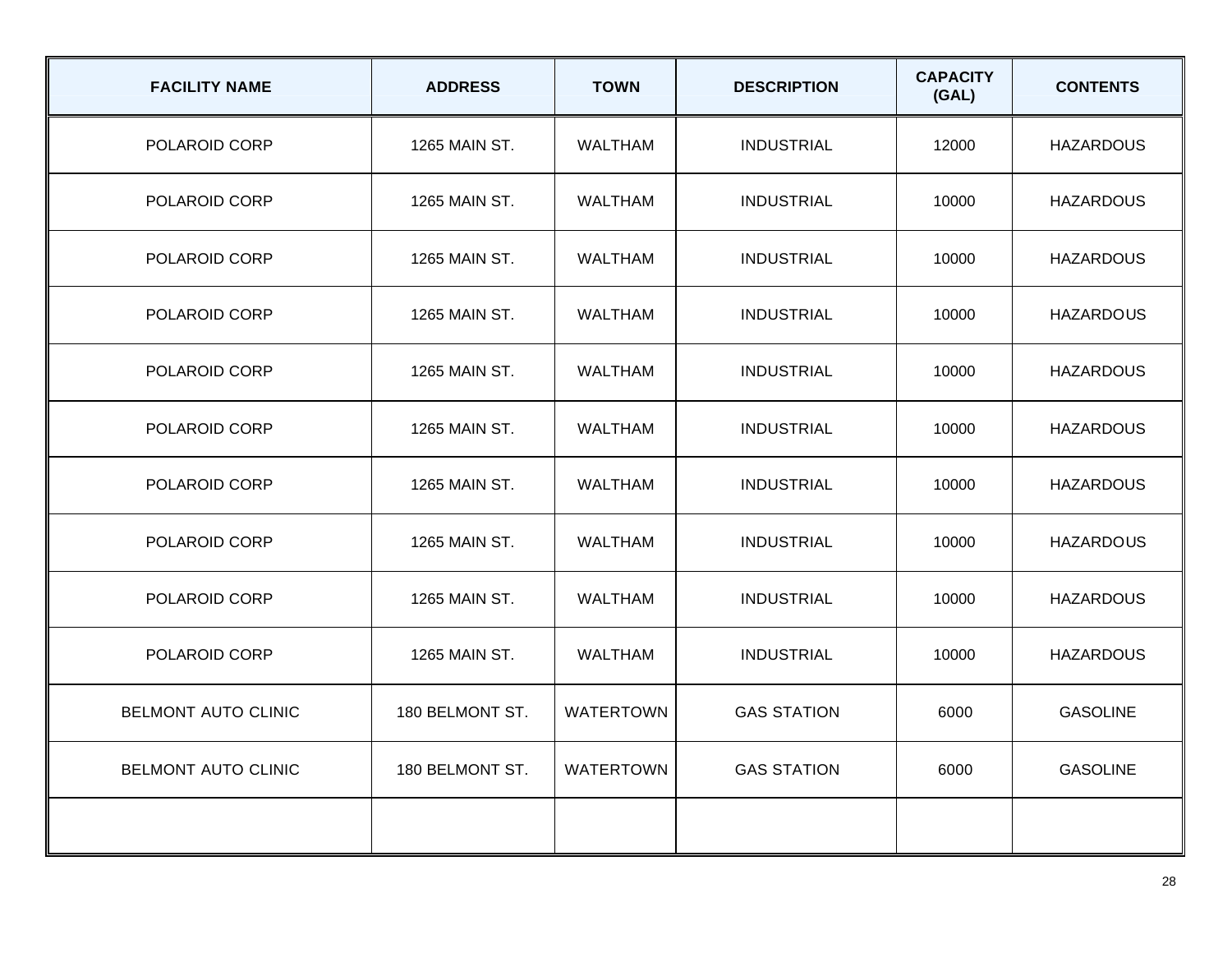| <b>FACILITY NAME</b>       | <b>ADDRESS</b>  | <b>TOWN</b>      | <b>DESCRIPTION</b> | <b>CAPACITY</b><br>(GAL) | <b>CONTENTS</b>  |
|----------------------------|-----------------|------------------|--------------------|--------------------------|------------------|
| POLAROID CORP              | 1265 MAIN ST.   | <b>WALTHAM</b>   | <b>INDUSTRIAL</b>  | 12000                    | <b>HAZARDOUS</b> |
| POLAROID CORP              | 1265 MAIN ST.   | <b>WALTHAM</b>   | <b>INDUSTRIAL</b>  | 10000                    | <b>HAZARDOUS</b> |
| POLAROID CORP              | 1265 MAIN ST.   | <b>WALTHAM</b>   | <b>INDUSTRIAL</b>  | 10000                    | <b>HAZARDOUS</b> |
| POLAROID CORP              | 1265 MAIN ST.   | <b>WALTHAM</b>   | <b>INDUSTRIAL</b>  | 10000                    | <b>HAZARDOUS</b> |
| POLAROID CORP              | 1265 MAIN ST.   | <b>WALTHAM</b>   | <b>INDUSTRIAL</b>  | 10000                    | <b>HAZARDOUS</b> |
| POLAROID CORP              | 1265 MAIN ST.   | <b>WALTHAM</b>   | <b>INDUSTRIAL</b>  | 10000                    | <b>HAZARDOUS</b> |
| POLAROID CORP              | 1265 MAIN ST.   | <b>WALTHAM</b>   | <b>INDUSTRIAL</b>  | 10000                    | <b>HAZARDOUS</b> |
| POLAROID CORP              | 1265 MAIN ST.   | <b>WALTHAM</b>   | <b>INDUSTRIAL</b>  | 10000                    | <b>HAZARDOUS</b> |
| POLAROID CORP              | 1265 MAIN ST.   | <b>WALTHAM</b>   | <b>INDUSTRIAL</b>  | 10000                    | <b>HAZARDOUS</b> |
| POLAROID CORP              | 1265 MAIN ST.   | <b>WALTHAM</b>   | <b>INDUSTRIAL</b>  | 10000                    | <b>HAZARDOUS</b> |
| BELMONT AUTO CLINIC        | 180 BELMONT ST. | <b>WATERTOWN</b> | <b>GAS STATION</b> | 6000                     | <b>GASOLINE</b>  |
| <b>BELMONT AUTO CLINIC</b> | 180 BELMONT ST. | <b>WATERTOWN</b> | <b>GAS STATION</b> | 6000                     | <b>GASOLINE</b>  |
|                            |                 |                  |                    |                          |                  |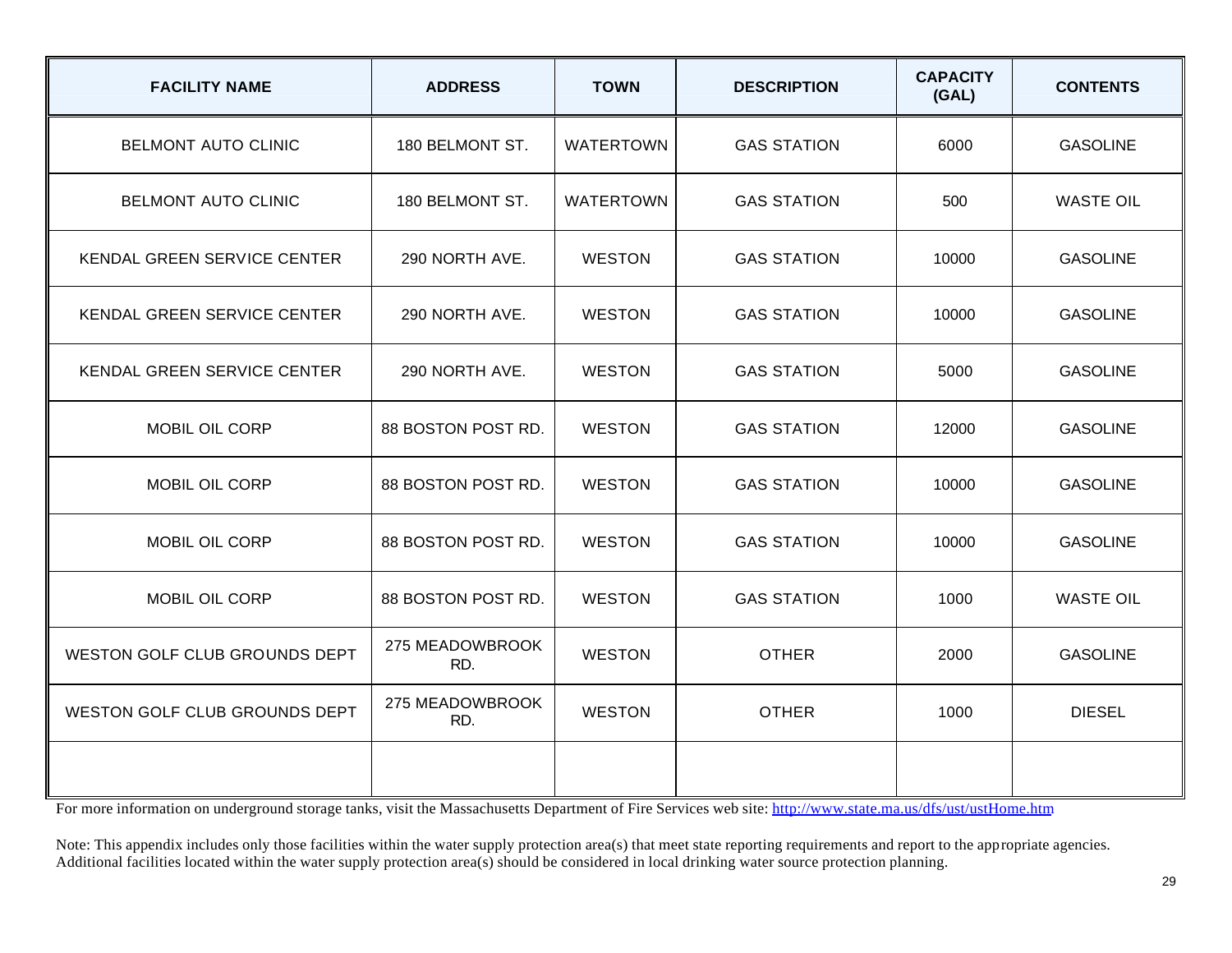| <b>FACILITY NAME</b>          | <b>ADDRESS</b>         | <b>TOWN</b>      | <b>DESCRIPTION</b> | <b>CAPACITY</b><br>(GAL) | <b>CONTENTS</b>  |
|-------------------------------|------------------------|------------------|--------------------|--------------------------|------------------|
| <b>BELMONT AUTO CLINIC</b>    | 180 BELMONT ST.        | <b>WATERTOWN</b> | <b>GAS STATION</b> | 6000                     | <b>GASOLINE</b>  |
| <b>BELMONT AUTO CLINIC</b>    | 180 BELMONT ST.        | <b>WATERTOWN</b> | <b>GAS STATION</b> | 500                      | <b>WASTE OIL</b> |
| KENDAL GREEN SERVICE CENTER   | 290 NORTH AVE.         | <b>WESTON</b>    | <b>GAS STATION</b> | 10000                    | <b>GASOLINE</b>  |
| KENDAL GREEN SERVICE CENTER   | 290 NORTH AVE.         | <b>WESTON</b>    | <b>GAS STATION</b> | 10000                    | <b>GASOLINE</b>  |
| KENDAL GREEN SERVICE CENTER   | 290 NORTH AVE.         | <b>WESTON</b>    | <b>GAS STATION</b> | 5000                     | <b>GASOLINE</b>  |
| MOBIL OIL CORP                | 88 BOSTON POST RD.     | <b>WESTON</b>    | <b>GAS STATION</b> | 12000                    | <b>GASOLINE</b>  |
| <b>MOBIL OIL CORP</b>         | 88 BOSTON POST RD.     | <b>WESTON</b>    | <b>GAS STATION</b> | 10000                    | <b>GASOLINE</b>  |
| MOBIL OIL CORP                | 88 BOSTON POST RD.     | <b>WESTON</b>    | <b>GAS STATION</b> | 10000                    | <b>GASOLINE</b>  |
| MOBIL OIL CORP                | 88 BOSTON POST RD.     | <b>WESTON</b>    | <b>GAS STATION</b> | 1000                     | <b>WASTE OIL</b> |
| WESTON GOLF CLUB GROUNDS DEPT | 275 MEADOWBROOK<br>RD. | <b>WESTON</b>    | <b>OTHER</b>       | 2000                     | <b>GASOLINE</b>  |
| WESTON GOLF CLUB GROUNDS DEPT | 275 MEADOWBROOK<br>RD. | <b>WESTON</b>    | <b>OTHER</b>       | 1000                     | <b>DIESEL</b>    |
|                               |                        |                  |                    |                          |                  |

For more information on underground storage tanks, visit the Massachusetts Department of Fire Services web site: http://www.state.ma.us/dfs/ust/ustHome.htm

Note: This appendix includes only those facilities within the water supply protection area(s) that meet state reporting requirements and report to the appropriate agencies. Additional facilities located within the water supply protection area(s) should be considered in local drinking water source protection planning.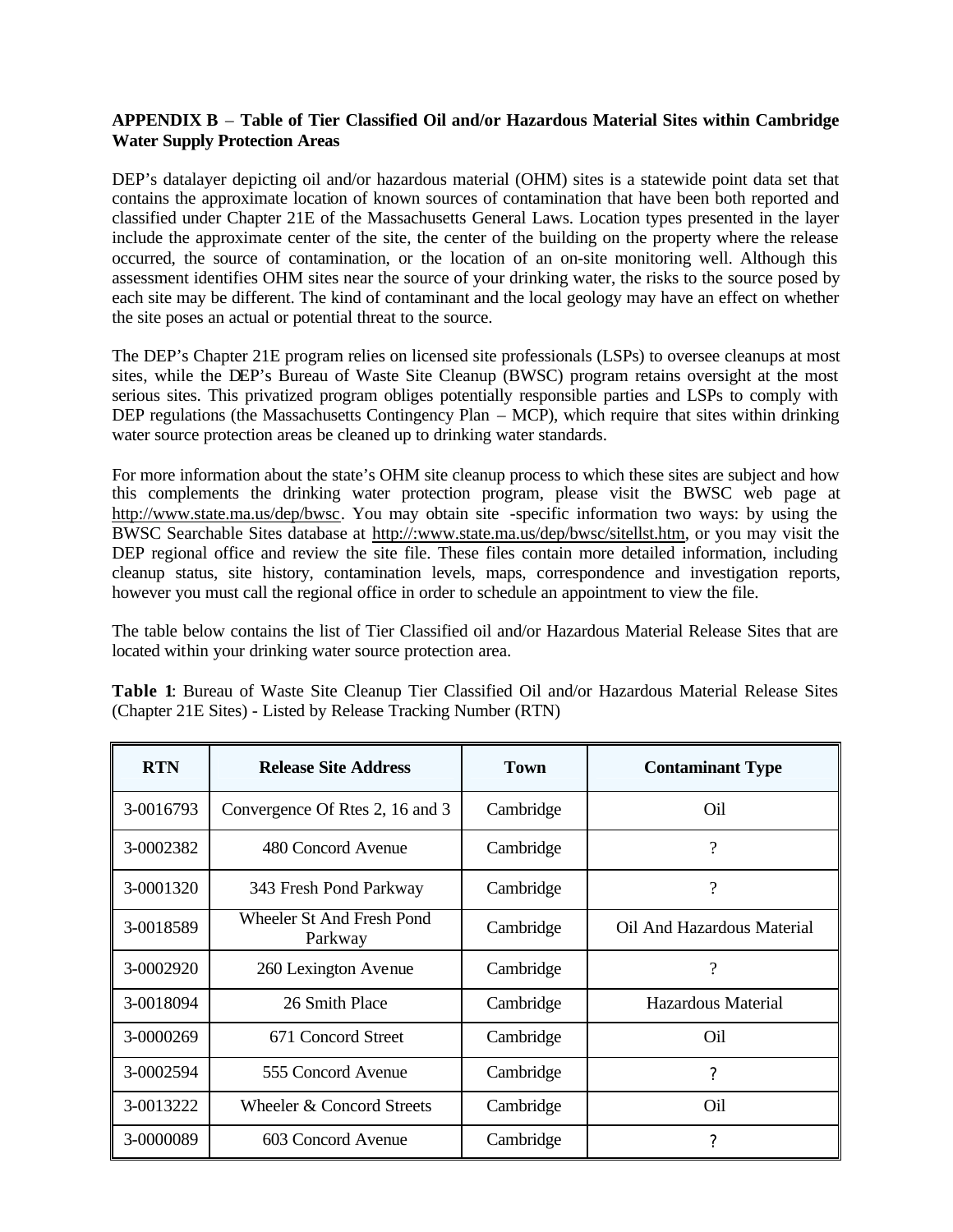### **APPENDIX B** – **Table of Tier Classified Oil and/or Hazardous Material Sites within Cambridge Water Supply Protection Areas**

DEP's datalayer depicting oil and/or hazardous material (OHM) sites is a statewide point data set that contains the approximate location of known sources of contamination that have been both reported and classified under Chapter 21E of the Massachusetts General Laws. Location types presented in the layer include the approximate center of the site, the center of the building on the property where the release occurred, the source of contamination, or the location of an on-site monitoring well. Although this assessment identifies OHM sites near the source of your drinking water, the risks to the source posed by each site may be different. The kind of contaminant and the local geology may have an effect on whether the site poses an actual or potential threat to the source.

The DEP's Chapter 21E program relies on licensed site professionals (LSPs) to oversee cleanups at most sites, while the DEP's Bureau of Waste Site Cleanup (BWSC) program retains oversight at the most serious sites. This privatized program obliges potentially responsible parties and LSPs to comply with DEP regulations (the Massachusetts Contingency Plan – MCP), which require that sites within drinking water source protection areas be cleaned up to drinking water standards.

For more information about the state's OHM site cleanup process to which these sites are subject and how this complements the drinking water protection program, please visit the BWSC web page at http://www.state.ma.us/dep/bwsc. You may obtain site -specific information two ways: by using the BWSC Searchable Sites database at http://:www.state.ma.us/dep/bwsc/sitellst.htm, or you may visit the DEP regional office and review the site file. These files contain more detailed information, including cleanup status, site history, contamination levels, maps, correspondence and investigation reports, however you must call the regional office in order to schedule an appointment to view the file.

The table below contains the list of Tier Classified oil and/or Hazardous Material Release Sites that are located within your drinking water source protection area.

| <b>RTN</b> | <b>Release Site Address</b>          | Town      | <b>Contaminant Type</b>    |
|------------|--------------------------------------|-----------|----------------------------|
| 3-0016793  | Convergence Of Rtes 2, 16 and 3      | Cambridge | O <sub>il</sub>            |
| 3-0002382  | 480 Concord Avenue                   | Cambridge | ?                          |
| 3-0001320  | 343 Fresh Pond Parkway               | Cambridge | $\overline{\cdot}$         |
| 3-0018589  | Wheeler St And Fresh Pond<br>Parkway | Cambridge | Oil And Hazardous Material |
| 3-0002920  | 260 Lexington Avenue                 | Cambridge | ?                          |
| 3-0018094  | 26 Smith Place                       | Cambridge | Hazardous Material         |
| 3-0000269  | 671 Concord Street                   | Cambridge | Oil                        |
| 3-0002594  | 555 Concord Avenue                   | Cambridge | ?                          |
| 3-0013222  | Wheeler & Concord Streets            | Cambridge | Oil                        |
| 3-0000089  | 603 Concord Avenue                   | Cambridge | ?                          |

**Table 1**: Bureau of Waste Site Cleanup Tier Classified Oil and/or Hazardous Material Release Sites (Chapter 21E Sites) - Listed by Release Tracking Number (RTN)